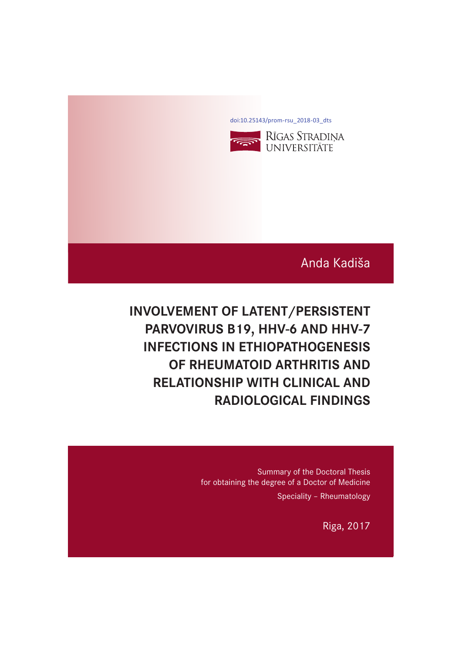[doi:10.25143/prom-rsu\\_2018-03\\_dts](https://doi.org/10.25143/prom-rsu_2018-03_dts)



# Anda Kadiša

# **INVOLVEMENT OF LATENT/PERSISTENT INFECTIONS IN FTHIOPATHOGENESIS** *OF RHEUMATOID ARTHRITIS AND* **RELATIONSHIP WITH CLINICAL AND RADIOLOGICAL FINDINGS**

Summary of the Doctoral Thesis for obtaining the degree of a Doctor of Medicine Speciality – Rheumatology

Riga, 2017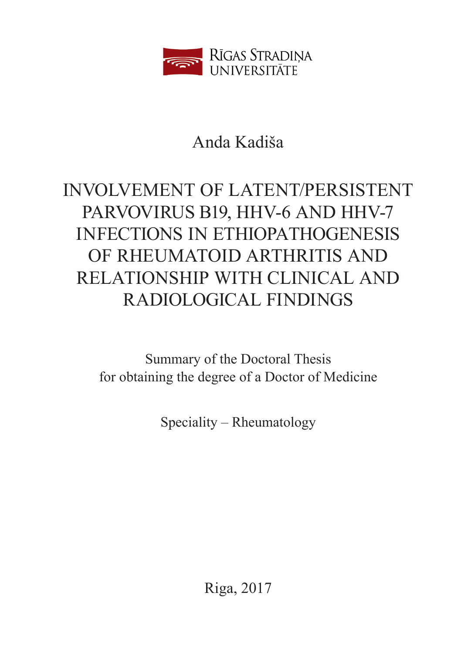

# Anda Kadiša

# INVOLVEMENT OF LATENT/PERSISTENT PARVOVIRUS B19, HHV-6 AND HHV-7 INFECTIONS IN ETHIOPATHOGENESIS OF RHEUMATOID ARTHRITIS AND RELATIONSHIP WITH CLINICAL AND RADIOLOGICAL FINDINGS

Summary of the Doctoral Thesis for obtaining the degree of a Doctor of Medicine

Speciality – Rheumatology

Riga, 2017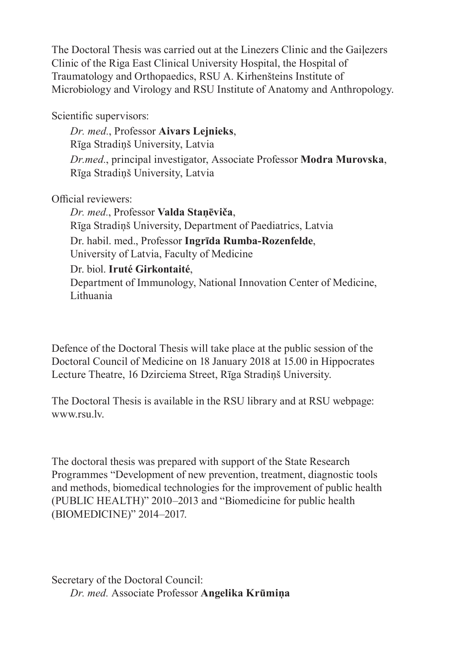The Doctoral Thesis was carried out at the Linezers Clinic and the Gaiļezers Clinic of the Riga East Clinical University Hospital, the Hospital of Traumatology and Orthopaedics, RSU A. Kirhenšteins Institute of Microbiology and Virology and RSU Institute of Anatomy and Anthropology.

Scientific supervisors:

*Dr. med.*, Professor **Aivars Lejnieks**, Rīga Stradiņš University, Latvia *Dr.med.*, principal investigator, Associate Professor **Modra Murovska**, Rīga Stradiņš University, Latvia

Official reviewers:

*Dr. med.*, Professor **Valda Staņēviča**, Rīga Stradiņš University, Department of Paediatrics, Latvia Dr. habil. med., Professor **Ingrīda Rumba-Rozenfelde**, University of Latvia, Faculty of Medicine Dr. biol. **Iruté Girkontaité**, Department of Immunology, National Innovation Center of Medicine, Lithuania

Defence of the Doctoral Thesis will take place at the public session of the Doctoral Council of Medicine on 18 January 2018 at 15.00 in Hippocrates Lecture Theatre, 16 Dzirciema Street, Rīga Stradiņš University.

The Doctoral Thesis is available in the RSU library and at RSU webpage: www.rsu.lv.

The doctoral thesis was prepared with support of the State Research Programmes "Development of new prevention, treatment, diagnostic tools and methods, biomedical technologies for the improvement of public health (PUBLIC HEALTH)" 2010–2013 and "Biomedicine for public health (BIOMEDICINE)" 2014–2017.

Secretary of the Doctoral Council: *Dr. med.* Associate Professor **Angelika Krūmiņa**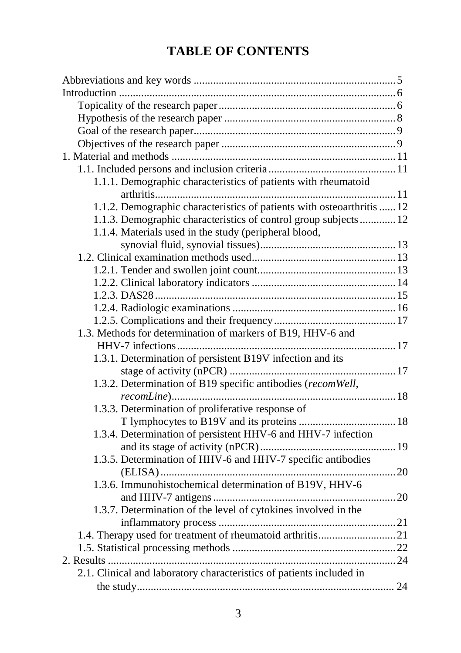# **TABLE OF CONTENTS**

| 1.1.1. Demographic characteristics of patients with rheumatoid         |  |
|------------------------------------------------------------------------|--|
|                                                                        |  |
| 1.1.2. Demographic characteristics of patients with osteoarthritis  12 |  |
| 1.1.3. Demographic characteristics of control group subjects 12        |  |
| 1.1.4. Materials used in the study (peripheral blood,                  |  |
|                                                                        |  |
|                                                                        |  |
|                                                                        |  |
|                                                                        |  |
|                                                                        |  |
|                                                                        |  |
|                                                                        |  |
| 1.3. Methods for determination of markers of B19, HHV-6 and            |  |
|                                                                        |  |
| 1.3.1. Determination of persistent B19V infection and its              |  |
|                                                                        |  |
| 1.3.2. Determination of B19 specific antibodies (recomWell,            |  |
|                                                                        |  |
| 1.3.3. Determination of proliferative response of                      |  |
|                                                                        |  |
| 1.3.4. Determination of persistent HHV-6 and HHV-7 infection           |  |
|                                                                        |  |
| 1.3.5. Determination of HHV-6 and HHV-7 specific antibodies            |  |
|                                                                        |  |
| 1.3.6. Immunohistochemical determination of B19V, HHV-6                |  |
|                                                                        |  |
| 1.3.7. Determination of the level of cytokines involved in the         |  |
|                                                                        |  |
|                                                                        |  |
|                                                                        |  |
|                                                                        |  |
| 2.1. Clinical and laboratory characteristics of patients included in   |  |
|                                                                        |  |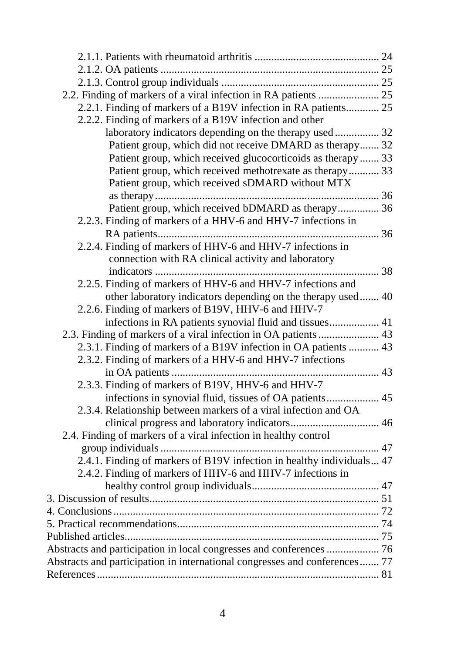| 2.2. Finding of markers of a viral infection in RA patients  25            |  |
|----------------------------------------------------------------------------|--|
| 2.2.1. Finding of markers of a B19V infection in RA patients 25            |  |
| 2.2.2. Finding of markers of a B19V infection and other                    |  |
| laboratory indicators depending on the therapy used  32                    |  |
| Patient group, which did not receive DMARD as therapy 32                   |  |
| Patient group, which received glucocorticoids as therapy  33               |  |
| Patient group, which received methotrexate as therapy 33                   |  |
| Patient group, which received sDMARD without MTX                           |  |
|                                                                            |  |
| Patient group, which received bDMARD as therapy 36                         |  |
| 2.2.3. Finding of markers of a HHV-6 and HHV-7 infections in               |  |
|                                                                            |  |
| 2.2.4. Finding of markers of HHV-6 and HHV-7 infections in                 |  |
| connection with RA clinical activity and laboratory                        |  |
|                                                                            |  |
| 2.2.5. Finding of markers of HHV-6 and HHV-7 infections and                |  |
| other laboratory indicators depending on the therapy used 40               |  |
| 2.2.6. Finding of markers of B19V, HHV-6 and HHV-7                         |  |
| infections in RA patients synovial fluid and tissues 41                    |  |
| 2.3. Finding of markers of a viral infection in OA patients  43            |  |
| 2.3.1. Finding of markers of a B19V infection in OA patients  43           |  |
| 2.3.2. Finding of markers of a HHV-6 and HHV-7 infections                  |  |
|                                                                            |  |
| 2.3.3. Finding of markers of B19V, HHV-6 and HHV-7                         |  |
| infections in synovial fluid, tissues of OA patients 45                    |  |
| 2.3.4. Relationship between markers of a viral infection and OA            |  |
|                                                                            |  |
| 2.4. Finding of markers of a viral infection in healthy control            |  |
|                                                                            |  |
| 2.4.1. Finding of markers of B19V infection in healthy individuals 47      |  |
| 2.4.2. Finding of markers of HHV-6 and HHV-7 infections in                 |  |
|                                                                            |  |
|                                                                            |  |
|                                                                            |  |
|                                                                            |  |
|                                                                            |  |
|                                                                            |  |
| Abstracts and participation in local congresses and conferences  76        |  |
| Abstracts and participation in international congresses and conferences 77 |  |
|                                                                            |  |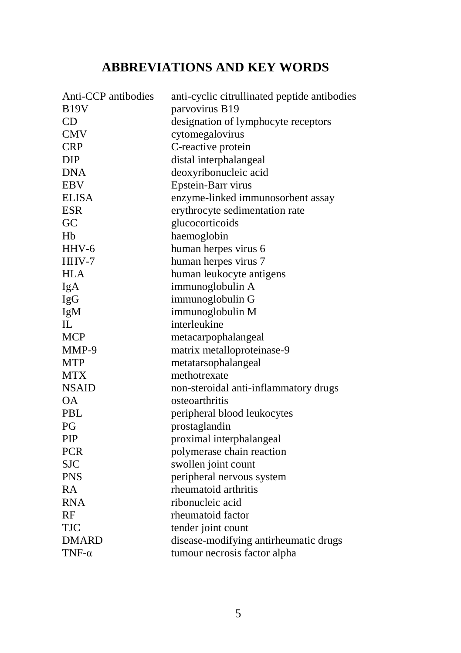# **ABBREVIATIONS AND KEY WORDS**

| Anti-CCP antibodies | anti-cyclic citrullinated peptide antibodies |
|---------------------|----------------------------------------------|
| <b>B19V</b>         | parvovirus B19                               |
| CD                  | designation of lymphocyte receptors          |
| <b>CMV</b>          | cytomegalovirus                              |
| <b>CRP</b>          | C-reactive protein                           |
| DIP                 | distal interphalangeal                       |
| <b>DNA</b>          | deoxyribonucleic acid                        |
| <b>EBV</b>          | Epstein-Barr virus                           |
| <b>ELISA</b>        | enzyme-linked immunosorbent assay            |
| <b>ESR</b>          | erythrocyte sedimentation rate               |
| GC                  | glucocorticoids                              |
| Hb                  | haemoglobin                                  |
| HHV-6               | human herpes virus 6                         |
| $HHV-7$             | human herpes virus 7                         |
| <b>HLA</b>          | human leukocyte antigens                     |
| IgA                 | immunoglobulin A                             |
| IgG                 | immunoglobulin G                             |
| IgM                 | immunoglobulin M                             |
| IL                  | interleukine                                 |
| <b>MCP</b>          | metacarpophalangeal                          |
| MMP-9               | matrix metalloproteinase-9                   |
| <b>MTP</b>          | metatarsophalangeal                          |
| <b>MTX</b>          | methotrexate                                 |
| <b>NSAID</b>        | non-steroidal anti-inflammatory drugs        |
| <b>OA</b>           | osteoarthritis                               |
| <b>PBL</b>          | peripheral blood leukocytes                  |
| PG                  | prostaglandin                                |
| PIP                 | proximal interphalangeal                     |
| <b>PCR</b>          | polymerase chain reaction                    |
| <b>SJC</b>          | swollen joint count                          |
| <b>PNS</b>          | peripheral nervous system                    |
| RA                  | rheumatoid arthritis                         |
| <b>RNA</b>          | ribonucleic acid                             |
| RF                  | rheumatoid factor                            |
| <b>TJC</b>          | tender joint count                           |
| <b>DMARD</b>        | disease-modifying antirheumatic drugs        |
| $TNF-\alpha$        | tumour necrosis factor alpha                 |
|                     |                                              |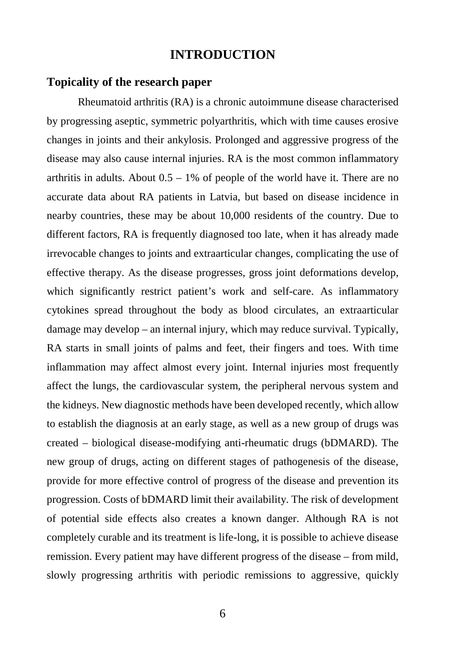# **INTRODUCTION**

#### **Topicality of the research paper**

Rheumatoid arthritis (RA) is a chronic autoimmune disease characterised by progressing aseptic, symmetric polyarthritis, which with time causes erosive changes in joints and their ankylosis. Prolonged and aggressive progress of the disease may also cause internal injuries. RA is the most common inflammatory arthritis in adults. About  $0.5 - 1\%$  of people of the world have it. There are no accurate data about RA patients in Latvia, but based on disease incidence in nearby countries, these may be about 10,000 residents of the country. Due to different factors, RA is frequently diagnosed too late, when it has already made irrevocable changes to joints and extraarticular changes, complicating the use of effective therapy. As the disease progresses, gross joint deformations develop, which significantly restrict patient's work and self-care. As inflammatory cytokines spread throughout the body as blood circulates, an extraarticular damage may develop – an internal injury, which may reduce survival. Typically, RA starts in small joints of palms and feet, their fingers and toes. With time inflammation may affect almost every joint. Internal injuries most frequently affect the lungs, the cardiovascular system, the peripheral nervous system and the kidneys. New diagnostic methods have been developed recently, which allow to establish the diagnosis at an early stage, as well as a new group of drugs was created – biological disease-modifying anti-rheumatic drugs (bDMARD). The new group of drugs, acting on different stages of pathogenesis of the disease, provide for more effective control of progress of the disease and prevention its progression. Costs of bDMARD limit their availability. The risk of development of potential side effects also creates a known danger. Although RA is not completely curable and its treatment is life-long, it is possible to achieve disease remission. Every patient may have different progress of the disease – from mild, slowly progressing arthritis with periodic remissions to aggressive, quickly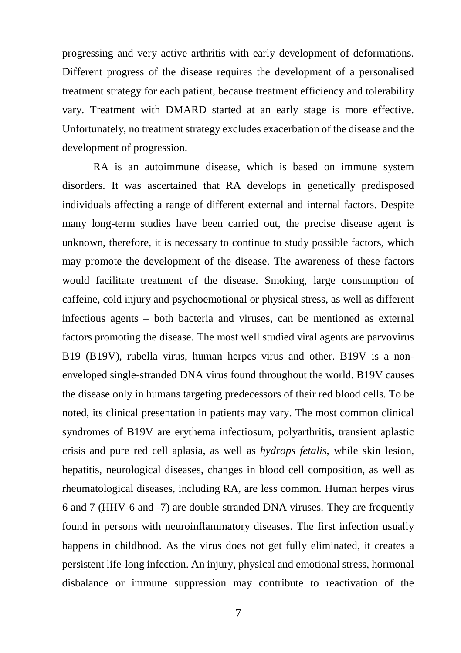progressing and very active arthritis with early development of deformations. Different progress of the disease requires the development of a personalised treatment strategy for each patient, because treatment efficiency and tolerability vary. Treatment with DMARD started at an early stage is more effective. Unfortunately, no treatment strategy excludes exacerbation of the disease and the development of progression.

RA is an autoimmune disease, which is based on immune system disorders. It was ascertained that RA develops in genetically predisposed individuals affecting a range of different external and internal factors. Despite many long-term studies have been carried out, the precise disease agent is unknown, therefore, it is necessary to continue to study possible factors, which may promote the development of the disease. The awareness of these factors would facilitate treatment of the disease. Smoking, large consumption of caffeine, cold injury and psychoemotional or physical stress, as well as different infectious agents – both bacteria and viruses, can be mentioned as external factors promoting the disease. The most well studied viral agents are parvovirus B19 (B19V), rubella virus, human herpes virus and other. B19V is a nonenveloped single-stranded DNA virus found throughout the world. B19V causes the disease only in humans targeting predecessors of their red blood cells. To be noted, its clinical presentation in patients may vary. The most common clinical syndromes of B19V are erythema infectiosum, polyarthritis, transient aplastic crisis and pure red cell aplasia, as well as *hydrops fetalis*, while skin lesion, hepatitis, neurological diseases, changes in blood cell composition, as well as rheumatological diseases, including RA, are less common. Human herpes virus 6 and 7 (HHV-6 and -7) are double-stranded DNA viruses. They are frequently found in persons with neuroinflammatory diseases. The first infection usually happens in childhood. As the virus does not get fully eliminated, it creates a persistent life-long infection. An injury, physical and emotional stress, hormonal disbalance or immune suppression may contribute to reactivation of the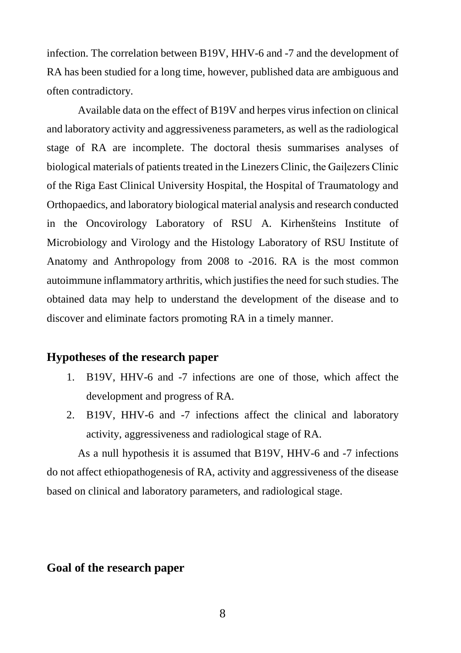infection. The correlation between B19V, HHV-6 and -7 and the development of RA has been studied for a long time, however, published data are ambiguous and often contradictory.

Available data on the effect of B19V and herpes virus infection on clinical and laboratory activity and aggressiveness parameters, as well as the radiological stage of RA are incomplete. The doctoral thesis summarises analyses of biological materials of patients treated in the Linezers Clinic, the Gaiļezers Clinic of the Riga East Clinical University Hospital, the Hospital of Traumatology and Orthopaedics, and laboratory biological material analysis and research conducted in the Oncovirology Laboratory of RSU A. Kirhenšteins Institute of Microbiology and Virology and the Histology Laboratory of RSU Institute of Anatomy and Anthropology from 2008 to -2016. RA is the most common autoimmune inflammatory arthritis, which justifies the need for such studies. The obtained data may help to understand the development of the disease and to discover and eliminate factors promoting RA in a timely manner.

#### **Hypotheses of the research paper**

- 1. B19V, HHV-6 and -7 infections are one of those, which affect the development and progress of RA.
- 2. B19V, HHV-6 and -7 infections affect the clinical and laboratory activity, aggressiveness and radiological stage of RA.

As a null hypothesis it is assumed that B19V, HHV-6 and -7 infections do not affect ethiopathogenesis of RA, activity and aggressiveness of the disease based on clinical and laboratory parameters, and radiological stage.

### **Goal of the research paper**

8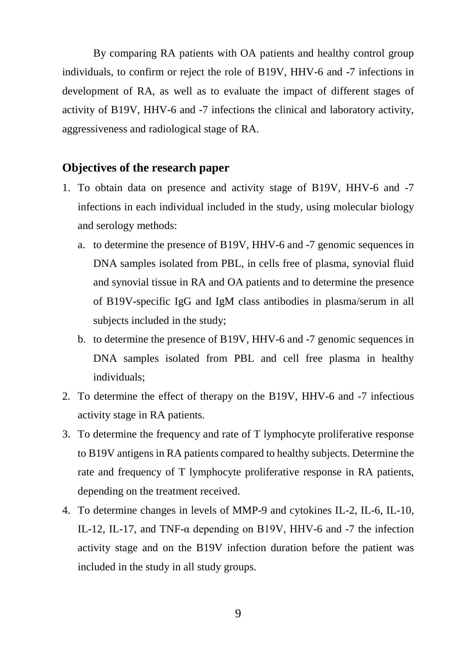By comparing RA patients with OA patients and healthy control group individuals, to confirm or reject the role of B19V, HHV-6 and -7 infections in development of RA, as well as to evaluate the impact of different stages of activity of B19V, HHV-6 and -7 infections the clinical and laboratory activity, aggressiveness and radiological stage of RA.

#### **Objectives of the research paper**

- 1. To obtain data on presence and activity stage of B19V, HHV-6 and -7 infections in each individual included in the study, using molecular biology and serology methods:
	- a. to determine the presence of B19V, HHV-6 and -7 genomic sequences in DNA samples isolated from PBL, in cells free of plasma, synovial fluid and synovial tissue in RA and OA patients and to determine the presence of B19V-specific IgG and IgM class antibodies in plasma/serum in all subjects included in the study;
	- b. to determine the presence of B19V, HHV-6 and -7 genomic sequences in DNA samples isolated from PBL and cell free plasma in healthy individuals;
- 2. To determine the effect of therapy on the B19V, HHV-6 and -7 infectious activity stage in RA patients.
- 3. To determine the frequency and rate of T lymphocyte proliferative response to B19V antigens in RA patients compared to healthy subjects. Determine the rate and frequency of T lymphocyte proliferative response in RA patients, depending on the treatment received.
- 4. To determine changes in levels of MMP-9 and cytokines IL-2, IL-6, IL-10, IL-12, IL-17, and TNF- $\alpha$  depending on B19V, HHV-6 and -7 the infection activity stage and on the B19V infection duration before the patient was included in the study in all study groups.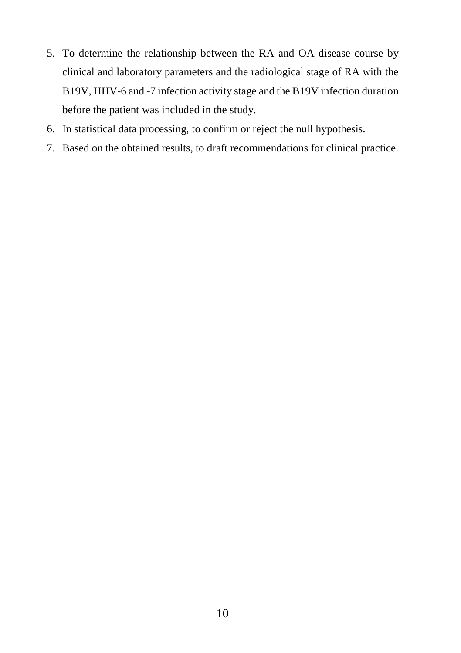- 5. To determine the relationship between the RA and OA disease course by clinical and laboratory parameters and the radiological stage of RA with the B19V, HHV-6 and -7 infection activity stage and the B19V infection duration before the patient was included in the study.
- 6. In statistical data processing, to confirm or reject the null hypothesis.
- 7. Based on the obtained results, to draft recommendations for clinical practice.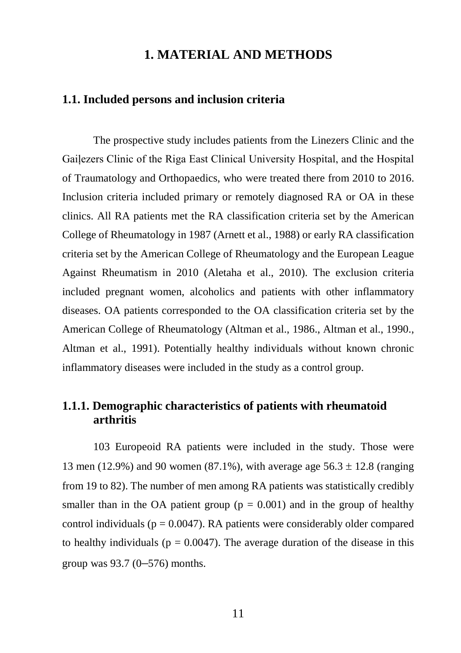# **1. MATERIAL AND METHODS**

#### **1.1. Included persons and inclusion criteria**

The prospective study includes patients from the Linezers Clinic and the Gaiļezers Clinic of the Riga East Clinical University Hospital, and the Hospital of Traumatology and Orthopaedics, who were treated there from 2010 to 2016. Inclusion criteria included primary or remotely diagnosed RA or OA in these clinics. All RA patients met the RA classification criteria set by the American College of Rheumatology in 1987 (Arnett et al., 1988) or early RA classification criteria set by the American College of Rheumatology and the European League Against Rheumatism in 2010 (Aletaha et al., 2010). The exclusion criteria included pregnant women, alcoholics and patients with other inflammatory diseases. OA patients corresponded to the OA classification criteria set by the American College of Rheumatology (Altman et al., 1986., Altman et al., 1990., Altman et al., 1991). Potentially healthy individuals without known chronic inflammatory diseases were included in the study as a control group.

# **1.1.1. Demographic characteristics of patients with rheumatoid arthritis**

103 Europeoid RA patients were included in the study. Those were 13 men (12.9%) and 90 women (87.1%), with average age  $56.3 \pm 12.8$  (ranging from 19 to 82). The number of men among RA patients was statistically credibly smaller than in the OA patient group ( $p = 0.001$ ) and in the group of healthy control individuals ( $p = 0.0047$ ). RA patients were considerably older compared to healthy individuals ( $p = 0.0047$ ). The average duration of the disease in this group was 93.7 (0–576) months.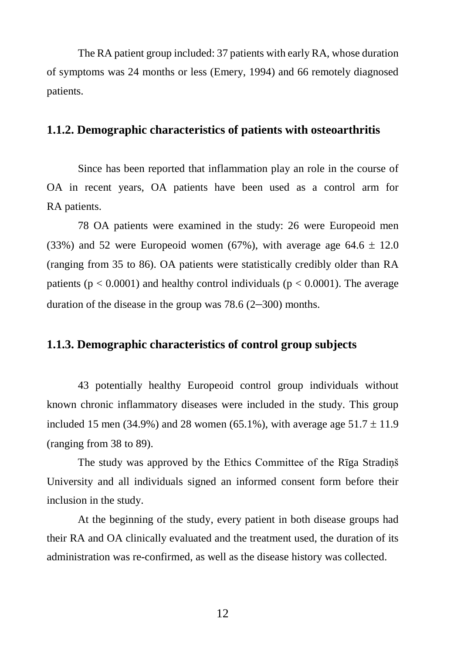The RA patient group included: 37 patients with early RA, whose duration of symptoms was 24 months or less (Emery, 1994) and 66 remotely diagnosed patients.

#### **1.1.2. Demographic characteristics of patients with osteoarthritis**

Since has been reported that inflammation play an role in the course of OA in recent years, OA patients have been used as a control arm for RA patients.

78 OA patients were examined in the study: 26 were Europeoid men (33%) and 52 were Europeoid women (67%), with average age  $64.6 \pm 12.0$ (ranging from 35 to 86). OA patients were statistically credibly older than RA patients ( $p < 0.0001$ ) and healthy control individuals ( $p < 0.0001$ ). The average duration of the disease in the group was 78.6 (2–300) months.

# **1.1.3. Demographic characteristics of control group subjects**

43 potentially healthy Europeoid control group individuals without known chronic inflammatory diseases were included in the study. This group included 15 men (34.9%) and 28 women (65.1%), with average age  $51.7 \pm 11.9$ (ranging from 38 to 89).

The study was approved by the Ethics Committee of the Rīga Stradiņš University and all individuals signed an informed consent form before their inclusion in the study.

At the beginning of the study, every patient in both disease groups had their RA and OA clinically evaluated and the treatment used, the duration of its administration was re-confirmed, as well as the disease history was collected.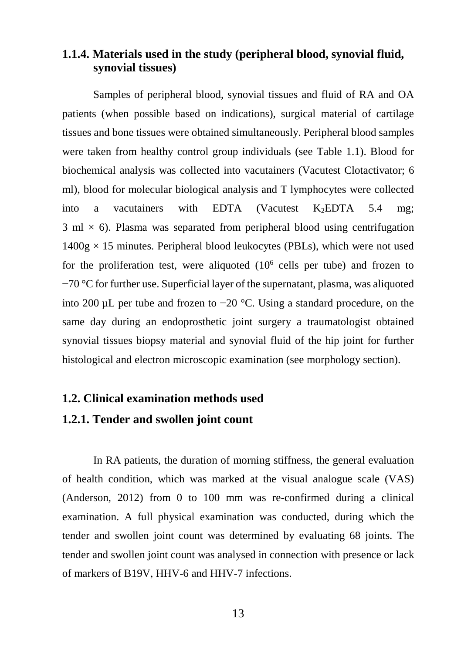# **1.1.4. Materials used in the study (peripheral blood, synovial fluid, synovial tissues)**

Samples of peripheral blood, synovial tissues and fluid of RA and OA patients (when possible based on indications), surgical material of cartilage tissues and bone tissues were obtained simultaneously. Peripheral blood samples were taken from healthy control group individuals (see Table 1.1). Blood for biochemical analysis was collected into vacutainers (Vacutest Clotactivator; 6 ml), blood for molecular biological analysis and T lymphocytes were collected into a vacutainers with EDTA (Vacutest K<sub>2</sub>EDTA 5.4 mg;  $3 \text{ ml} \times 6$ ). Plasma was separated from peripheral blood using centrifugation  $1400g \times 15$  minutes. Peripheral blood leukocytes (PBLs), which were not used for the proliferation test, were aliquoted  $(10^6 \text{ cells per tube})$  and frozen to −70 °C for further use. Superficial layer of the supernatant, plasma, was aliquoted into 200  $\mu$ L per tube and frozen to  $-20$  °C. Using a standard procedure, on the same day during an endoprosthetic joint surgery a traumatologist obtained synovial tissues biopsy material and synovial fluid of the hip joint for further histological and electron microscopic examination (see morphology section).

#### **1.2. Clinical examination methods used**

#### **1.2.1. Tender and swollen joint count**

In RA patients, the duration of morning stiffness, the general evaluation of health condition, which was marked at the visual analogue scale (VAS) (Anderson, 2012) from 0 to 100 mm was re-confirmed during a clinical examination. A full physical examination was conducted, during which the tender and swollen joint count was determined by evaluating 68 joints. The tender and swollen joint count was analysed in connection with presence or lack of markers of B19V, HHV-6 and HHV-7 infections.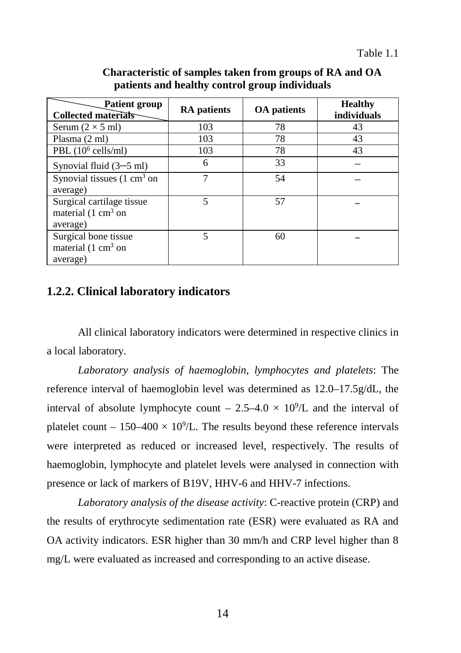| <b>Patient group</b><br><b>Collected materials</b>                              | <b>RA</b> patients | <b>OA</b> patients | <b>Healthy</b><br>individuals |  |
|---------------------------------------------------------------------------------|--------------------|--------------------|-------------------------------|--|
| Serum $(2 \times 5$ ml)                                                         | 103                | 78                 | 43                            |  |
| Plasma (2 ml)                                                                   | 103                | 78                 | 43                            |  |
| PBL $(10^6 \text{ cells/ml})$                                                   | 103                | 78                 | 43                            |  |
| Synovial fluid $(3-5$ ml)                                                       | 6                  | 33                 |                               |  |
| Synovial tissues $(1 \text{ cm}^3 \text{ on }$                                  | 7                  | 54                 |                               |  |
| average)                                                                        |                    |                    |                               |  |
| Surgical cartilage tissue<br>material $(1 \text{ cm}^3 \text{ on }$<br>average) | 5                  | 57                 |                               |  |
| Surgical bone tissue<br>material $(1 \text{ cm}^3 \text{ on }$<br>average)      | 5                  | 60                 |                               |  |

#### **Characteristic of samples taken from groups of RA and OA patients and healthy control group individuals**

### **1.2.2. Clinical laboratory indicators**

All clinical laboratory indicators were determined in respective clinics in a local laboratory.

*Laboratory analysis of haemoglobin, lymphocytes and platelets*: The reference interval of haemoglobin level was determined as 12.0–17.5g/dL, the interval of absolute lymphocyte count  $-2.5-4.0 \times 10^{9}/L$  and the interval of platelet count  $-150-400 \times 10^{9}$ L. The results beyond these reference intervals were interpreted as reduced or increased level, respectively. The results of haemoglobin, lymphocyte and platelet levels were analysed in connection with presence or lack of markers of B19V, HHV-6 and HHV-7 infections.

*Laboratory analysis of the disease activity*: C-reactive protein (CRP) and the results of erythrocyte sedimentation rate (ESR) were evaluated as RA and OA activity indicators. ESR higher than 30 mm/h and CRP level higher than 8 mg/L were evaluated as increased and corresponding to an active disease.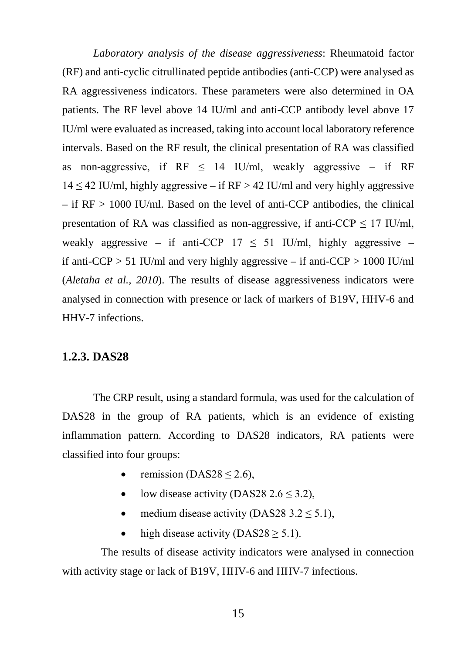*Laboratory analysis of the disease aggressiveness*: Rheumatoid factor (RF) and anti-cyclic citrullinated peptide antibodies (anti-CCP) were analysed as RA aggressiveness indicators. These parameters were also determined in OA patients. The RF level above 14 IU/ml and anti-CCP antibody level above 17 IU/ml were evaluated as increased, taking into account local laboratory reference intervals. Based on the RF result, the clinical presentation of RA was classified as non-aggressive, if  $RF \leq 14$  IU/ml, weakly aggressive – if RF  $14 \leq 42$  IU/ml, highly aggressive – if RF > 42 IU/ml and very highly aggressive  $-$  if  $RF > 1000$  IU/ml. Based on the level of anti-CCP antibodies, the clinical presentation of RA was classified as non-aggressive, if anti-CCP  $\leq$  17 IU/ml, weakly aggressive – if anti-CCP  $17 \leq 51$  IU/ml, highly aggressive – if anti-CCP  $> 51$  IU/ml and very highly aggressive – if anti-CCP  $> 1000$  IU/ml (*Aletaha et al., 2010*). The results of disease aggressiveness indicators were analysed in connection with presence or lack of markers of B19V, HHV-6 and HHV-7 infections.

#### **1.2.3. DAS28**

The CRP result, using a standard formula, was used for the calculation of DAS28 in the group of RA patients, which is an evidence of existing inflammation pattern. According to DAS28 indicators, RA patients were classified into four groups:

- remission (DAS28  $\leq$  2.6),
- low disease activity (DAS28 2.6  $\leq$  3.2),
- medium disease activity (DAS28 3.2  $\leq$  5.1),
- high disease activity (DAS28  $\geq$  5.1).

The results of disease activity indicators were analysed in connection with activity stage or lack of B19V, HHV-6 and HHV-7 infections.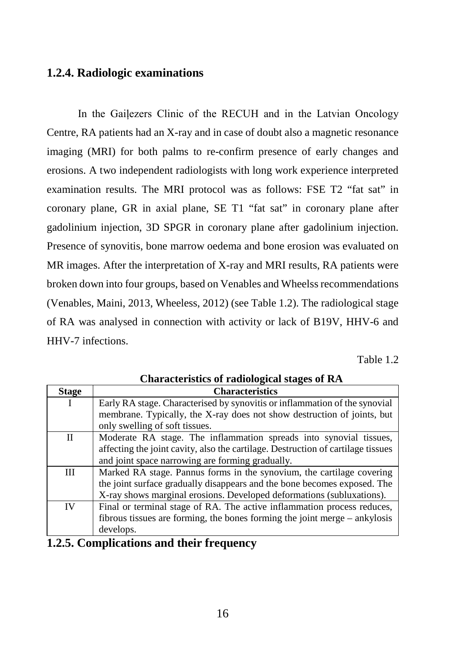#### **1.2.4. Radiologic examinations**

In the Gaiļezers Clinic of the RECUH and in the Latvian Oncology Centre, RA patients had an X-ray and in case of doubt also a magnetic resonance imaging (MRI) for both palms to re-confirm presence of early changes and erosions. A two independent radiologists with long work experience interpreted examination results. The MRI protocol was as follows: FSE T2 "fat sat" in coronary plane, GR in axial plane, SE T1 "fat sat" in coronary plane after gadolinium injection, 3D SPGR in coronary plane after gadolinium injection. Presence of synovitis, bone marrow oedema and bone erosion was evaluated on MR images. After the interpretation of X-ray and MRI results, RA patients were broken down into four groups, based on Venables and Wheelss recommendations (Venables, Maini, 2013, Wheeless, 2012) (see Table 1.2). The radiological stage of RA was analysed in connection with activity or lack of B19V, HHV-6 and HHV-7 infections.

Table 1.2

| <b>Stage</b> | <b>Characteristics</b>                                                           |  |  |  |  |
|--------------|----------------------------------------------------------------------------------|--|--|--|--|
|              | Early RA stage. Characterised by synovitis or inflammation of the synovial       |  |  |  |  |
|              | membrane. Typically, the X-ray does not show destruction of joints, but          |  |  |  |  |
|              | only swelling of soft tissues.                                                   |  |  |  |  |
| $\mathbf{I}$ | Moderate RA stage. The inflammation spreads into synovial tissues,               |  |  |  |  |
|              | affecting the joint cavity, also the cartilage. Destruction of cartilage tissues |  |  |  |  |
|              | and joint space narrowing are forming gradually.                                 |  |  |  |  |
| Ш            | Marked RA stage. Pannus forms in the synovium, the cartilage covering            |  |  |  |  |
|              | the joint surface gradually disappears and the bone becomes exposed. The         |  |  |  |  |
|              | X-ray shows marginal erosions. Developed deformations (subluxations).            |  |  |  |  |
| <b>IV</b>    | Final or terminal stage of RA. The active inflammation process reduces,          |  |  |  |  |
|              | fibrous tissues are forming, the bones forming the joint merge $-$ ankylosis     |  |  |  |  |
|              | develops.                                                                        |  |  |  |  |

**Characteristics of radiological stages of RA**

### **1.2.5. Complications and their frequency**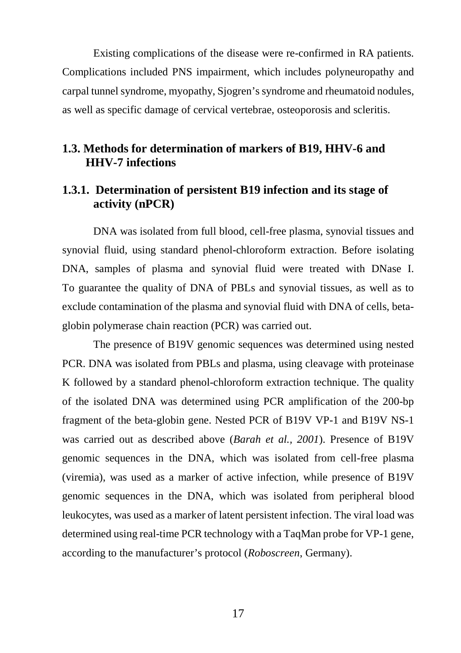Existing complications of the disease were re-confirmed in RA patients. Complications included PNS impairment, which includes polyneuropathy and carpal tunnel syndrome, myopathy, Sjogren's syndrome and rheumatoid nodules, as well as specific damage of cervical vertebrae, osteoporosis and scleritis.

# **1.3. Methods for determination of markers of B19, HHV-6 and HHV-7 infections**

# **1.3.1. Determination of persistent B19 infection and its stage of activity (nPCR)**

DNA was isolated from full blood, cell-free plasma, synovial tissues and synovial fluid, using standard phenol-chloroform extraction. Before isolating DNA, samples of plasma and synovial fluid were treated with DNase I. To guarantee the quality of DNA of PBLs and synovial tissues, as well as to exclude contamination of the plasma and synovial fluid with DNA of cells, betaglobin polymerase chain reaction (PCR) was carried out.

The presence of B19V genomic sequences was determined using nested PCR. DNA was isolated from PBLs and plasma, using cleavage with proteinase K followed by a standard phenol-chloroform extraction technique. The quality of the isolated DNA was determined using PCR amplification of the 200-bp fragment of the beta-globin gene. Nested PCR of B19V VP-1 and B19V NS-1 was carried out as described above (*Barah et al., 2001*). Presence of B19V genomic sequences in the DNA, which was isolated from cell-free plasma (viremia), was used as a marker of active infection, while presence of B19V genomic sequences in the DNA, which was isolated from peripheral blood leukocytes, was used as a marker of latent persistent infection. The viral load was determined using real-time PCR technology with a TaqMan probe for VP-1 gene, according to the manufacturer's protocol (*Roboscreen*, Germany).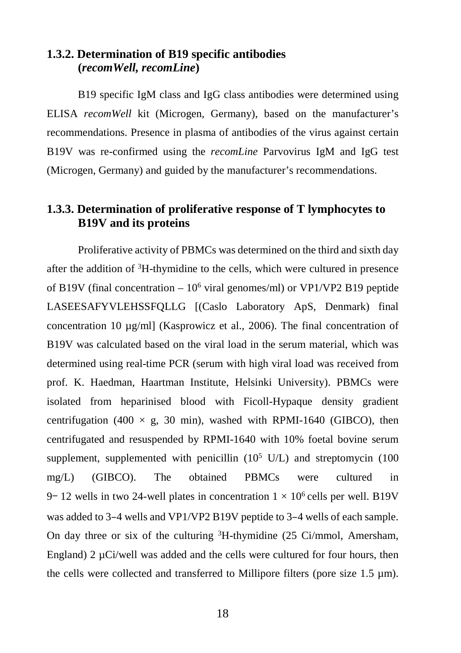# **1.3.2. Determination of B19 specific antibodies (***recomWell, recomLine***)**

B19 specific IgM class and IgG class antibodies were determined using ELISA *recomWell* kit (Microgen, Germany), based on the manufacturer's recommendations. Presence in plasma of antibodies of the virus against certain B19V was re-confirmed using the *recomLine* Parvovirus IgM and IgG test (Microgen, Germany) and guided by the manufacturer's recommendations.

# **1.3.3. Determination of proliferative response of T lymphocytes to B19V and its proteins**

Proliferative activity of PBMCs was determined on the third and sixth day after the addition of 3 H-thymidine to the cells, which were cultured in presence of B19V (final concentration  $-10^6$  viral genomes/ml) or VP1/VP2 B19 peptide LASEESAFYVLEHSSFQLLG [(Caslo Laboratory ApS, Denmark) final concentration 10 µg/ml] (Kasprowicz et al., 2006). The final concentration of B19V was calculated based on the viral load in the serum material, which was determined using real-time PCR (serum with high viral load was received from prof. K. Haedman, Haartman Institute, Helsinki University). PBMCs were isolated from heparinised blood with Ficoll-Hypaque density gradient centrifugation (400  $\times$  g, 30 min), washed with RPMI-1640 (GIBCO), then centrifugated and resuspended by RPMI-1640 with 10% foetal bovine serum supplement, supplemented with penicillin  $(10^5 \text{ U/L})$  and streptomycin  $(100 \text{ V/L})$ mg/L) (GIBCO). The obtained PBMCs were cultured in 9– 12 wells in two 24-well plates in concentration  $1 \times 10^6$  cells per well. B19V was added to 3–4 wells and VP1/VP2 B19V peptide to 3–4 wells of each sample. On day three or six of the culturing  ${}^{3}$ H-thymidine (25 Ci/mmol, Amersham, England) 2  $\mu$ Ci/well was added and the cells were cultured for four hours, then the cells were collected and transferred to Millipore filters (pore size  $1.5 \mu m$ ).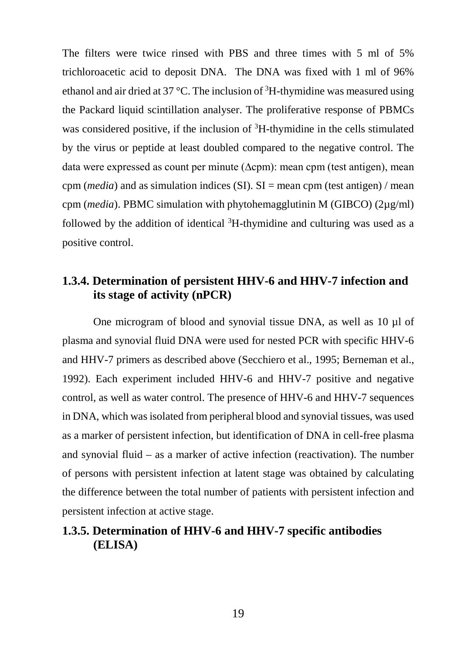The filters were twice rinsed with PBS and three times with 5 ml of 5% trichloroacetic acid to deposit DNA. The DNA was fixed with 1 ml of 96% ethanol and air dried at 37 °C. The inclusion of  ${}^{3}$ H-thymidine was measured using the Packard liquid scintillation analyser. The proliferative response of PBMCs was considered positive, if the inclusion of <sup>3</sup>H-thymidine in the cells stimulated by the virus or peptide at least doubled compared to the negative control. The data were expressed as count per minute (∆cpm): mean cpm (test antigen), mean cpm ( $median$ ) and as simulation indices (SI). SI = mean cpm (test antigen) / mean cpm (*media*). PBMC simulation with phytohemagglutinin M (GIBCO) (2µg/ml) followed by the addition of identical  ${}^{3}H$ -thymidine and culturing was used as a positive control.

# **1.3.4. Determination of persistent HHV-6 and HHV-7 infection and its stage of activity (nPCR)**

One microgram of blood and synovial tissue DNA, as well as 10 µl of plasma and synovial fluid DNA were used for nested PCR with specific HHV-6 and HHV-7 primers as described above (Secchiero et al., 1995; Berneman et al., 1992). Each experiment included HHV-6 and HHV-7 positive and negative control, as well as water control. The presence of HHV-6 and HHV-7 sequences in DNA, which was isolated from peripheral blood and synovial tissues, was used as a marker of persistent infection, but identification of DNA in cell-free plasma and synovial fluid – as a marker of active infection (reactivation). The number of persons with persistent infection at latent stage was obtained by calculating the difference between the total number of patients with persistent infection and persistent infection at active stage.

# **1.3.5. Determination of HHV-6 and HHV-7 specific antibodies (ELISA)**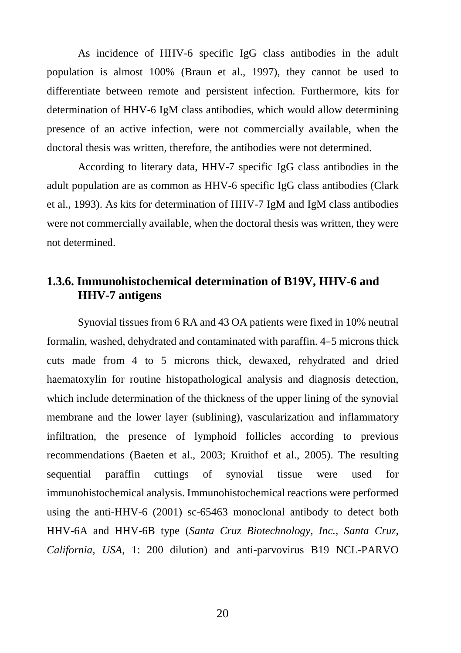As incidence of HHV-6 specific IgG class antibodies in the adult population is almost 100% (Braun et al., 1997), they cannot be used to differentiate between remote and persistent infection. Furthermore, kits for determination of HHV-6 IgM class antibodies, which would allow determining presence of an active infection, were not commercially available, when the doctoral thesis was written, therefore, the antibodies were not determined.

According to literary data, HHV-7 specific IgG class antibodies in the adult population are as common as HHV-6 specific IgG class antibodies (Clark et al., 1993). As kits for determination of HHV-7 IgM and IgM class antibodies were not commercially available, when the doctoral thesis was written, they were not determined.

# **1.3.6. Immunohistochemical determination of B19V, HHV-6 and HHV-7 antigens**

Synovial tissues from 6 RA and 43 OA patients were fixed in 10% neutral formalin, washed, dehydrated and contaminated with paraffin. 4–5 microns thick cuts made from 4 to 5 microns thick, dewaxed, rehydrated and dried haematoxylin for routine histopathological analysis and diagnosis detection, which include determination of the thickness of the upper lining of the synovial membrane and the lower layer (sublining), vascularization and inflammatory infiltration, the presence of lymphoid follicles according to previous recommendations (Baeten et al., 2003; Kruithof et al., 2005). The resulting sequential paraffin cuttings of synovial tissue were used for immunohistochemical analysis. Immunohistochemical reactions were performed using the anti-HHV-6 (2001) sc-65463 monoclonal antibody to detect both HHV-6A and HHV-6B type (*Santa Cruz Biotechnology, Inc., Santa Cruz, California, USA*, 1: 200 dilution) and anti-parvovirus B19 NCL-PARVO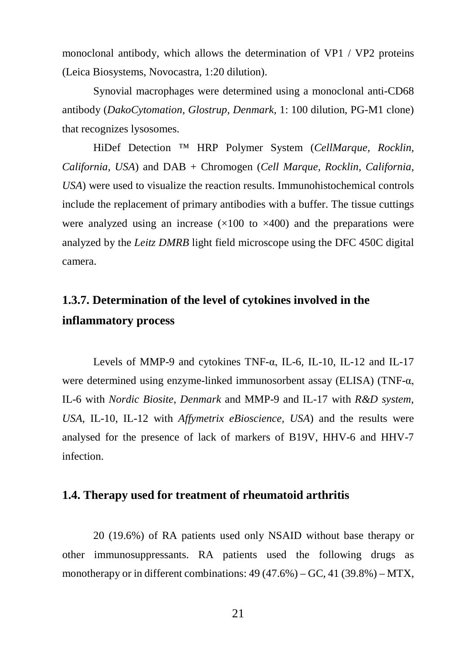monoclonal antibody, which allows the determination of VP1 / VP2 proteins (Leica Biosystems, Novocastra, 1:20 dilution).

Synovial macrophages were determined using a monoclonal anti-CD68 antibody (*DakoCytomation, Glostrup, Denmark*, 1: 100 dilution, PG-M1 clone) that recognizes lysosomes.

HiDef Detection ™ HRP Polymer System (*CellMarque, Rocklin, California, USA*) and DAB + Chromogen (*Cell Marque, Rocklin, California, USA*) were used to visualize the reaction results. Immunohistochemical controls include the replacement of primary antibodies with a buffer. The tissue cuttings were analyzed using an increase  $(\times 100$  to  $\times 400)$  and the preparations were analyzed by the *Leitz DMRB* light field microscope using the DFC 450C digital camera.

# **1.3.7. Determination of the level of cytokines involved in the inflammatory process**

Levels of MMP-9 and cytokines TNF-α, IL-6, IL-10, IL-12 and IL-17 were determined using enzyme-linked immunosorbent assay (ELISA) (TNF-α, IL-6 with *Nordic Biosite*, *Denmark* and MMP-9 and IL-17 with *R&D system*, *USA*, IL-10, IL-12 with *Affymetrix eBioscience, USA*) and the results were analysed for the presence of lack of markers of B19V, HHV-6 and HHV-7 infection.

#### **1.4. Therapy used for treatment of rheumatoid arthritis**

20 (19.6%) of RA patients used only NSAID without base therapy or other immunosuppressants. RA patients used the following drugs as monotherapy or in different combinations: 49 (47.6%) – GC, 41 (39.8%) – MTX,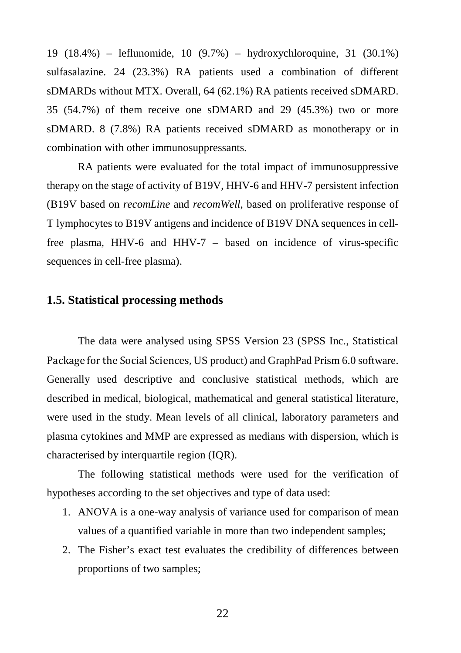19 (18.4%) – leflunomide, 10 (9.7%) – hydroxychloroquine, 31 (30.1%) sulfasalazine. 24 (23.3%) RA patients used a combination of different sDMARDs without MTX. Overall, 64 (62.1%) RA patients received sDMARD. 35 (54.7%) of them receive one sDMARD and 29 (45.3%) two or more sDMARD. 8 (7.8%) RA patients received sDMARD as monotherapy or in combination with other immunosuppressants.

RA patients were evaluated for the total impact of immunosuppressive therapy on the stage of activity of B19V, HHV-6 and HHV-7 persistent infection (B19V based on *recomLine* and *recomWell*, based on proliferative response of T lymphocytes to B19V antigens and incidence of B19V DNA sequences in cellfree plasma, HHV-6 and HHV-7 – based on incidence of virus-specific sequences in cell-free plasma).

#### **1.5. Statistical processing methods**

The data were analysed using SPSS Version 23 (SPSS Inc., Statistical Package for the Social Sciences, US product) and GraphPad Prism 6.0 software. Generally used descriptive and conclusive statistical methods, which are described in medical, biological, mathematical and general statistical literature, were used in the study. Mean levels of all clinical, laboratory parameters and plasma cytokines and MMP are expressed as medians with dispersion, which is characterised by interquartile region (IQR).

The following statistical methods were used for the verification of hypotheses according to the set objectives and type of data used:

- 1. ANOVA is a one-way analysis of variance used for comparison of mean values of a quantified variable in more than two independent samples;
- 2. The Fisher's exact test evaluates the credibility of differences between proportions of two samples;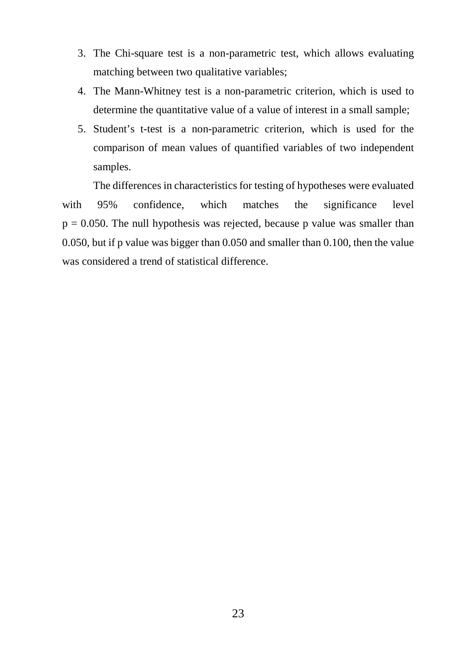- 3. The Chi-square test is a non-parametric test, which allows evaluating matching between two qualitative variables;
- 4. The Mann-Whitney test is a non-parametric criterion, which is used to determine the quantitative value of a value of interest in a small sample;
- 5. Student's t-test is a non-parametric criterion, which is used for the comparison of mean values of quantified variables of two independent samples.

The differences in characteristics for testing of hypotheses were evaluated with 95% confidence, which matches the significance level  $p = 0.050$ . The null hypothesis was rejected, because p value was smaller than 0.050, but if p value was bigger than 0.050 and smaller than 0.100, then the value was considered a trend of statistical difference.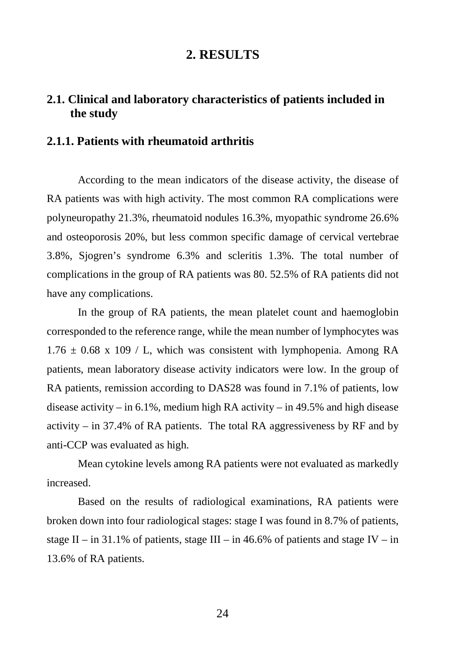# **2. RESULTS**

# **2.1. Clinical and laboratory characteristics of patients included in the study**

#### **2.1.1. Patients with rheumatoid arthritis**

According to the mean indicators of the disease activity, the disease of RA patients was with high activity. The most common RA complications were polyneuropathy 21.3%, rheumatoid nodules 16.3%, myopathic syndrome 26.6% and osteoporosis 20%, but less common specific damage of cervical vertebrae 3.8%, Sjogren's syndrome 6.3% and scleritis 1.3%. The total number of complications in the group of RA patients was 80. 52.5% of RA patients did not have any complications.

In the group of RA patients, the mean platelet count and haemoglobin corresponded to the reference range, while the mean number of lymphocytes was  $1.76 \pm 0.68$  x 109 / L, which was consistent with lymphopenia. Among RA patients, mean laboratory disease activity indicators were low. In the group of RA patients, remission according to DAS28 was found in 7.1% of patients, low disease activity – in 6.1%, medium high RA activity – in 49.5% and high disease activity – in  $37.4\%$  of RA patients. The total RA aggressiveness by RF and by anti-CCP was evaluated as high.

Mean cytokine levels among RA patients were not evaluated as markedly increased.

Based on the results of radiological examinations, RA patients were broken down into four radiological stages: stage I was found in 8.7% of patients, stage II – in 31.1% of patients, stage III – in 46.6% of patients and stage IV – in 13.6% of RA patients.

24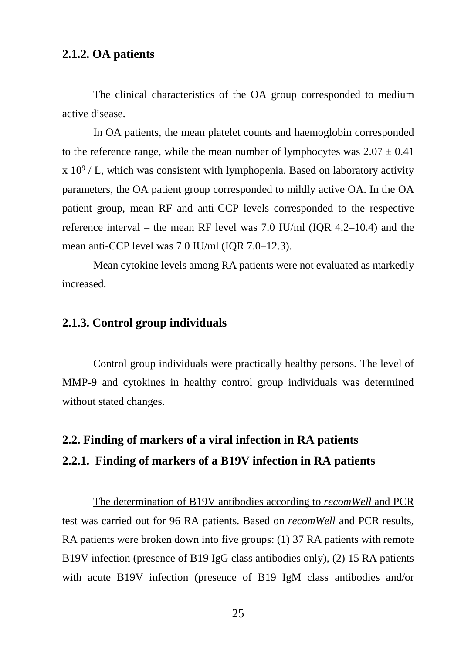# **2.1.2. OA patients**

The clinical characteristics of the OA group corresponded to medium active disease.

In OA patients, the mean platelet counts and haemoglobin corresponded to the reference range, while the mean number of lymphocytes was  $2.07 \pm 0.41$  $x 10^9$  / L, which was consistent with lymphopenia. Based on laboratory activity parameters, the OA patient group corresponded to mildly active OA. In the OA patient group, mean RF and anti-CCP levels corresponded to the respective reference interval – the mean RF level was 7.0 IU/ml (IQR 4.2–10.4) and the mean anti-CCP level was 7.0 IU/ml (IQR 7.0–12.3).

Mean cytokine levels among RA patients were not evaluated as markedly increased.

# **2.1.3. Control group individuals**

Control group individuals were practically healthy persons. The level of MMP-9 and cytokines in healthy control group individuals was determined without stated changes.

# **2.2. Finding of markers of a viral infection in RA patients**

# **2.2.1. Finding of markers of a B19V infection in RA patients**

The determination of B19V antibodies according to *recomWell* and PCR test was carried out for 96 RA patients. Based on *recomWell* and PCR results, RA patients were broken down into five groups: (1) 37 RA patients with remote B19V infection (presence of B19 IgG class antibodies only), (2) 15 RA patients with acute B19V infection (presence of B19 IgM class antibodies and/or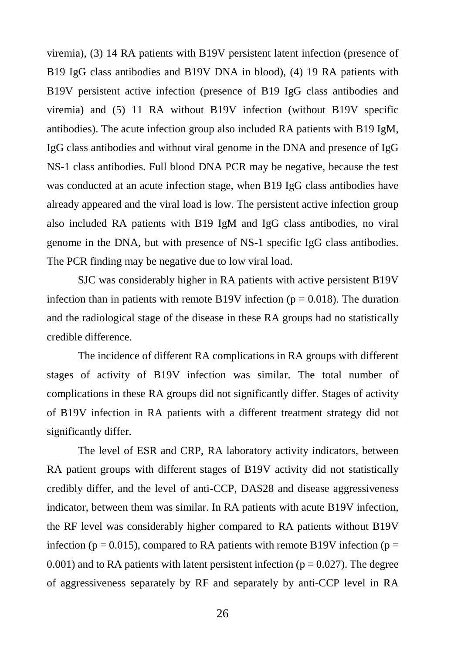viremia), (3) 14 RA patients with B19V persistent latent infection (presence of B19 IgG class antibodies and B19V DNA in blood), (4) 19 RA patients with B19V persistent active infection (presence of B19 IgG class antibodies and viremia) and (5) 11 RA without B19V infection (without B19V specific antibodies). The acute infection group also included RA patients with B19 IgM, IgG class antibodies and without viral genome in the DNA and presence of IgG NS-1 class antibodies. Full blood DNA PCR may be negative, because the test was conducted at an acute infection stage, when B19 IgG class antibodies have already appeared and the viral load is low. The persistent active infection group also included RA patients with B19 IgM and IgG class antibodies, no viral genome in the DNA, but with presence of NS-1 specific IgG class antibodies. The PCR finding may be negative due to low viral load.

SJC was considerably higher in RA patients with active persistent B19V infection than in patients with remote B19V infection ( $p = 0.018$ ). The duration and the radiological stage of the disease in these RA groups had no statistically credible difference.

The incidence of different RA complications in RA groups with different stages of activity of B19V infection was similar. The total number of complications in these RA groups did not significantly differ. Stages of activity of B19V infection in RA patients with a different treatment strategy did not significantly differ.

The level of ESR and CRP, RA laboratory activity indicators, between RA patient groups with different stages of B19V activity did not statistically credibly differ, and the level of anti-CCP, DAS28 and disease aggressiveness indicator, between them was similar. In RA patients with acute B19V infection, the RF level was considerably higher compared to RA patients without B19V infection ( $p = 0.015$ ), compared to RA patients with remote B19V infection ( $p =$ 0.001) and to RA patients with latent persistent infection ( $p = 0.027$ ). The degree of aggressiveness separately by RF and separately by anti-CCP level in RA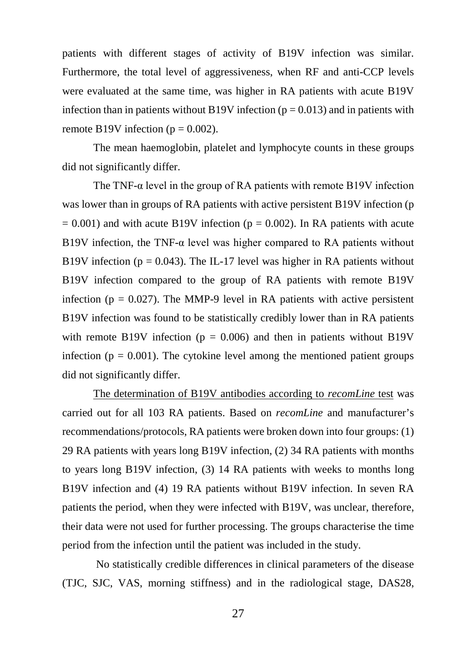patients with different stages of activity of B19V infection was similar. Furthermore, the total level of aggressiveness, when RF and anti-CCP levels were evaluated at the same time, was higher in RA patients with acute B19V infection than in patients without B19V infection ( $p = 0.013$ ) and in patients with remote B19V infection ( $p = 0.002$ ).

The mean haemoglobin, platelet and lymphocyte counts in these groups did not significantly differ.

The TNF- $\alpha$  level in the group of RA patients with remote B19V infection was lower than in groups of RA patients with active persistent B19V infection (p  $= 0.001$ ) and with acute B19V infection (p  $= 0.002$ ). In RA patients with acute B19V infection, the TNF- $\alpha$  level was higher compared to RA patients without B19V infection ( $p = 0.043$ ). The IL-17 level was higher in RA patients without B19V infection compared to the group of RA patients with remote B19V infection ( $p = 0.027$ ). The MMP-9 level in RA patients with active persistent B19V infection was found to be statistically credibly lower than in RA patients with remote B19V infection ( $p = 0.006$ ) and then in patients without B19V infection ( $p = 0.001$ ). The cytokine level among the mentioned patient groups did not significantly differ.

The determination of B19V antibodies according to *recomLine* test was carried out for all 103 RA patients. Based on *recomLine* and manufacturer's recommendations/protocols, RA patients were broken down into four groups: (1) 29 RA patients with years long B19V infection, (2) 34 RA patients with months to years long B19V infection, (3) 14 RA patients with weeks to months long B19V infection and (4) 19 RA patients without B19V infection. In seven RA patients the period, when they were infected with B19V, was unclear, therefore, their data were not used for further processing. The groups characterise the time period from the infection until the patient was included in the study.

No statistically credible differences in clinical parameters of the disease (TJC, SJC, VAS, morning stiffness) and in the radiological stage, DAS28,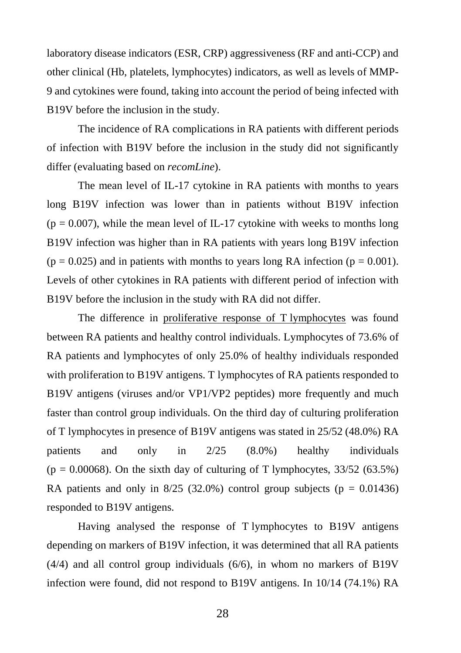laboratory disease indicators (ESR, CRP) aggressiveness (RF and anti-CCP) and other clinical (Hb, platelets, lymphocytes) indicators, as well as levels of MMP-9 and cytokines were found, taking into account the period of being infected with B19V before the inclusion in the study.

The incidence of RA complications in RA patients with different periods of infection with B19V before the inclusion in the study did not significantly differ (evaluating based on *recomLine*).

The mean level of IL-17 cytokine in RA patients with months to years long B19V infection was lower than in patients without B19V infection  $(p = 0.007)$ , while the mean level of IL-17 cytokine with weeks to months long B19V infection was higher than in RA patients with years long B19V infection  $(p = 0.025)$  and in patients with months to years long RA infection ( $p = 0.001$ ). Levels of other cytokines in RA patients with different period of infection with B19V before the inclusion in the study with RA did not differ.

The difference in proliferative response of T lymphocytes was found between RA patients and healthy control individuals. Lymphocytes of 73.6% of RA patients and lymphocytes of only 25.0% of healthy individuals responded with proliferation to B19V antigens. T lymphocytes of RA patients responded to B19V antigens (viruses and/or VP1/VP2 peptides) more frequently and much faster than control group individuals. On the third day of culturing proliferation of T lymphocytes in presence of B19V antigens was stated in 25/52 (48.0%) RA patients and only in 2/25 (8.0%) healthy individuals  $(p = 0.00068)$ . On the sixth day of culturing of T lymphocytes, 33/52 (63.5%) RA patients and only in  $8/25$  (32.0%) control group subjects (p = 0.01436) responded to B19V antigens.

Having analysed the response of T lymphocytes to B19V antigens depending on markers of B19V infection, it was determined that all RA patients (4/4) and all control group individuals (6/6), in whom no markers of B19V infection were found, did not respond to B19V antigens. In 10/14 (74.1%) RA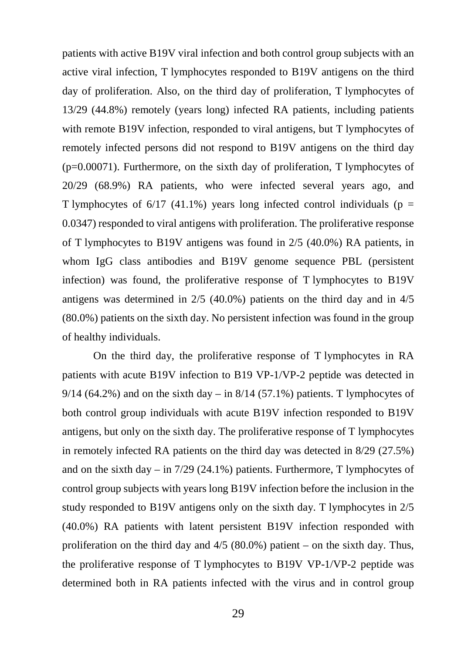patients with active B19V viral infection and both control group subjects with an active viral infection, T lymphocytes responded to B19V antigens on the third day of proliferation. Also, on the third day of proliferation, T lymphocytes of 13/29 (44.8%) remotely (years long) infected RA patients, including patients with remote B19V infection, responded to viral antigens, but T lymphocytes of remotely infected persons did not respond to B19V antigens on the third day (p=0.00071). Furthermore, on the sixth day of proliferation, T lymphocytes of 20/29 (68.9%) RA patients, who were infected several years ago, and T lymphocytes of  $6/17$  (41.1%) years long infected control individuals (p = 0.0347) responded to viral antigens with proliferation. The proliferative response of T lymphocytes to B19V antigens was found in 2/5 (40.0%) RA patients, in whom IgG class antibodies and B19V genome sequence PBL (persistent infection) was found, the proliferative response of T lymphocytes to B19V antigens was determined in 2/5 (40.0%) patients on the third day and in 4/5 (80.0%) patients on the sixth day. No persistent infection was found in the group of healthy individuals.

On the third day, the proliferative response of T lymphocytes in RA patients with acute B19V infection to B19 VP-1/VP-2 peptide was detected in 9/14 (64.2%) and on the sixth day – in  $8/14$  (57.1%) patients. T lymphocytes of both control group individuals with acute B19V infection responded to B19V antigens, but only on the sixth day. The proliferative response of T lymphocytes in remotely infected RA patients on the third day was detected in 8/29 (27.5%) and on the sixth day – in 7/29 (24.1%) patients. Furthermore, T lymphocytes of control group subjects with years long B19V infection before the inclusion in the study responded to B19V antigens only on the sixth day. T lymphocytes in 2/5 (40.0%) RA patients with latent persistent B19V infection responded with proliferation on the third day and  $4/5$  (80.0%) patient – on the sixth day. Thus, the proliferative response of T lymphocytes to B19V VP-1/VP-2 peptide was determined both in RA patients infected with the virus and in control group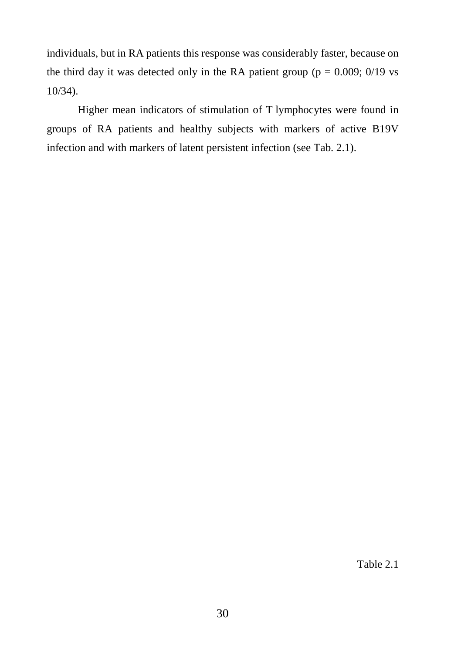individuals, but in RA patients this response was considerably faster, because on the third day it was detected only in the RA patient group ( $p = 0.009$ ; 0/19 vs 10/34).

Higher mean indicators of stimulation of T lymphocytes were found in groups of RA patients and healthy subjects with markers of active B19V infection and with markers of latent persistent infection (see Tab. 2.1).

Table 2.1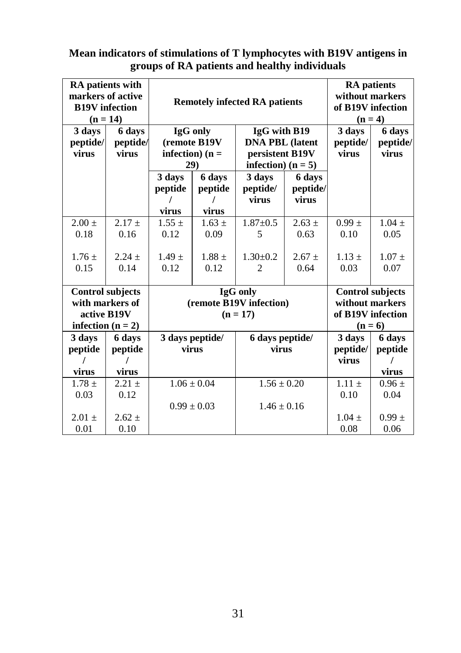# **Mean indicators of stimulations of T lymphocytes with B19V antigens in groups of RA patients and healthy individuals**

| RA patients with<br>markers of active<br><b>B19V</b> infection<br>$(n = 14)$ |                                     | <b>Remotely infected RA patients</b>               |                                    |                 |                        | <b>RA</b> patients<br>without markers<br>of B19V infection<br>$(n=4)$ |                   |         |  |
|------------------------------------------------------------------------------|-------------------------------------|----------------------------------------------------|------------------------------------|-----------------|------------------------|-----------------------------------------------------------------------|-------------------|---------|--|
| 3 days                                                                       | 6 days                              | IgG with B19<br>IgG only<br><b>DNA PBL</b> (latent |                                    | 3 days          | 6 days                 |                                                                       |                   |         |  |
| peptide/<br>virus                                                            | peptide/<br>virus                   |                                                    | (remote B19V<br>infection) ( $n =$ |                 | persistent B19V        | peptide/<br>virus                                                     | peptide/<br>virus |         |  |
|                                                                              |                                     |                                                    | 29)                                |                 | infection) ( $n = 5$ ) |                                                                       |                   |         |  |
|                                                                              |                                     | 3 days                                             | 6 days                             | 3 days          | 6 days                 |                                                                       |                   |         |  |
|                                                                              |                                     | peptide                                            | peptide                            | peptide/        | peptide/               |                                                                       |                   |         |  |
|                                                                              |                                     |                                                    |                                    | virus           | virus                  |                                                                       |                   |         |  |
|                                                                              |                                     | virus                                              | virus                              |                 |                        |                                                                       |                   |         |  |
| $2.00 \pm$                                                                   | $2.17 +$                            | $1.55 \pm$                                         | $1.63 \pm$                         | $1.87 + 0.5$    | $2.63 \pm$             | $0.99 \pm$                                                            | $1.04 \pm$        |         |  |
| 0.18                                                                         | 0.16                                | 0.12                                               | 0.09                               | 5               | 0.63                   | 0.10                                                                  | 0.05              |         |  |
| $1.76 \pm$                                                                   | $2.24 +$                            | $1.49 \pm$                                         | $1.88 \pm$                         | $1.30 \pm 0.2$  | $2.67 \pm$             | $1.13 \pm$                                                            | $1.07 \pm$        |         |  |
| 0.15                                                                         | 0.14                                | 0.12                                               | 0.12                               | $\overline{c}$  | 0.64                   | 0.03                                                                  | 0.07              |         |  |
|                                                                              |                                     |                                                    |                                    |                 |                        |                                                                       |                   |         |  |
|                                                                              | IgG only<br><b>Control subjects</b> |                                                    | <b>Control subjects</b>            |                 |                        |                                                                       |                   |         |  |
| with markers of                                                              |                                     | (remote B19V infection)                            |                                    |                 | without markers        |                                                                       |                   |         |  |
| active B19V                                                                  | $(n = 17)$                          |                                                    | of B19V infection                  |                 |                        |                                                                       |                   |         |  |
| infection ( $n = 2$ )                                                        |                                     |                                                    |                                    |                 |                        |                                                                       |                   | $(n=6)$ |  |
| 3 days                                                                       | 6 days                              |                                                    | 3 days peptide/                    | 6 days peptide/ |                        | 3 days                                                                | 6 days            |         |  |
| peptide                                                                      | peptide                             | virus                                              |                                    | virus           |                        | peptide/                                                              | peptide           |         |  |
|                                                                              |                                     |                                                    |                                    |                 |                        | virus                                                                 |                   |         |  |
| virus                                                                        | virus                               |                                                    |                                    |                 |                        |                                                                       | virus             |         |  |
| $1.78 \pm$                                                                   | $2.21 +$                            | $1.06 \pm 0.04$                                    |                                    | $1.56 \pm 0.20$ |                        | $1.11 \pm$                                                            | $0.96 \pm$        |         |  |
| 0.03                                                                         | 0.12                                |                                                    |                                    |                 |                        | 0.10                                                                  | 0.04              |         |  |
|                                                                              |                                     |                                                    | $0.99 \pm 0.03$                    | $1.46 + 0.16$   |                        |                                                                       |                   |         |  |
| $2.01 +$                                                                     | $2.62 +$                            |                                                    |                                    |                 |                        | $1.04 +$                                                              | $0.99 \pm$        |         |  |
| 0.01                                                                         | 0.10                                |                                                    |                                    |                 |                        | 0.08                                                                  | 0.06              |         |  |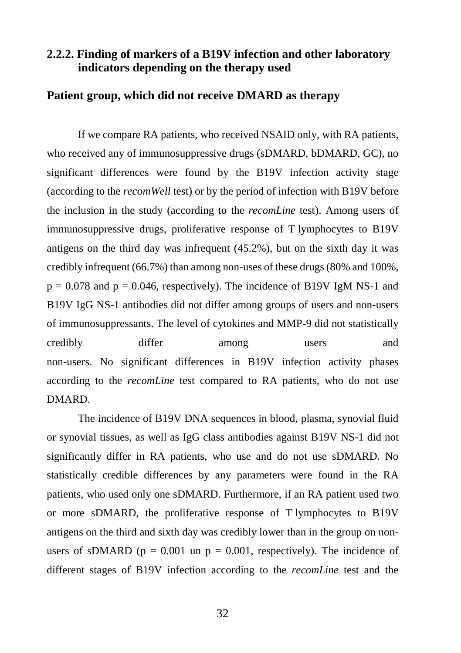# **2.2.2. Finding of markers of a B19V infection and other laboratory indicators depending on the therapy used**

# **Patient group, which did not receive DMARD as therapy**

If we compare RA patients, who received NSAID only, with RA patients, who received any of immunosuppressive drugs (sDMARD, bDMARD, GC), no significant differences were found by the B19V infection activity stage (according to the *recomWell* test) or by the period of infection with B19V before the inclusion in the study (according to the *recomLine* test). Among users of immunosuppressive drugs, proliferative response of T lymphocytes to B19V antigens on the third day was infrequent (45.2%), but on the sixth day it was credibly infrequent (66.7%) than among non-uses of these drugs (80% and 100%,  $p = 0.078$  and  $p = 0.046$ , respectively). The incidence of B19V IgM NS-1 and B19V IgG NS-1 antibodies did not differ among groups of users and non-users of immunosuppressants. The level of cytokines and MMP-9 did not statistically credibly differ among users and non-users. No significant differences in B19V infection activity phases according to the *recomLine* test compared to RA patients, who do not use DMARD.

The incidence of B19V DNA sequences in blood, plasma, synovial fluid or synovial tissues, as well as IgG class antibodies against B19V NS-1 did not significantly differ in RA patients, who use and do not use sDMARD. No statistically credible differences by any parameters were found in the RA patients, who used only one sDMARD. Furthermore, if an RA patient used two or more sDMARD, the proliferative response of T lymphocytes to B19V antigens on the third and sixth day was credibly lower than in the group on nonusers of sDMARD ( $p = 0.001$  un  $p = 0.001$ , respectively). The incidence of different stages of B19V infection according to the *recomLine* test and the

32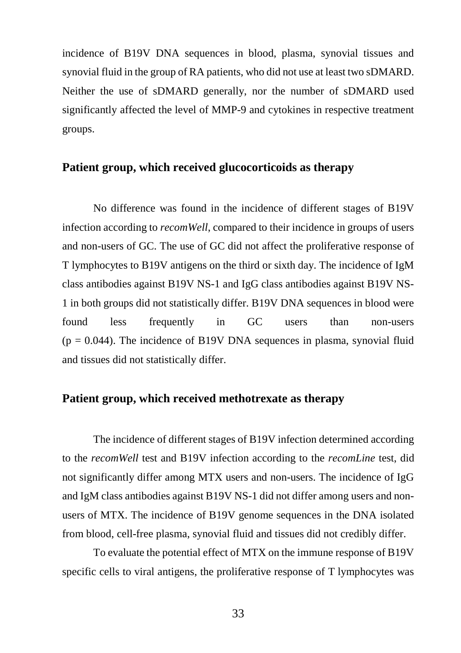incidence of B19V DNA sequences in blood, plasma, synovial tissues and synovial fluid in the group of RA patients, who did not use at least two sDMARD. Neither the use of sDMARD generally, nor the number of sDMARD used significantly affected the level of MMP-9 and cytokines in respective treatment groups.

#### **Patient group, which received glucocorticoids as therapy**

No difference was found in the incidence of different stages of B19V infection according to *recomWell*, compared to their incidence in groups of users and non-users of GC. The use of GC did not affect the proliferative response of T lymphocytes to B19V antigens on the third or sixth day. The incidence of IgM class antibodies against B19V NS-1 and IgG class antibodies against B19V NS-1 in both groups did not statistically differ. B19V DNA sequences in blood were found less frequently in GC users than non-users  $(p = 0.044)$ . The incidence of B19V DNA sequences in plasma, synovial fluid and tissues did not statistically differ.

# **Patient group, which received methotrexate as therapy**

The incidence of different stages of B19V infection determined according to the *recomWell* test and B19V infection according to the *recomLine* test, did not significantly differ among MTX users and non-users. The incidence of IgG and IgM class antibodies against B19V NS-1 did not differ among users and nonusers of MTX. The incidence of B19V genome sequences in the DNA isolated from blood, cell-free plasma, synovial fluid and tissues did not credibly differ.

To evaluate the potential effect of MTX on the immune response of B19V specific cells to viral antigens, the proliferative response of T lymphocytes was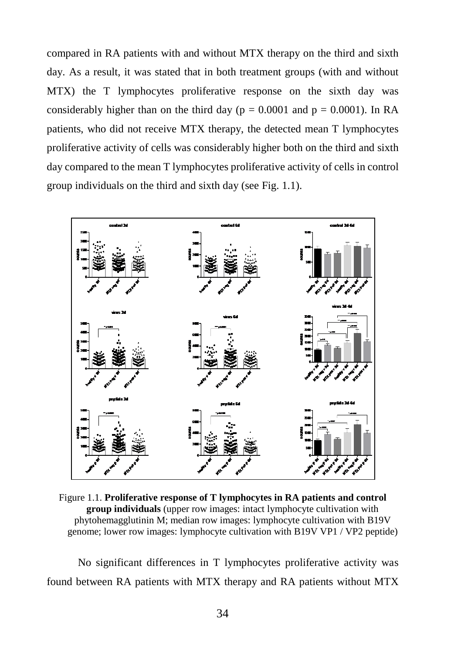compared in RA patients with and without MTX therapy on the third and sixth day. As a result, it was stated that in both treatment groups (with and without MTX) the T lymphocytes proliferative response on the sixth day was considerably higher than on the third day ( $p = 0.0001$  and  $p = 0.0001$ ). In RA patients, who did not receive MTX therapy, the detected mean T lymphocytes proliferative activity of cells was considerably higher both on the third and sixth day compared to the mean T lymphocytes proliferative activity of cells in control group individuals on the third and sixth day (see Fig. 1.1).



Figure 1.1. **Proliferative response of T lymphocytes in RA patients and control group individuals** (upper row images: intact lymphocyte cultivation with phytohemagglutinin M; median row images: lymphocyte cultivation with B19V genome; lower row images: lymphocyte cultivation with B19V VP1 / VP2 peptide)

No significant differences in T lymphocytes proliferative activity was found between RA patients with MTX therapy and RA patients without MTX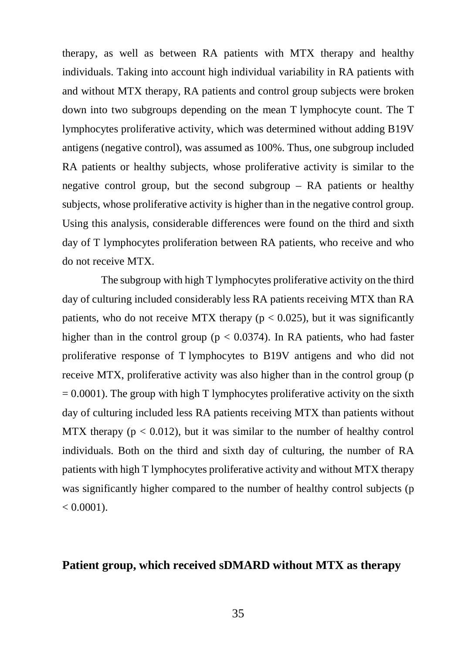therapy, as well as between RA patients with MTX therapy and healthy individuals. Taking into account high individual variability in RA patients with and without MTX therapy, RA patients and control group subjects were broken down into two subgroups depending on the mean T lymphocyte count. The T lymphocytes proliferative activity, which was determined without adding B19V antigens (negative control), was assumed as 100%. Thus, one subgroup included RA patients or healthy subjects, whose proliferative activity is similar to the negative control group, but the second subgroup – RA patients or healthy subjects, whose proliferative activity is higher than in the negative control group. Using this analysis, considerable differences were found on the third and sixth day of T lymphocytes proliferation between RA patients, who receive and who do not receive MTX.

The subgroup with high T lymphocytes proliferative activity on the third day of culturing included considerably less RA patients receiving MTX than RA patients, who do not receive MTX therapy ( $p < 0.025$ ), but it was significantly higher than in the control group ( $p < 0.0374$ ). In RA patients, who had faster proliferative response of T lymphocytes to B19V antigens and who did not receive MTX, proliferative activity was also higher than in the control group (p  $= 0.0001$ ). The group with high T lymphocytes proliferative activity on the sixth day of culturing included less RA patients receiving MTX than patients without MTX therapy ( $p < 0.012$ ), but it was similar to the number of healthy control individuals. Both on the third and sixth day of culturing, the number of RA patients with high T lymphocytes proliferative activity and without MTX therapy was significantly higher compared to the number of healthy control subjects (p  $< 0.0001$ ).

#### **Patient group, which received sDMARD without MTX as therapy**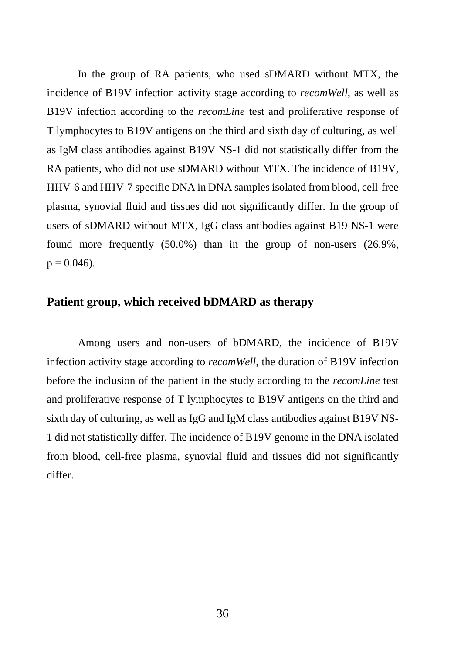In the group of RA patients, who used sDMARD without MTX, the incidence of B19V infection activity stage according to *recomWell*, as well as B19V infection according to the *recomLine* test and proliferative response of T lymphocytes to B19V antigens on the third and sixth day of culturing, as well as IgM class antibodies against B19V NS-1 did not statistically differ from the RA patients, who did not use sDMARD without MTX. The incidence of B19V, HHV-6 and HHV-7 specific DNA in DNA samples isolated from blood, cell-free plasma, synovial fluid and tissues did not significantly differ. In the group of users of sDMARD without MTX, IgG class antibodies against B19 NS-1 were found more frequently (50.0%) than in the group of non-users (26.9%,  $p = 0.046$ .

#### **Patient group, which received bDMARD as therapy**

Among users and non-users of bDMARD, the incidence of B19V infection activity stage according to *recomWell*, the duration of B19V infection before the inclusion of the patient in the study according to the *recomLine* test and proliferative response of T lymphocytes to B19V antigens on the third and sixth day of culturing, as well as IgG and IgM class antibodies against B19V NS-1 did not statistically differ. The incidence of B19V genome in the DNA isolated from blood, cell-free plasma, synovial fluid and tissues did not significantly differ.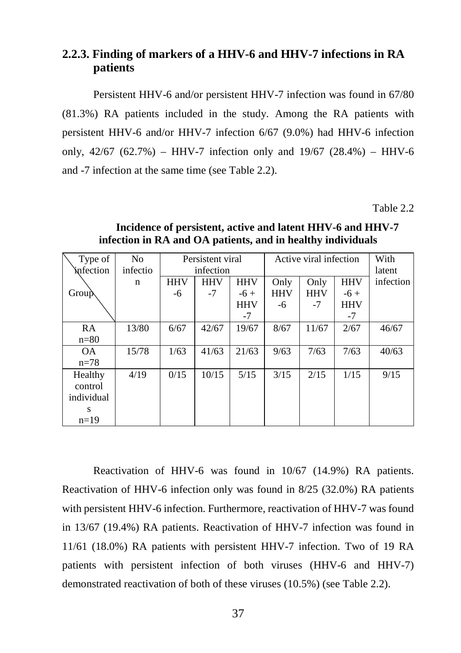# **2.2.3. Finding of markers of a HHV-6 and HHV-7 infections in RA patients**

Persistent HHV-6 and/or persistent HHV-7 infection was found in 67/80 (81.3%) RA patients included in the study. Among the RA patients with persistent HHV-6 and/or HHV-7 infection 6/67 (9.0%) had HHV-6 infection only,  $42/67$  (62.7%) – HHV-7 infection only and  $19/67$  (28.4%) – HHV-6 and -7 infection at the same time (see Table 2.2).

Table 2.2

| Type of          | N <sub>o</sub> | Persistent viral |            |            | Active viral infection |            |            | With      |
|------------------|----------------|------------------|------------|------------|------------------------|------------|------------|-----------|
| <i>infection</i> | infectio       | infection        |            |            |                        | latent     |            |           |
|                  | n              | <b>HHV</b>       | <b>HHV</b> | <b>HHV</b> | Only                   | Only       | <b>HHV</b> | infection |
| <b>Group</b>     |                | -6               | -7         | $-6+$      | <b>HHV</b>             | <b>HHV</b> | $-6+$      |           |
|                  |                |                  |            | <b>HHV</b> | -6                     | $-7$       | HHV        |           |
|                  |                |                  |            | -7         |                        |            | $-7$       |           |
| RA               | 13/80          | 6/67             | 42/67      | 19/67      | 8/67                   | 11/67      | 2/67       | 46/67     |
| $n=80$           |                |                  |            |            |                        |            |            |           |
| <b>OA</b>        | 15/78          | 1/63             | 41/63      | 21/63      | 9/63                   | 7/63       | 7/63       | 40/63     |
| $n = 78$         |                |                  |            |            |                        |            |            |           |
| Healthy          | 4/19           | 0/15             | 10/15      | 5/15       | 3/15                   | 2/15       | 1/15       | 9/15      |
| control          |                |                  |            |            |                        |            |            |           |
| individual       |                |                  |            |            |                        |            |            |           |
| s                |                |                  |            |            |                        |            |            |           |
| $n=19$           |                |                  |            |            |                        |            |            |           |

**Incidence of persistent, active and latent HHV-6 and HHV-7 infection in RA and OA patients, and in healthy individuals**

Reactivation of HHV-6 was found in 10/67 (14.9%) RA patients. Reactivation of HHV-6 infection only was found in 8/25 (32.0%) RA patients with persistent HHV-6 infection. Furthermore, reactivation of HHV-7 was found in 13/67 (19.4%) RA patients. Reactivation of HHV-7 infection was found in 11/61 (18.0%) RA patients with persistent HHV-7 infection. Two of 19 RA patients with persistent infection of both viruses (HHV-6 and HHV-7) demonstrated reactivation of both of these viruses (10.5%) (see Table 2.2).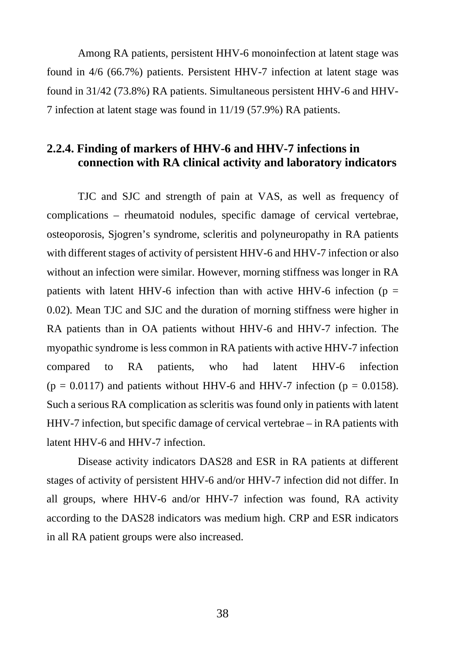Among RA patients, persistent HHV-6 monoinfection at latent stage was found in 4/6 (66.7%) patients. Persistent HHV-7 infection at latent stage was found in 31/42 (73.8%) RA patients. Simultaneous persistent HHV-6 and HHV-7 infection at latent stage was found in 11/19 (57.9%) RA patients.

#### **2.2.4. Finding of markers of HHV-6 and HHV-7 infections in connection with RA clinical activity and laboratory indicators**

TJC and SJC and strength of pain at VAS, as well as frequency of complications – rheumatoid nodules, specific damage of cervical vertebrae, osteoporosis, Sjogren's syndrome, scleritis and polyneuropathy in RA patients with different stages of activity of persistent HHV-6 and HHV-7 infection or also without an infection were similar. However, morning stiffness was longer in RA patients with latent HHV-6 infection than with active HHV-6 infection ( $p =$ 0.02). Mean TJC and SJC and the duration of morning stiffness were higher in RA patients than in OA patients without HHV-6 and HHV-7 infection. The myopathic syndrome is less common in RA patients with active HHV-7 infection compared to RA patients, who had latent HHV-6 infection  $(p = 0.0117)$  and patients without HHV-6 and HHV-7 infection  $(p = 0.0158)$ . Such a serious RA complication as scleritis was found only in patients with latent HHV-7 infection, but specific damage of cervical vertebrae – in RA patients with latent HHV-6 and HHV-7 infection.

Disease activity indicators DAS28 and ESR in RA patients at different stages of activity of persistent HHV-6 and/or HHV-7 infection did not differ. In all groups, where HHV-6 and/or HHV-7 infection was found, RA activity according to the DAS28 indicators was medium high. CRP and ESR indicators in all RA patient groups were also increased.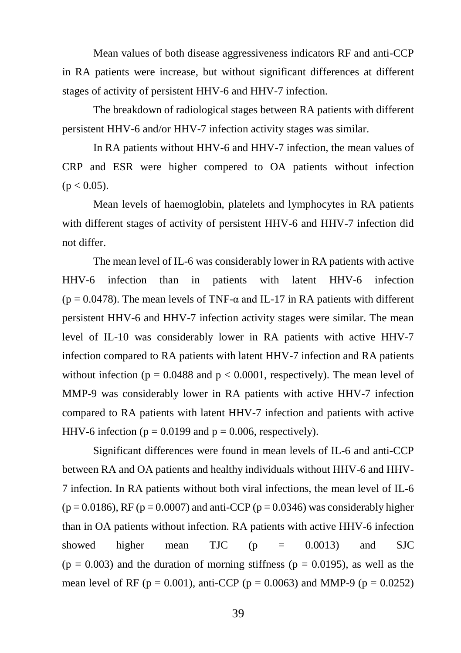Mean values of both disease aggressiveness indicators RF and anti-CCP in RA patients were increase, but without significant differences at different stages of activity of persistent HHV-6 and HHV-7 infection.

The breakdown of radiological stages between RA patients with different persistent HHV-6 and/or HHV-7 infection activity stages was similar.

In RA patients without HHV-6 and HHV-7 infection, the mean values of CRP and ESR were higher compered to OA patients without infection  $(p < 0.05)$ .

Mean levels of haemoglobin, platelets and lymphocytes in RA patients with different stages of activity of persistent HHV-6 and HHV-7 infection did not differ.

The mean level of IL-6 was considerably lower in RA patients with active HHV-6 infection than in patients with latent HHV-6 infection (p = 0.0478). The mean levels of TNF- $\alpha$  and IL-17 in RA patients with different persistent HHV-6 and HHV-7 infection activity stages were similar. The mean level of IL-10 was considerably lower in RA patients with active HHV-7 infection compared to RA patients with latent HHV-7 infection and RA patients without infection ( $p = 0.0488$  and  $p < 0.0001$ , respectively). The mean level of MMP-9 was considerably lower in RA patients with active HHV-7 infection compared to RA patients with latent HHV-7 infection and patients with active HHV-6 infection ( $p = 0.0199$  and  $p = 0.006$ , respectively).

Significant differences were found in mean levels of IL-6 and anti-CCP between RA and OA patients and healthy individuals without HHV-6 and HHV-7 infection. In RA patients without both viral infections, the mean level of IL-6  $(p = 0.0186)$ , RF  $(p = 0.0007)$  and anti-CCP  $(p = 0.0346)$  was considerably higher than in OA patients without infection. RA patients with active HHV-6 infection showed higher mean TJC (p = 0.0013) and SJC  $(p = 0.003)$  and the duration of morning stiffness  $(p = 0.0195)$ , as well as the mean level of RF ( $p = 0.001$ ), anti-CCP ( $p = 0.0063$ ) and MMP-9 ( $p = 0.0252$ )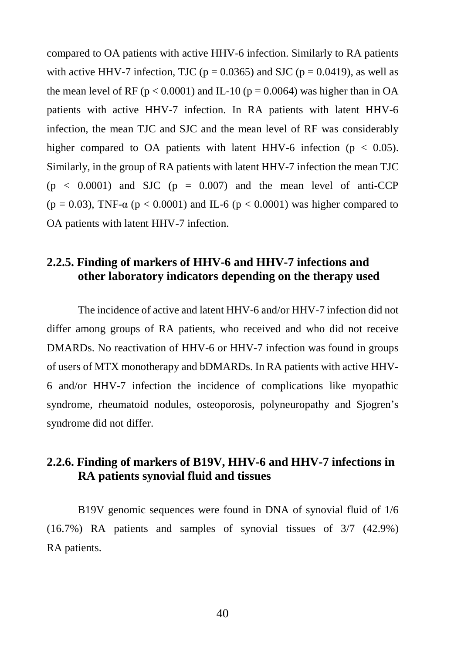compared to OA patients with active HHV-6 infection. Similarly to RA patients with active HHV-7 infection, TJC ( $p = 0.0365$ ) and SJC ( $p = 0.0419$ ), as well as the mean level of RF ( $p < 0.0001$ ) and IL-10 ( $p = 0.0064$ ) was higher than in OA patients with active HHV-7 infection. In RA patients with latent HHV-6 infection, the mean TJC and SJC and the mean level of RF was considerably higher compared to OA patients with latent HHV-6 infection ( $p < 0.05$ ). Similarly, in the group of RA patients with latent HHV-7 infection the mean TJC  $(p < 0.0001)$  and SJC  $(p = 0.007)$  and the mean level of anti-CCP (p = 0.03), TNF- $\alpha$  (p < 0.0001) and IL-6 (p < 0.0001) was higher compared to OA patients with latent HHV-7 infection.

#### **2.2.5. Finding of markers of HHV-6 and HHV-7 infections and other laboratory indicators depending on the therapy used**

The incidence of active and latent HHV-6 and/or HHV-7 infection did not differ among groups of RA patients, who received and who did not receive DMARDs. No reactivation of HHV-6 or HHV-7 infection was found in groups of users of MTX monotherapy and bDMARDs. In RA patients with active HHV-6 and/or HHV-7 infection the incidence of complications like myopathic syndrome, rheumatoid nodules, osteoporosis, polyneuropathy and Sjogren's syndrome did not differ.

# **2.2.6. Finding of markers of B19V, HHV-6 and HHV-7 infections in RA patients synovial fluid and tissues**

B19V genomic sequences were found in DNA of synovial fluid of 1/6 (16.7%) RA patients and samples of synovial tissues of 3/7 (42.9%) RA patients.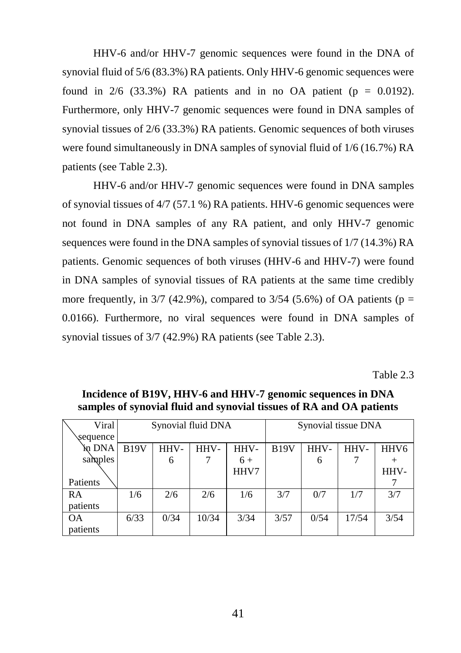HHV-6 and/or HHV-7 genomic sequences were found in the DNA of synovial fluid of 5/6 (83.3%) RA patients. Only HHV-6 genomic sequences were found in  $2/6$  (33.3%) RA patients and in no OA patient ( $p = 0.0192$ ). Furthermore, only HHV-7 genomic sequences were found in DNA samples of synovial tissues of 2/6 (33.3%) RA patients. Genomic sequences of both viruses were found simultaneously in DNA samples of synovial fluid of 1/6 (16.7%) RA patients (see Table 2.3).

HHV-6 and/or HHV-7 genomic sequences were found in DNA samples of synovial tissues of 4/7 (57.1 %) RA patients. HHV-6 genomic sequences were not found in DNA samples of any RA patient, and only HHV-7 genomic sequences were found in the DNA samples of synovial tissues of 1/7 (14.3%) RA patients. Genomic sequences of both viruses (HHV-6 and HHV-7) were found in DNA samples of synovial tissues of RA patients at the same time credibly more frequently, in  $3/7$  (42.9%), compared to  $3/54$  (5.6%) of OA patients (p = 0.0166). Furthermore, no viral sequences were found in DNA samples of synovial tissues of 3/7 (42.9%) RA patients (see Table 2.3).

Table 2.3

| Viral     | Synovial fluid DNA |      |       |      | Synovial tissue DNA |      |       |                  |
|-----------|--------------------|------|-------|------|---------------------|------|-------|------------------|
| sequence  |                    |      |       |      |                     |      |       |                  |
| šn DNA    | <b>B19V</b>        | HHV- | HHV-  | HHV- | <b>B19V</b>         | HHV- | HHV-  | HHV <sub>6</sub> |
| samples   |                    | 6    |       | $6+$ |                     | 6    |       | +                |
|           |                    |      |       | HHV7 |                     |      |       | HHV-             |
| Patients  |                    |      |       |      |                     |      |       |                  |
| RA        | 1/6                | 2/6  | 2/6   | 1/6  | 3/7                 | 0/7  | 1/7   | 3/7              |
| patients  |                    |      |       |      |                     |      |       |                  |
| <b>OA</b> | 6/33               | 0/34 | 10/34 | 3/34 | 3/57                | 0/54 | 17/54 | 3/54             |
| patients  |                    |      |       |      |                     |      |       |                  |

**Incidence of B19V, HHV-6 and HHV-7 genomic sequences in DNA samples of synovial fluid and synovial tissues of RA and OA patients**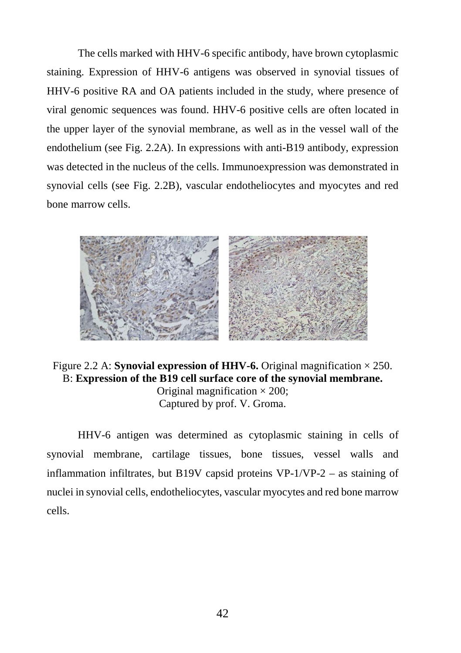The cells marked with HHV-6 specific antibody, have brown cytoplasmic staining. Expression of HHV-6 antigens was observed in synovial tissues of HHV-6 positive RA and OA patients included in the study, where presence of viral genomic sequences was found. HHV-6 positive cells are often located in the upper layer of the synovial membrane, as well as in the vessel wall of the endothelium (see Fig. 2.2A). In expressions with anti-B19 antibody, expression was detected in the nucleus of the cells. Immunoexpression was demonstrated in synovial cells (see Fig. 2.2B), vascular endotheliocytes and myocytes and red bone marrow cells.



Figure 2.2 A: **Synovial expression of HHV-6.** Original magnification  $\times$  250. B: **Expression of the B19 cell surface core of the synovial membrane.**  Original magnification  $\times$  200; Captured by prof. V. Groma.

HHV-6 antigen was determined as cytoplasmic staining in cells of synovial membrane, cartilage tissues, bone tissues, vessel walls and inflammation infiltrates, but B19V capsid proteins  $VP-1/VP-2$  – as staining of nuclei in synovial cells, endotheliocytes, vascular myocytes and red bone marrow cells.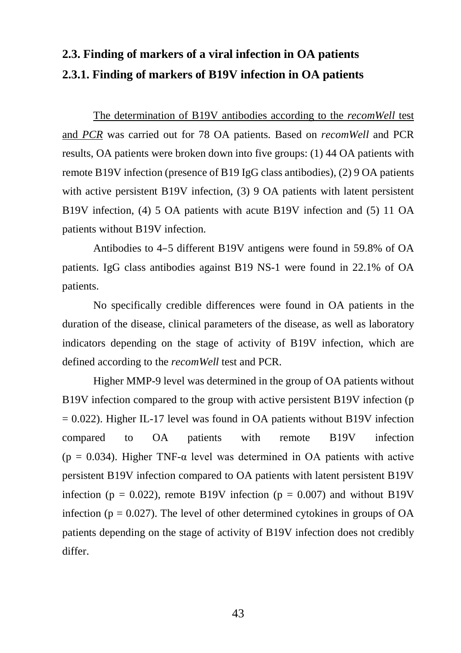# **2.3. Finding of markers of a viral infection in OA patients 2.3.1. Finding of markers of B19V infection in OA patients**

The determination of B19V antibodies according to the *recomWell* test and *PCR* was carried out for 78 OA patients. Based on *recomWell* and PCR results, OA patients were broken down into five groups: (1) 44 OA patients with remote B19V infection (presence of B19 IgG class antibodies), (2) 9 OA patients with active persistent B19V infection, (3) 9 OA patients with latent persistent B19V infection, (4) 5 OA patients with acute B19V infection and (5) 11 OA patients without B19V infection.

Antibodies to 4–5 different B19V antigens were found in 59.8% of OA patients. IgG class antibodies against B19 NS-1 were found in 22.1% of OA patients.

No specifically credible differences were found in OA patients in the duration of the disease, clinical parameters of the disease, as well as laboratory indicators depending on the stage of activity of B19V infection, which are defined according to the *recomWell* test and PCR.

Higher MMP-9 level was determined in the group of OA patients without B19V infection compared to the group with active persistent B19V infection (p  $= 0.022$ ). Higher IL-17 level was found in OA patients without B19V infection compared to OA patients with remote B19V infection (p = 0.034). Higher TNF- $\alpha$  level was determined in OA patients with active persistent B19V infection compared to OA patients with latent persistent B19V infection ( $p = 0.022$ ), remote B19V infection ( $p = 0.007$ ) and without B19V infection ( $p = 0.027$ ). The level of other determined cytokines in groups of OA patients depending on the stage of activity of B19V infection does not credibly differ.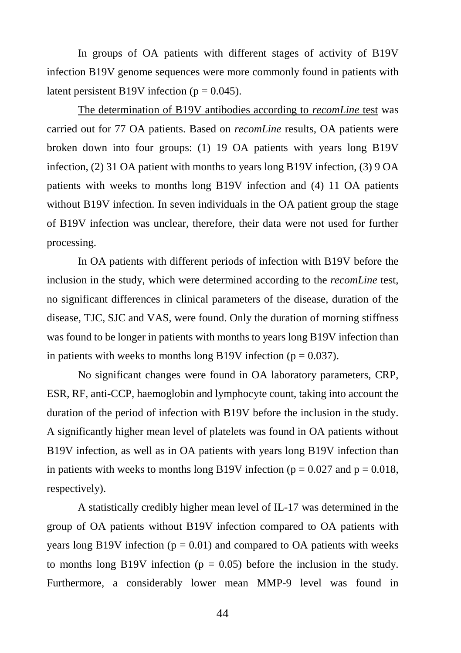In groups of OA patients with different stages of activity of B19V infection B19V genome sequences were more commonly found in patients with latent persistent B19V infection ( $p = 0.045$ ).

The determination of B19V antibodies according to *recomLine* test was carried out for 77 OA patients. Based on *recomLine* results, OA patients were broken down into four groups: (1) 19 OA patients with years long B19V infection, (2) 31 OA patient with months to years long B19V infection, (3) 9 OA patients with weeks to months long B19V infection and (4) 11 OA patients without B19V infection. In seven individuals in the OA patient group the stage of B19V infection was unclear, therefore, their data were not used for further processing.

In OA patients with different periods of infection with B19V before the inclusion in the study, which were determined according to the *recomLine* test, no significant differences in clinical parameters of the disease, duration of the disease, TJC, SJC and VAS, were found. Only the duration of morning stiffness was found to be longer in patients with months to years long B19V infection than in patients with weeks to months long B19V infection ( $p = 0.037$ ).

No significant changes were found in OA laboratory parameters, CRP, ESR, RF, anti-CCP, haemoglobin and lymphocyte count, taking into account the duration of the period of infection with B19V before the inclusion in the study. A significantly higher mean level of platelets was found in OA patients without B19V infection, as well as in OA patients with years long B19V infection than in patients with weeks to months long B19V infection ( $p = 0.027$  and  $p = 0.018$ , respectively).

A statistically credibly higher mean level of IL-17 was determined in the group of OA patients without B19V infection compared to OA patients with years long B19V infection ( $p = 0.01$ ) and compared to OA patients with weeks to months long B19V infection ( $p = 0.05$ ) before the inclusion in the study. Furthermore, a considerably lower mean MMP-9 level was found in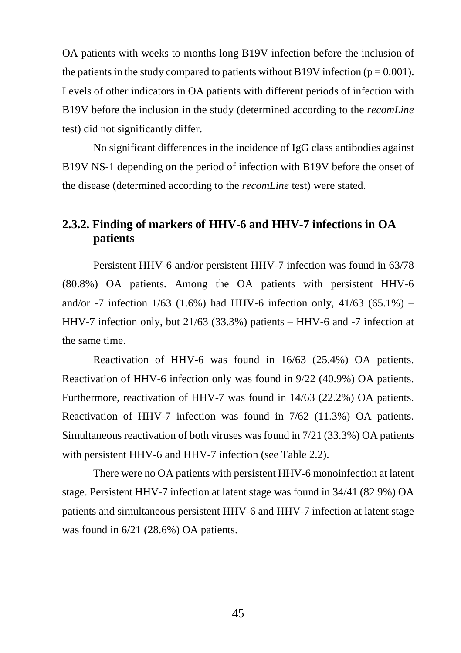OA patients with weeks to months long B19V infection before the inclusion of the patients in the study compared to patients without B19V infection ( $p = 0.001$ ). Levels of other indicators in OA patients with different periods of infection with B19V before the inclusion in the study (determined according to the *recomLine* test) did not significantly differ.

No significant differences in the incidence of IgG class antibodies against B19V NS-1 depending on the period of infection with B19V before the onset of the disease (determined according to the *recomLine* test) were stated.

## **2.3.2. Finding of markers of HHV-6 and HHV-7 infections in OA patients**

Persistent HHV-6 and/or persistent HHV-7 infection was found in 63/78 (80.8%) OA patients. Among the OA patients with persistent HHV-6 and/or -7 infection  $1/63$  (1.6%) had HHV-6 infection only,  $41/63$  (65.1%) – HHV-7 infection only, but 21/63 (33.3%) patients – HHV-6 and -7 infection at the same time.

Reactivation of HHV-6 was found in 16/63 (25.4%) OA patients. Reactivation of HHV-6 infection only was found in 9/22 (40.9%) OA patients. Furthermore, reactivation of HHV-7 was found in 14/63 (22.2%) OA patients. Reactivation of HHV-7 infection was found in 7/62 (11.3%) OA patients. Simultaneous reactivation of both viruses was found in 7/21 (33.3%) OA patients with persistent HHV-6 and HHV-7 infection (see Table 2.2).

There were no OA patients with persistent HHV-6 monoinfection at latent stage. Persistent HHV-7 infection at latent stage was found in 34/41 (82.9%) OA patients and simultaneous persistent HHV-6 and HHV-7 infection at latent stage was found in 6/21 (28.6%) OA patients.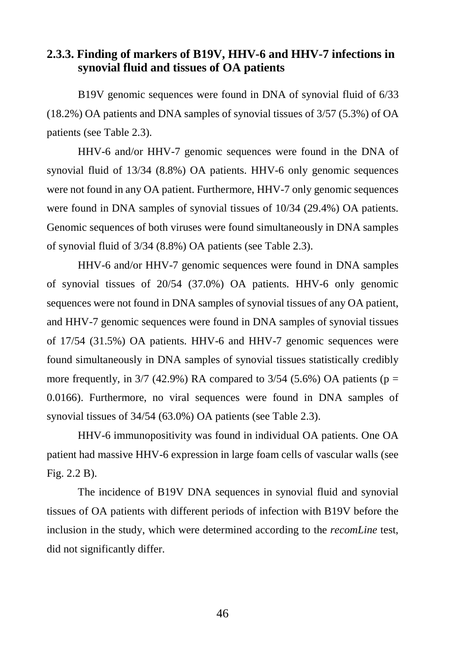## **2.3.3. Finding of markers of B19V, HHV-6 and HHV-7 infections in synovial fluid and tissues of OA patients**

B19V genomic sequences were found in DNA of synovial fluid of 6/33 (18.2%) OA patients and DNA samples of synovial tissues of 3/57 (5.3%) of OA patients (see Table 2.3).

HHV-6 and/or HHV-7 genomic sequences were found in the DNA of synovial fluid of 13/34 (8.8%) OA patients. HHV-6 only genomic sequences were not found in any OA patient. Furthermore, HHV-7 only genomic sequences were found in DNA samples of synovial tissues of 10/34 (29.4%) OA patients. Genomic sequences of both viruses were found simultaneously in DNA samples of synovial fluid of 3/34 (8.8%) OA patients (see Table 2.3).

HHV-6 and/or HHV-7 genomic sequences were found in DNA samples of synovial tissues of 20/54 (37.0%) OA patients. HHV-6 only genomic sequences were not found in DNA samples of synovial tissues of any OA patient, and HHV-7 genomic sequences were found in DNA samples of synovial tissues of 17/54 (31.5%) OA patients. HHV-6 and HHV-7 genomic sequences were found simultaneously in DNA samples of synovial tissues statistically credibly more frequently, in  $3/7$  (42.9%) RA compared to  $3/54$  (5.6%) OA patients (p = 0.0166). Furthermore, no viral sequences were found in DNA samples of synovial tissues of 34/54 (63.0%) OA patients (see Table 2.3).

HHV-6 immunopositivity was found in individual OA patients. One OA patient had massive HHV-6 expression in large foam cells of vascular walls (see Fig. 2.2 B).

The incidence of B19V DNA sequences in synovial fluid and synovial tissues of OA patients with different periods of infection with B19V before the inclusion in the study, which were determined according to the *recomLine* test, did not significantly differ.

46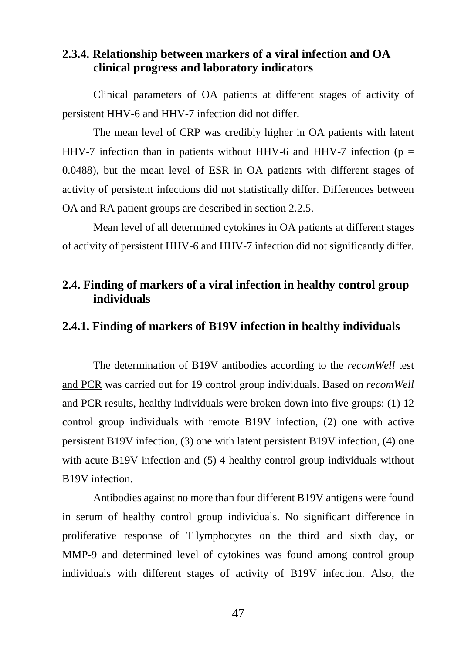#### **2.3.4. Relationship between markers of a viral infection and OA clinical progress and laboratory indicators**

Clinical parameters of OA patients at different stages of activity of persistent HHV-6 and HHV-7 infection did not differ.

The mean level of CRP was credibly higher in OA patients with latent HHV-7 infection than in patients without HHV-6 and HHV-7 infection ( $p =$ 0.0488), but the mean level of ESR in OA patients with different stages of activity of persistent infections did not statistically differ. Differences between OA and RA patient groups are described in section 2.2.5.

Mean level of all determined cytokines in OA patients at different stages of activity of persistent HHV-6 and HHV-7 infection did not significantly differ.

#### **2.4. Finding of markers of a viral infection in healthy control group individuals**

#### **2.4.1. Finding of markers of B19V infection in healthy individuals**

The determination of B19V antibodies according to the *recomWell* test and PCR was carried out for 19 control group individuals. Based on *recomWell*  and PCR results, healthy individuals were broken down into five groups: (1) 12 control group individuals with remote B19V infection, (2) one with active persistent B19V infection, (3) one with latent persistent B19V infection, (4) one with acute B19V infection and (5) 4 healthy control group individuals without B19V infection.

Antibodies against no more than four different B19V antigens were found in serum of healthy control group individuals. No significant difference in proliferative response of T lymphocytes on the third and sixth day, or MMP-9 and determined level of cytokines was found among control group individuals with different stages of activity of B19V infection. Also, the

47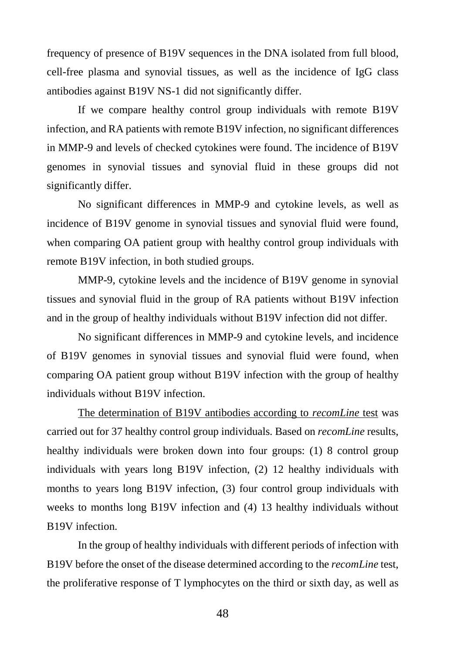frequency of presence of B19V sequences in the DNA isolated from full blood, cell-free plasma and synovial tissues, as well as the incidence of IgG class antibodies against B19V NS-1 did not significantly differ.

If we compare healthy control group individuals with remote B19V infection, and RA patients with remote B19V infection, no significant differences in MMP-9 and levels of checked cytokines were found. The incidence of B19V genomes in synovial tissues and synovial fluid in these groups did not significantly differ.

No significant differences in MMP-9 and cytokine levels, as well as incidence of B19V genome in synovial tissues and synovial fluid were found, when comparing OA patient group with healthy control group individuals with remote B19V infection, in both studied groups.

MMP-9, cytokine levels and the incidence of B19V genome in synovial tissues and synovial fluid in the group of RA patients without B19V infection and in the group of healthy individuals without B19V infection did not differ.

No significant differences in MMP-9 and cytokine levels, and incidence of B19V genomes in synovial tissues and synovial fluid were found, when comparing OA patient group without B19V infection with the group of healthy individuals without B19V infection.

The determination of B19V antibodies according to *recomLine* test was carried out for 37 healthy control group individuals. Based on *recomLine* results, healthy individuals were broken down into four groups: (1) 8 control group individuals with years long B19V infection, (2) 12 healthy individuals with months to years long B19V infection, (3) four control group individuals with weeks to months long B19V infection and (4) 13 healthy individuals without B19V infection.

In the group of healthy individuals with different periods of infection with B19V before the onset of the disease determined according to the *recomLine* test, the proliferative response of T lymphocytes on the third or sixth day, as well as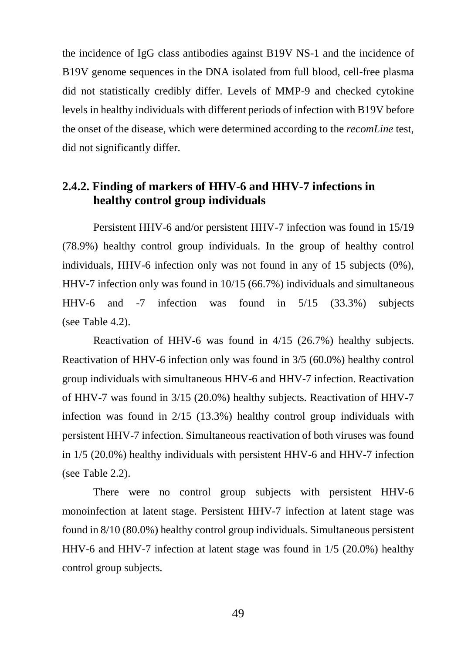the incidence of IgG class antibodies against B19V NS-1 and the incidence of B19V genome sequences in the DNA isolated from full blood, cell-free plasma did not statistically credibly differ. Levels of MMP-9 and checked cytokine levels in healthy individuals with different periods of infection with B19V before the onset of the disease, which were determined according to the *recomLine* test, did not significantly differ.

#### **2.4.2. Finding of markers of HHV-6 and HHV-7 infections in healthy control group individuals**

Persistent HHV-6 and/or persistent HHV-7 infection was found in 15/19 (78.9%) healthy control group individuals. In the group of healthy control individuals, HHV-6 infection only was not found in any of 15 subjects (0%), HHV-7 infection only was found in 10/15 (66.7%) individuals and simultaneous HHV-6 and -7 infection was found in 5/15 (33.3%) subjects (see Table 4.2).

Reactivation of HHV-6 was found in 4/15 (26.7%) healthy subjects. Reactivation of HHV-6 infection only was found in 3/5 (60.0%) healthy control group individuals with simultaneous HHV-6 and HHV-7 infection. Reactivation of HHV-7 was found in 3/15 (20.0%) healthy subjects. Reactivation of HHV-7 infection was found in 2/15 (13.3%) healthy control group individuals with persistent HHV-7 infection. Simultaneous reactivation of both viruses was found in 1/5 (20.0%) healthy individuals with persistent HHV-6 and HHV-7 infection (see Table 2.2).

There were no control group subjects with persistent HHV-6 monoinfection at latent stage. Persistent HHV-7 infection at latent stage was found in 8/10 (80.0%) healthy control group individuals. Simultaneous persistent HHV-6 and HHV-7 infection at latent stage was found in 1/5 (20.0%) healthy control group subjects.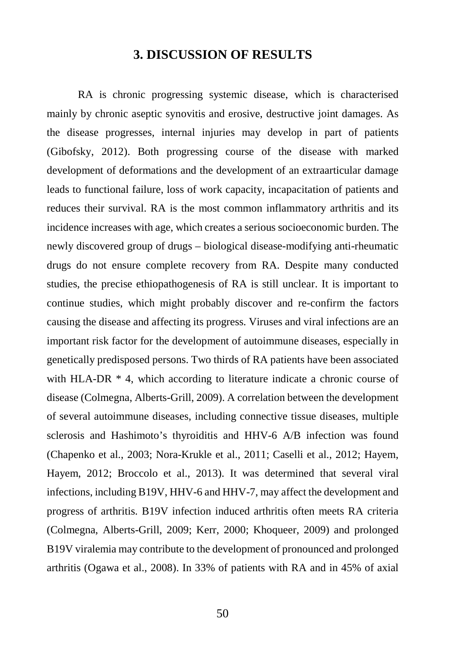### **3. DISCUSSION OF RESULTS**

RA is chronic progressing systemic disease, which is characterised mainly by chronic aseptic synovitis and erosive, destructive joint damages. As the disease progresses, internal injuries may develop in part of patients (Gibofsky, 2012). Both progressing course of the disease with marked development of deformations and the development of an extraarticular damage leads to functional failure, loss of work capacity, incapacitation of patients and reduces their survival. RA is the most common inflammatory arthritis and its incidence increases with age, which creates a serious socioeconomic burden. The newly discovered group of drugs – biological disease-modifying anti-rheumatic drugs do not ensure complete recovery from RA. Despite many conducted studies, the precise ethiopathogenesis of RA is still unclear. It is important to continue studies, which might probably discover and re-confirm the factors causing the disease and affecting its progress. Viruses and viral infections are an important risk factor for the development of autoimmune diseases, especially in genetically predisposed persons. Two thirds of RA patients have been associated with HLA-DR  $*$  4, which according to literature indicate a chronic course of disease (Colmegna, Alberts-Grill, 2009). A correlation between the development of several autoimmune diseases, including connective tissue diseases, multiple sclerosis and Hashimoto's thyroiditis and HHV-6 A/B infection was found (Chapenko et al., 2003; Nora-Krukle et al., 2011; Caselli et al., 2012; Hayem, Hayem, 2012; Broccolo et al., 2013). It was determined that several viral infections, including B19V, HHV-6 and HHV-7, may affect the development and progress of arthritis. B19V infection induced arthritis often meets RA criteria (Colmegna, Alberts-Grill, 2009; Kerr, 2000; Khoqueer, 2009) and prolonged B19V viralemia may contribute to the development of pronounced and prolonged arthritis (Ogawa et al., 2008). In 33% of patients with RA and in 45% of axial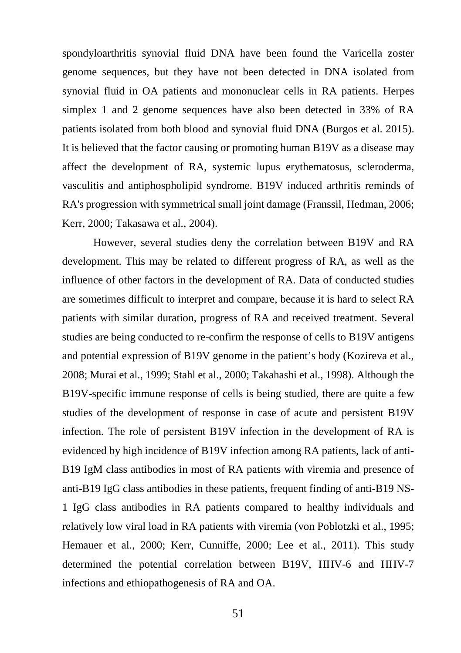spondyloarthritis synovial fluid DNA have been found the Varicella zoster genome sequences, but they have not been detected in DNA isolated from synovial fluid in OA patients and mononuclear cells in RA patients. Herpes simplex 1 and 2 genome sequences have also been detected in 33% of RA patients isolated from both blood and synovial fluid DNA (Burgos et al. 2015). It is believed that the factor causing or promoting human B19V as a disease may affect the development of RA, systemic lupus erythematosus, scleroderma, vasculitis and antiphospholipid syndrome. B19V induced arthritis reminds of RA's progression with symmetrical small joint damage (Franssil, Hedman, 2006; Kerr, 2000; Takasawa et al., 2004).

However, several studies deny the correlation between B19V and RA development. This may be related to different progress of RA, as well as the influence of other factors in the development of RA. Data of conducted studies are sometimes difficult to interpret and compare, because it is hard to select RA patients with similar duration, progress of RA and received treatment. Several studies are being conducted to re-confirm the response of cells to B19V antigens and potential expression of B19V genome in the patient's body (Kozireva et al., 2008; Murai et al., 1999; Stahl et al., 2000; Takahashi et al., 1998). Although the B19V-specific immune response of cells is being studied, there are quite a few studies of the development of response in case of acute and persistent B19V infection. The role of persistent B19V infection in the development of RA is evidenced by high incidence of B19V infection among RA patients, lack of anti-B19 IgM class antibodies in most of RA patients with viremia and presence of anti-B19 IgG class antibodies in these patients, frequent finding of anti-B19 NS-1 IgG class antibodies in RA patients compared to healthy individuals and relatively low viral load in RA patients with viremia (von Poblotzki et al., 1995; Hemauer et al., 2000; Kerr, Cunniffe, 2000; Lee et al., 2011). This study determined the potential correlation between B19V, HHV-6 and HHV-7 infections and ethiopathogenesis of RA and OA.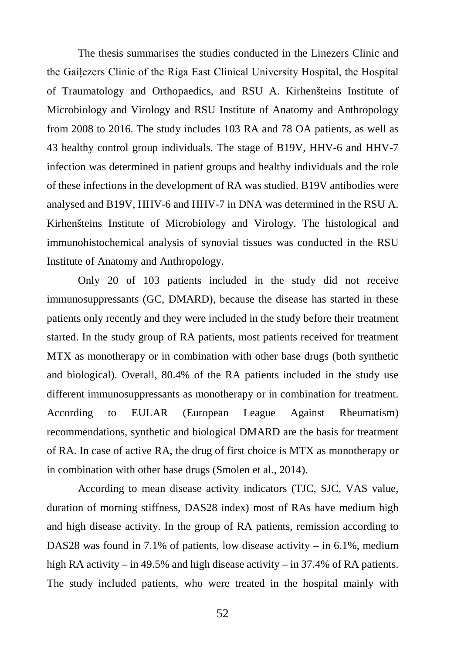The thesis summarises the studies conducted in the Linezers Clinic and the Gaiļezers Clinic of the Riga East Clinical University Hospital, the Hospital of Traumatology and Orthopaedics, and RSU A. Kirhenšteins Institute of Microbiology and Virology and RSU Institute of Anatomy and Anthropology from 2008 to 2016. The study includes 103 RA and 78 OA patients, as well as 43 healthy control group individuals. The stage of B19V, HHV-6 and HHV-7 infection was determined in patient groups and healthy individuals and the role of these infections in the development of RA was studied. B19V antibodies were analysed and B19V, HHV-6 and HHV-7 in DNA was determined in the RSU A. Kirhenšteins Institute of Microbiology and Virology. The histological and immunohistochemical analysis of synovial tissues was conducted in the RSU Institute of Anatomy and Anthropology.

Only 20 of 103 patients included in the study did not receive immunosuppressants (GC, DMARD), because the disease has started in these patients only recently and they were included in the study before their treatment started. In the study group of RA patients, most patients received for treatment MTX as monotherapy or in combination with other base drugs (both synthetic and biological). Overall, 80.4% of the RA patients included in the study use different immunosuppressants as monotherapy or in combination for treatment. According to EULAR (European League Against Rheumatism) recommendations, synthetic and biological DMARD are the basis for treatment of RA. In case of active RA, the drug of first choice is MTX as monotherapy or in combination with other base drugs (Smolen et al., 2014).

According to mean disease activity indicators (TJC, SJC, VAS value, duration of morning stiffness, DAS28 index) most of RAs have medium high and high disease activity. In the group of RA patients, remission according to DAS28 was found in 7.1% of patients, low disease activity – in 6.1%, medium high RA activity – in 49.5% and high disease activity – in 37.4% of RA patients. The study included patients, who were treated in the hospital mainly with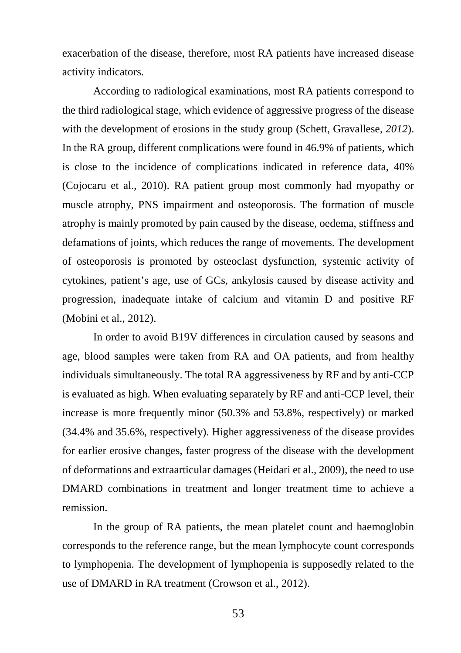exacerbation of the disease, therefore, most RA patients have increased disease activity indicators.

According to radiological examinations, most RA patients correspond to the third radiological stage, which evidence of aggressive progress of the disease with the development of erosions in the study group (Schett, Gravallese*, 2012*). In the RA group, different complications were found in 46.9% of patients, which is close to the incidence of complications indicated in reference data, 40% (Cojocaru et al., 2010). RA patient group most commonly had myopathy or muscle atrophy, PNS impairment and osteoporosis. The formation of muscle atrophy is mainly promoted by pain caused by the disease, oedema, stiffness and defamations of joints, which reduces the range of movements. The development of osteoporosis is promoted by osteoclast dysfunction, systemic activity of cytokines, patient's age, use of GCs, ankylosis caused by disease activity and progression, inadequate intake of calcium and vitamin D and positive RF (Mobini et al., 2012).

In order to avoid B19V differences in circulation caused by seasons and age, blood samples were taken from RA and OA patients, and from healthy individuals simultaneously. The total RA aggressiveness by RF and by anti-CCP is evaluated as high. When evaluating separately by RF and anti-CCP level, their increase is more frequently minor (50.3% and 53.8%, respectively) or marked (34.4% and 35.6%, respectively). Higher aggressiveness of the disease provides for earlier erosive changes, faster progress of the disease with the development of deformations and extraarticular damages (Heidari et al.*,* 2009), the need to use DMARD combinations in treatment and longer treatment time to achieve a remission.

In the group of RA patients, the mean platelet count and haemoglobin corresponds to the reference range, but the mean lymphocyte count corresponds to lymphopenia. The development of lymphopenia is supposedly related to the use of DMARD in RA treatment (Crowson et al., 2012).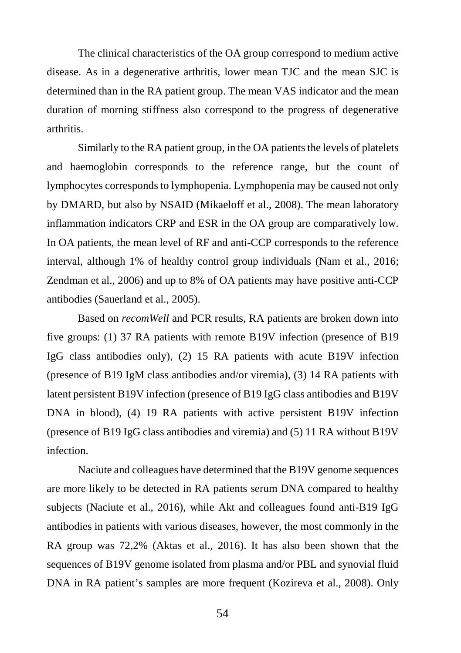The clinical characteristics of the OA group correspond to medium active disease. As in a degenerative arthritis, lower mean TJC and the mean SJC is determined than in the RA patient group. The mean VAS indicator and the mean duration of morning stiffness also correspond to the progress of degenerative arthritis.

Similarly to the RA patient group, in the OA patients the levels of platelets and haemoglobin corresponds to the reference range, but the count of lymphocytes corresponds to lymphopenia. Lymphopenia may be caused not only by DMARD, but also by NSAID (Mikaeloff et al., 2008). The mean laboratory inflammation indicators CRP and ESR in the OA group are comparatively low. In OA patients, the mean level of RF and anti-CCP corresponds to the reference interval, although 1% of healthy control group individuals (Nam et al., 2016; Zendman et al., 2006) and up to 8% of OA patients may have positive anti-CCP antibodies (Sauerland et al., 2005).

Based on *recomWell* and PCR results, RA patients are broken down into five groups: (1) 37 RA patients with remote B19V infection (presence of B19 IgG class antibodies only), (2) 15 RA patients with acute B19V infection (presence of B19 IgM class antibodies and/or viremia), (3) 14 RA patients with latent persistent B19V infection (presence of B19 IgG class antibodies and B19V DNA in blood), (4) 19 RA patients with active persistent B19V infection (presence of B19 IgG class antibodies and viremia) and (5) 11 RA without B19V infection.

Naciute and colleagues have determined that the B19V genome sequences are more likely to be detected in RA patients serum DNA compared to healthy subjects (Naciute et al., 2016), while Akt and colleagues found anti-B19 IgG antibodies in patients with various diseases, however, the most commonly in the RA group was 72,2% (Aktas et al., 2016). It has also been shown that the sequences of B19V genome isolated from plasma and/or PBL and synovial fluid DNA in RA patient's samples are more frequent (Kozireva et al., 2008). Only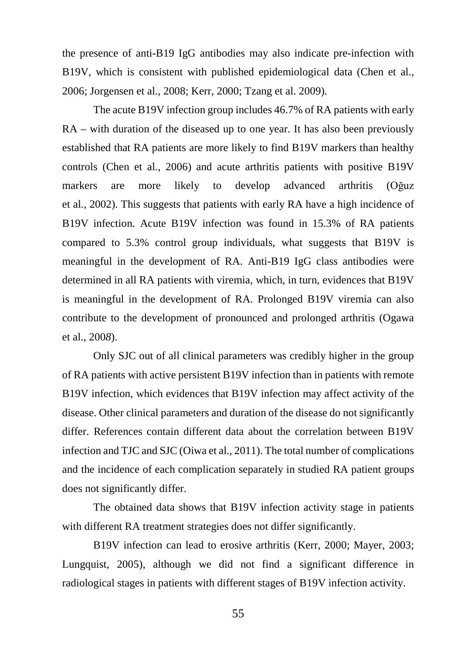the presence of anti-B19 IgG antibodies may also indicate pre-infection with B19V, which is consistent with published epidemiological data (Chen et al., 2006; Jorgensen et al., 2008; Kerr, 2000; Tzang et al. 2009).

The acute B19V infection group includes 46.7% of RA patients with early RA – with duration of the diseased up to one year. It has also been previously established that RA patients are more likely to find B19V markers than healthy controls (Chen et al., 2006) and acute arthritis patients with positive B19V markers are more likely to develop advanced arthritis (Oğuz et al., 2002). This suggests that patients with early RA have a high incidence of B19V infection. Acute B19V infection was found in 15.3% of RA patients compared to 5.3% control group individuals, what suggests that B19V is meaningful in the development of RA. Anti-B19 IgG class antibodies were determined in all RA patients with viremia, which, in turn, evidences that B19V is meaningful in the development of RA. Prolonged B19V viremia can also contribute to the development of pronounced and prolonged arthritis (Ogawa et al., 200*8*).

Only SJC out of all clinical parameters was credibly higher in the group of RA patients with active persistent B19V infection than in patients with remote B19V infection, which evidences that B19V infection may affect activity of the disease. Other clinical parameters and duration of the disease do not significantly differ. References contain different data about the correlation between B19V infection and TJC and SJC (Oiwa et al., 2011). The total number of complications and the incidence of each complication separately in studied RA patient groups does not significantly differ.

The obtained data shows that B19V infection activity stage in patients with different RA treatment strategies does not differ significantly.

B19V infection can lead to erosive arthritis (Kerr, 2000; Mayer, 2003; Lungquist, 2005), although we did not find a significant difference in radiological stages in patients with different stages of B19V infection activity.

55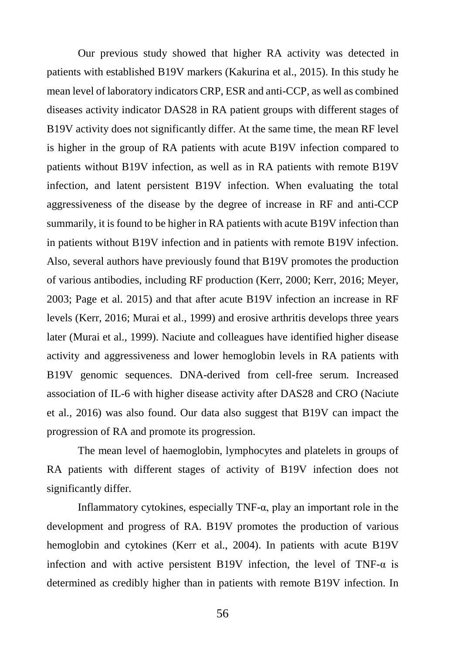Our previous study showed that higher RA activity was detected in patients with established B19V markers (Kakurina et al., 2015). In this study he mean level of laboratory indicators CRP, ESR and anti-CCP, as well as combined diseases activity indicator DAS28 in RA patient groups with different stages of B19V activity does not significantly differ. At the same time, the mean RF level is higher in the group of RA patients with acute B19V infection compared to patients without B19V infection, as well as in RA patients with remote B19V infection, and latent persistent B19V infection. When evaluating the total aggressiveness of the disease by the degree of increase in RF and anti-CCP summarily, it is found to be higher in RA patients with acute B19V infection than in patients without B19V infection and in patients with remote B19V infection. Also, several authors have previously found that B19V promotes the production of various antibodies, including RF production (Kerr, 2000; Kerr, 2016; Meyer, 2003; Page et al. 2015) and that after acute B19V infection an increase in RF levels (Kerr, 2016; Murai et al., 1999) and erosive arthritis develops three years later (Murai et al., 1999). Naciute and colleagues have identified higher disease activity and aggressiveness and lower hemoglobin levels in RA patients with B19V genomic sequences. DNA-derived from cell-free serum. Increased association of IL-6 with higher disease activity after DAS28 and CRO (Naciute et al.*,* 2016) was also found. Our data also suggest that B19V can impact the progression of RA and promote its progression.

The mean level of haemoglobin, lymphocytes and platelets in groups of RA patients with different stages of activity of B19V infection does not significantly differ.

Inflammatory cytokines, especially TNF- $\alpha$ , play an important role in the development and progress of RA. B19V promotes the production of various hemoglobin and cytokines (Kerr et al., 2004). In patients with acute B19V infection and with active persistent B19V infection, the level of TNF-α is determined as credibly higher than in patients with remote B19V infection. In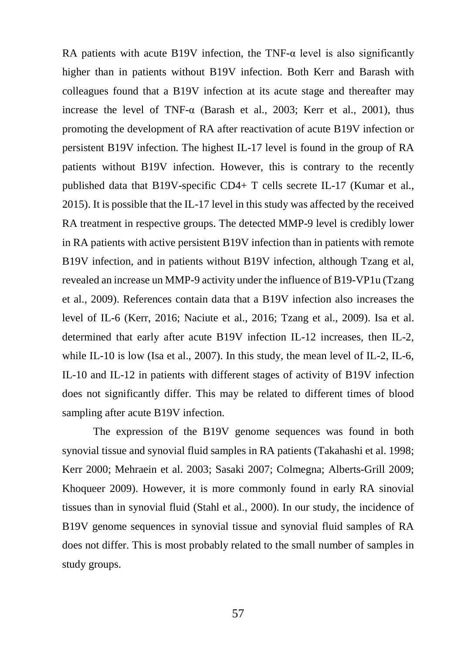RA patients with acute B19V infection, the TNF- $\alpha$  level is also significantly higher than in patients without B19V infection. Both Kerr and Barash with colleagues found that a B19V infection at its acute stage and thereafter may increase the level of TNF- $\alpha$  (Barash et al., 2003; Kerr et al., 2001), thus promoting the development of RA after reactivation of acute B19V infection or persistent B19V infection. The highest IL-17 level is found in the group of RA patients without B19V infection. However, this is contrary to the recently published data that B19V-specific CD4+ T cells secrete IL-17 (Kumar et al., 2015). It is possible that the IL-17 level in this study was affected by the received RA treatment in respective groups. The detected MMP-9 level is credibly lower in RA patients with active persistent B19V infection than in patients with remote B19V infection, and in patients without B19V infection, although Tzang et al, revealed an increase un MMP-9 activity under the influence of B19-VP1u (Tzang et al., 2009). References contain data that a B19V infection also increases the level of IL-6 (Kerr, 2016; Naciute et al., 2016; Tzang et al., 2009). Isa et al. determined that early after acute B19V infection IL-12 increases, then IL-2, while IL-10 is low (Isa et al., 2007). In this study, the mean level of IL-2, IL-6, IL-10 and IL-12 in patients with different stages of activity of B19V infection does not significantly differ. This may be related to different times of blood sampling after acute B19V infection.

The expression of the B19V genome sequences was found in both synovial tissue and synovial fluid samples in RA patients (Takahashi et al. 1998; Kerr 2000; Mehraein et al. 2003; Sasaki 2007; Colmegna; Alberts-Grill 2009; Khoqueer 2009). However, it is more commonly found in early RA sinovial tissues than in synovial fluid (Stahl et al., 2000). In our study, the incidence of B19V genome sequences in synovial tissue and synovial fluid samples of RA does not differ. This is most probably related to the small number of samples in study groups.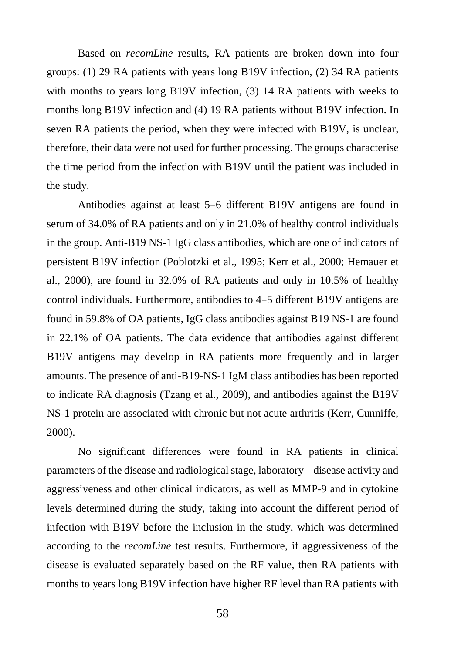Based on *recomLine* results, RA patients are broken down into four groups: (1) 29 RA patients with years long B19V infection, (2) 34 RA patients with months to years long B19V infection, (3) 14 RA patients with weeks to months long B19V infection and (4) 19 RA patients without B19V infection. In seven RA patients the period, when they were infected with B19V, is unclear, therefore, their data were not used for further processing. The groups characterise the time period from the infection with B19V until the patient was included in the study.

Antibodies against at least 5–6 different B19V antigens are found in serum of 34.0% of RA patients and only in 21.0% of healthy control individuals in the group. Anti-B19 NS-1 IgG class antibodies, which are one of indicators of persistent B19V infection (Poblotzki et al., 1995; Kerr et al., 2000; Hemauer et al., 2000), are found in 32.0% of RA patients and only in 10.5% of healthy control individuals. Furthermore, antibodies to 4–5 different B19V antigens are found in 59.8% of OA patients, IgG class antibodies against B19 NS-1 are found in 22.1% of OA patients. The data evidence that antibodies against different B19V antigens may develop in RA patients more frequently and in larger amounts. The presence of anti-B19-NS-1 IgM class antibodies has been reported to indicate RA diagnosis (Tzang et al., 2009), and antibodies against the B19V NS-1 protein are associated with chronic but not acute arthritis (Kerr, Cunniffe, 2000).

No significant differences were found in RA patients in clinical parameters of the disease and radiological stage, laboratory – disease activity and aggressiveness and other clinical indicators, as well as MMP-9 and in cytokine levels determined during the study, taking into account the different period of infection with B19V before the inclusion in the study, which was determined according to the *recomLine* test results. Furthermore, if aggressiveness of the disease is evaluated separately based on the RF value, then RA patients with months to years long B19V infection have higher RF level than RA patients with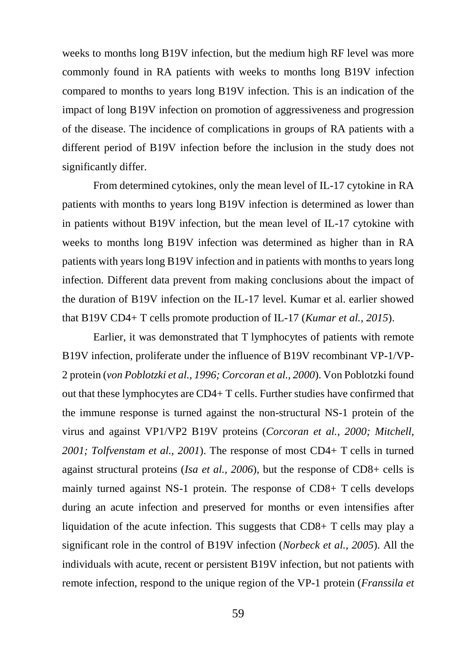weeks to months long B19V infection, but the medium high RF level was more commonly found in RA patients with weeks to months long B19V infection compared to months to years long B19V infection. This is an indication of the impact of long B19V infection on promotion of aggressiveness and progression of the disease. The incidence of complications in groups of RA patients with a different period of B19V infection before the inclusion in the study does not significantly differ.

From determined cytokines, only the mean level of IL-17 cytokine in RA patients with months to years long B19V infection is determined as lower than in patients without B19V infection, but the mean level of IL-17 cytokine with weeks to months long B19V infection was determined as higher than in RA patients with years long B19V infection and in patients with months to years long infection. Different data prevent from making conclusions about the impact of the duration of B19V infection on the IL-17 level. Kumar et al. earlier showed that B19V CD4+ T cells promote production of IL-17 (*Kumar et al., 2015*).

Earlier, it was demonstrated that T lymphocytes of patients with remote B19V infection, proliferate under the influence of B19V recombinant VP-1/VP-2 protein (*von Poblotzki et al., 1996; Corcoran et al., 2000*). Von Poblotzki found out that these lymphocytes are CD4+ T cells. Further studies have confirmed that the immune response is turned against the non-structural NS-1 protein of the virus and against VP1/VP2 B19V proteins (*Corcoran et al., 2000; Mitchell, 2001; Tolfvenstam et al., 2001*). The response of most CD4+ T cells in turned against structural proteins (*Isa et al., 2006*), but the response of CD8+ cells is mainly turned against NS-1 protein. The response of CD8+ T cells develops during an acute infection and preserved for months or even intensifies after liquidation of the acute infection. This suggests that CD8+ T cells may play a significant role in the control of B19V infection (*Norbeck et al., 2005*). All the individuals with acute, recent or persistent B19V infection, but not patients with remote infection, respond to the unique region of the VP-1 protein (*Franssila et*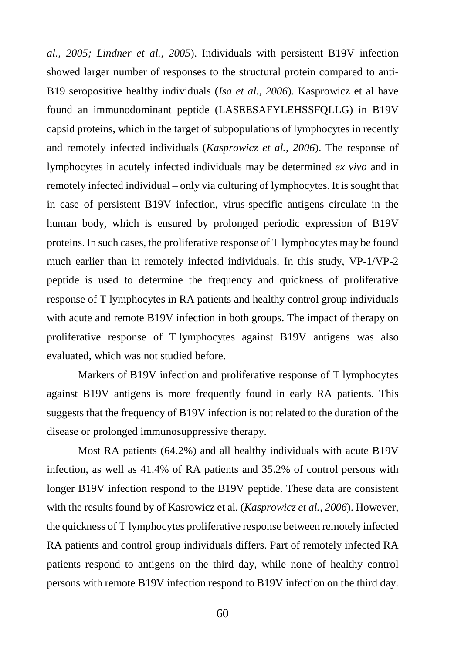*al., 2005; Lindner et al., 2005*). Individuals with persistent B19V infection showed larger number of responses to the structural protein compared to anti-B19 seropositive healthy individuals (*Isa et al., 2006*). Kasprowicz et al have found an immunodominant peptide (LASEESAFYLEHSSFQLLG) in B19V capsid proteins, which in the target of subpopulations of lymphocytes in recently and remotely infected individuals (*Kasprowicz et al., 2006*). The response of lymphocytes in acutely infected individuals may be determined *ex vivo* and in remotely infected individual – only via culturing of lymphocytes. It is sought that in case of persistent B19V infection, virus-specific antigens circulate in the human body, which is ensured by prolonged periodic expression of B19V proteins. In such cases, the proliferative response of T lymphocytes may be found much earlier than in remotely infected individuals. In this study, VP-1/VP-2 peptide is used to determine the frequency and quickness of proliferative response of T lymphocytes in RA patients and healthy control group individuals with acute and remote B19V infection in both groups. The impact of therapy on proliferative response of T lymphocytes against B19V antigens was also evaluated, which was not studied before.

Markers of B19V infection and proliferative response of T lymphocytes against B19V antigens is more frequently found in early RA patients. This suggests that the frequency of B19V infection is not related to the duration of the disease or prolonged immunosuppressive therapy.

Most RA patients (64.2%) and all healthy individuals with acute B19V infection, as well as 41.4% of RA patients and 35.2% of control persons with longer B19V infection respond to the B19V peptide. These data are consistent with the results found by of Kasrowicz et al. (*Kasprowicz et al., 2006*). However, the quickness of T lymphocytes proliferative response between remotely infected RA patients and control group individuals differs. Part of remotely infected RA patients respond to antigens on the third day, while none of healthy control persons with remote B19V infection respond to B19V infection on the third day.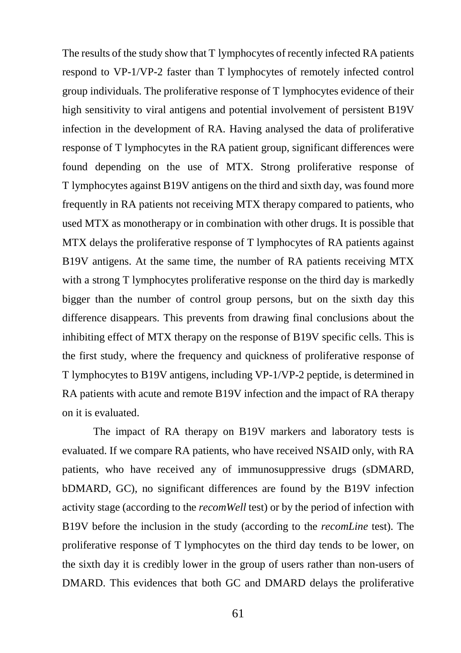The results of the study show that T lymphocytes of recently infected RA patients respond to VP-1/VP-2 faster than T lymphocytes of remotely infected control group individuals. The proliferative response of T lymphocytes evidence of their high sensitivity to viral antigens and potential involvement of persistent B19V infection in the development of RA. Having analysed the data of proliferative response of T lymphocytes in the RA patient group, significant differences were found depending on the use of MTX. Strong proliferative response of T lymphocytes against B19V antigens on the third and sixth day, was found more frequently in RA patients not receiving MTX therapy compared to patients, who used MTX as monotherapy or in combination with other drugs. It is possible that MTX delays the proliferative response of T lymphocytes of RA patients against B19V antigens. At the same time, the number of RA patients receiving MTX with a strong T lymphocytes proliferative response on the third day is markedly bigger than the number of control group persons, but on the sixth day this difference disappears. This prevents from drawing final conclusions about the inhibiting effect of MTX therapy on the response of B19V specific cells. This is the first study, where the frequency and quickness of proliferative response of T lymphocytes to B19V antigens, including VP-1/VP-2 peptide, is determined in RA patients with acute and remote B19V infection and the impact of RA therapy on it is evaluated.

The impact of RA therapy on B19V markers and laboratory tests is evaluated. If we compare RA patients, who have received NSAID only, with RA patients, who have received any of immunosuppressive drugs (sDMARD, bDMARD, GC), no significant differences are found by the B19V infection activity stage (according to the *recomWell* test) or by the period of infection with B19V before the inclusion in the study (according to the *recomLine* test). The proliferative response of T lymphocytes on the third day tends to be lower, on the sixth day it is credibly lower in the group of users rather than non-users of DMARD. This evidences that both GC and DMARD delays the proliferative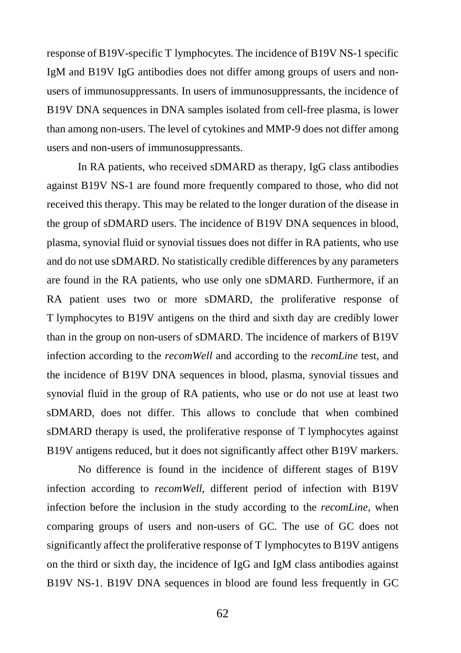response of B19V-specific T lymphocytes. The incidence of B19V NS-1 specific IgM and B19V IgG antibodies does not differ among groups of users and nonusers of immunosuppressants. In users of immunosuppressants, the incidence of B19V DNA sequences in DNA samples isolated from cell-free plasma, is lower than among non-users. The level of cytokines and MMP-9 does not differ among users and non-users of immunosuppressants.

In RA patients, who received sDMARD as therapy, IgG class antibodies against B19V NS-1 are found more frequently compared to those, who did not received this therapy. This may be related to the longer duration of the disease in the group of sDMARD users. The incidence of B19V DNA sequences in blood, plasma, synovial fluid or synovial tissues does not differ in RA patients, who use and do not use sDMARD. No statistically credible differences by any parameters are found in the RA patients, who use only one sDMARD. Furthermore, if an RA patient uses two or more sDMARD, the proliferative response of T lymphocytes to B19V antigens on the third and sixth day are credibly lower than in the group on non-users of sDMARD. The incidence of markers of B19V infection according to the *recomWell* and according to the *recomLine* test, and the incidence of B19V DNA sequences in blood, plasma, synovial tissues and synovial fluid in the group of RA patients, who use or do not use at least two sDMARD, does not differ. This allows to conclude that when combined sDMARD therapy is used, the proliferative response of T lymphocytes against B19V antigens reduced, but it does not significantly affect other B19V markers.

No difference is found in the incidence of different stages of B19V infection according to *recomWell*, different period of infection with B19V infection before the inclusion in the study according to the *recomLine*, when comparing groups of users and non-users of GC. The use of GC does not significantly affect the proliferative response of T lymphocytes to B19V antigens on the third or sixth day, the incidence of IgG and IgM class antibodies against B19V NS-1. B19V DNA sequences in blood are found less frequently in GC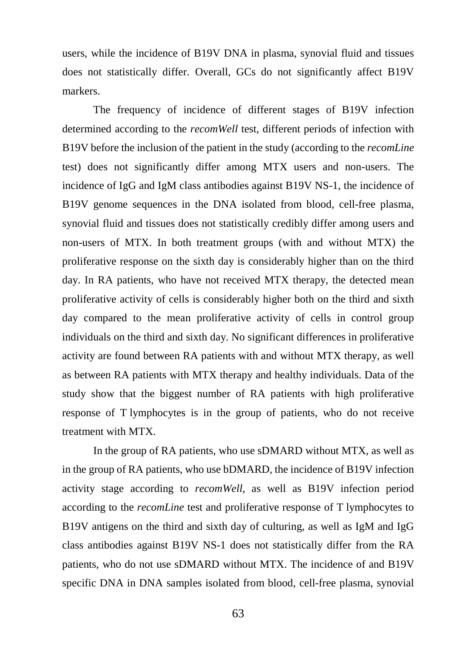users, while the incidence of B19V DNA in plasma, synovial fluid and tissues does not statistically differ. Overall, GCs do not significantly affect B19V markers.

The frequency of incidence of different stages of B19V infection determined according to the *recomWell* test, different periods of infection with B19V before the inclusion of the patient in the study (according to the *recomLine* test) does not significantly differ among MTX users and non-users. The incidence of IgG and IgM class antibodies against B19V NS-1, the incidence of B19V genome sequences in the DNA isolated from blood, cell-free plasma, synovial fluid and tissues does not statistically credibly differ among users and non-users of MTX. In both treatment groups (with and without MTX) the proliferative response on the sixth day is considerably higher than on the third day. In RA patients, who have not received MTX therapy, the detected mean proliferative activity of cells is considerably higher both on the third and sixth day compared to the mean proliferative activity of cells in control group individuals on the third and sixth day. No significant differences in proliferative activity are found between RA patients with and without MTX therapy, as well as between RA patients with MTX therapy and healthy individuals. Data of the study show that the biggest number of RA patients with high proliferative response of T lymphocytes is in the group of patients, who do not receive treatment with MTX.

In the group of RA patients, who use sDMARD without MTX, as well as in the group of RA patients, who use bDMARD, the incidence of B19V infection activity stage according to *recomWell*, as well as B19V infection period according to the *recomLine* test and proliferative response of T lymphocytes to B19V antigens on the third and sixth day of culturing, as well as IgM and IgG class antibodies against B19V NS-1 does not statistically differ from the RA patients, who do not use sDMARD without MTX. The incidence of and B19V specific DNA in DNA samples isolated from blood, cell-free plasma, synovial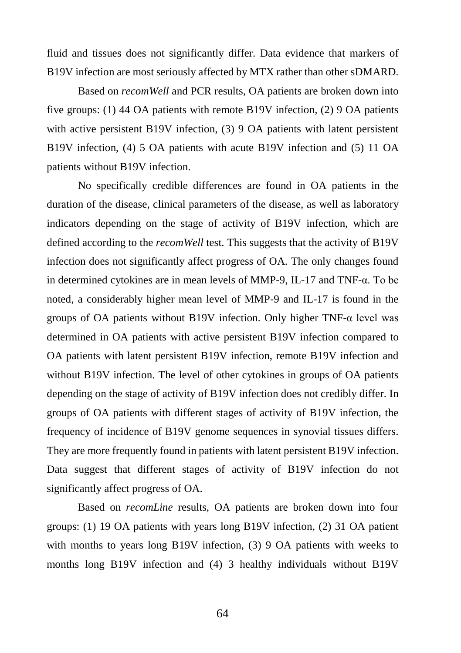fluid and tissues does not significantly differ. Data evidence that markers of B19V infection are most seriously affected by MTX rather than other sDMARD.

Based on *recomWell* and PCR results, OA patients are broken down into five groups: (1) 44 OA patients with remote B19V infection, (2) 9 OA patients with active persistent B19V infection, (3) 9 OA patients with latent persistent B19V infection, (4) 5 OA patients with acute B19V infection and (5) 11 OA patients without B19V infection.

No specifically credible differences are found in OA patients in the duration of the disease, clinical parameters of the disease, as well as laboratory indicators depending on the stage of activity of B19V infection, which are defined according to the *recomWell* test. This suggests that the activity of B19V infection does not significantly affect progress of OA. The only changes found in determined cytokines are in mean levels of MMP-9, IL-17 and TNF-α. To be noted, a considerably higher mean level of MMP-9 and IL-17 is found in the groups of OA patients without B19V infection. Only higher TNF- $\alpha$  level was determined in OA patients with active persistent B19V infection compared to OA patients with latent persistent B19V infection, remote B19V infection and without B19V infection. The level of other cytokines in groups of OA patients depending on the stage of activity of B19V infection does not credibly differ. In groups of OA patients with different stages of activity of B19V infection, the frequency of incidence of B19V genome sequences in synovial tissues differs. They are more frequently found in patients with latent persistent B19V infection. Data suggest that different stages of activity of B19V infection do not significantly affect progress of OA.

Based on *recomLine* results, OA patients are broken down into four groups: (1) 19 OA patients with years long B19V infection, (2) 31 OA patient with months to years long B19V infection, (3) 9 OA patients with weeks to months long B19V infection and (4) 3 healthy individuals without B19V

64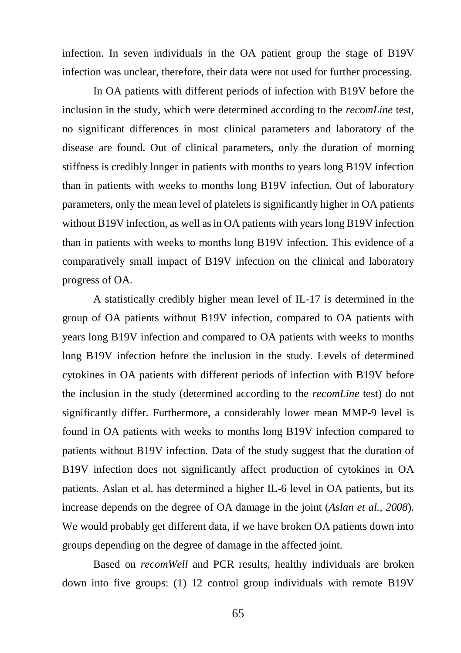infection. In seven individuals in the OA patient group the stage of B19V infection was unclear, therefore, their data were not used for further processing.

In OA patients with different periods of infection with B19V before the inclusion in the study, which were determined according to the *recomLine* test, no significant differences in most clinical parameters and laboratory of the disease are found. Out of clinical parameters, only the duration of morning stiffness is credibly longer in patients with months to years long B19V infection than in patients with weeks to months long B19V infection. Out of laboratory parameters, only the mean level of platelets is significantly higher in OA patients without B19V infection, as well as in OA patients with years long B19V infection than in patients with weeks to months long B19V infection. This evidence of a comparatively small impact of B19V infection on the clinical and laboratory progress of OA.

A statistically credibly higher mean level of IL-17 is determined in the group of OA patients without B19V infection, compared to OA patients with years long B19V infection and compared to OA patients with weeks to months long B19V infection before the inclusion in the study. Levels of determined cytokines in OA patients with different periods of infection with B19V before the inclusion in the study (determined according to the *recomLine* test) do not significantly differ. Furthermore, a considerably lower mean MMP-9 level is found in OA patients with weeks to months long B19V infection compared to patients without B19V infection. Data of the study suggest that the duration of B19V infection does not significantly affect production of cytokines in OA patients. Aslan et al. has determined a higher IL-6 level in OA patients, but its increase depends on the degree of OA damage in the joint (*Aslan et al., 2008*). We would probably get different data, if we have broken OA patients down into groups depending on the degree of damage in the affected joint.

Based on *recomWell* and PCR results, healthy individuals are broken down into five groups: (1) 12 control group individuals with remote B19V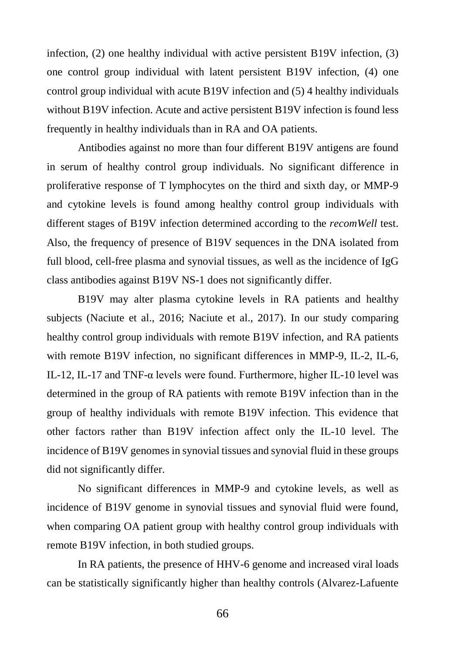infection, (2) one healthy individual with active persistent B19V infection, (3) one control group individual with latent persistent B19V infection, (4) one control group individual with acute B19V infection and (5) 4 healthy individuals without B19V infection. Acute and active persistent B19V infection is found less frequently in healthy individuals than in RA and OA patients.

Antibodies against no more than four different B19V antigens are found in serum of healthy control group individuals. No significant difference in proliferative response of T lymphocytes on the third and sixth day, or MMP-9 and cytokine levels is found among healthy control group individuals with different stages of B19V infection determined according to the *recomWell* test. Also, the frequency of presence of B19V sequences in the DNA isolated from full blood, cell-free plasma and synovial tissues, as well as the incidence of IgG class antibodies against B19V NS-1 does not significantly differ.

B19V may alter plasma cytokine levels in RA patients and healthy subjects (Naciute et al., 2016; Naciute et al., 2017). In our study comparing healthy control group individuals with remote B19V infection, and RA patients with remote B19V infection, no significant differences in MMP-9, IL-2, IL-6, IL-12, IL-17 and TNF- $\alpha$  levels were found. Furthermore, higher IL-10 level was determined in the group of RA patients with remote B19V infection than in the group of healthy individuals with remote B19V infection. This evidence that other factors rather than B19V infection affect only the IL-10 level. The incidence of B19V genomes in synovial tissues and synovial fluid in these groups did not significantly differ.

No significant differences in MMP-9 and cytokine levels, as well as incidence of B19V genome in synovial tissues and synovial fluid were found, when comparing OA patient group with healthy control group individuals with remote B19V infection, in both studied groups.

In RA patients, the presence of HHV-6 genome and increased viral loads can be statistically significantly higher than healthy controls (Alvarez-Lafuente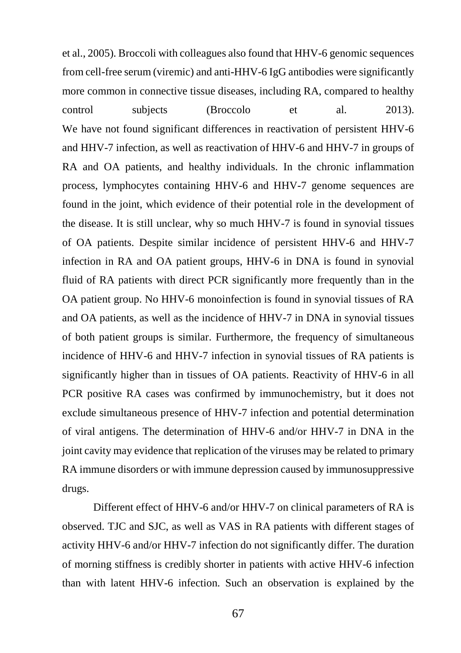et al., 2005). Broccoli with colleagues also found that HHV-6 genomic sequences from cell-free serum (viremic) and anti-HHV-6 IgG antibodies were significantly more common in connective tissue diseases, including RA, compared to healthy control subjects (Broccolo et al. 2013). We have not found significant differences in reactivation of persistent HHV-6 and HHV-7 infection, as well as reactivation of HHV-6 and HHV-7 in groups of RA and OA patients, and healthy individuals. In the chronic inflammation process, lymphocytes containing HHV-6 and HHV-7 genome sequences are found in the joint, which evidence of their potential role in the development of the disease. It is still unclear, why so much HHV-7 is found in synovial tissues of OA patients. Despite similar incidence of persistent HHV-6 and HHV-7 infection in RA and OA patient groups, HHV-6 in DNA is found in synovial fluid of RA patients with direct PCR significantly more frequently than in the OA patient group. No HHV-6 monoinfection is found in synovial tissues of RA and OA patients, as well as the incidence of HHV-7 in DNA in synovial tissues of both patient groups is similar. Furthermore, the frequency of simultaneous incidence of HHV-6 and HHV-7 infection in synovial tissues of RA patients is significantly higher than in tissues of OA patients. Reactivity of HHV-6 in all PCR positive RA cases was confirmed by immunochemistry, but it does not exclude simultaneous presence of HHV-7 infection and potential determination of viral antigens. The determination of HHV-6 and/or HHV-7 in DNA in the joint cavity may evidence that replication of the viruses may be related to primary RA immune disorders or with immune depression caused by immunosuppressive drugs.

Different effect of HHV-6 and/or HHV-7 on clinical parameters of RA is observed. TJC and SJC, as well as VAS in RA patients with different stages of activity HHV-6 and/or HHV-7 infection do not significantly differ. The duration of morning stiffness is credibly shorter in patients with active HHV-6 infection than with latent HHV-6 infection. Such an observation is explained by the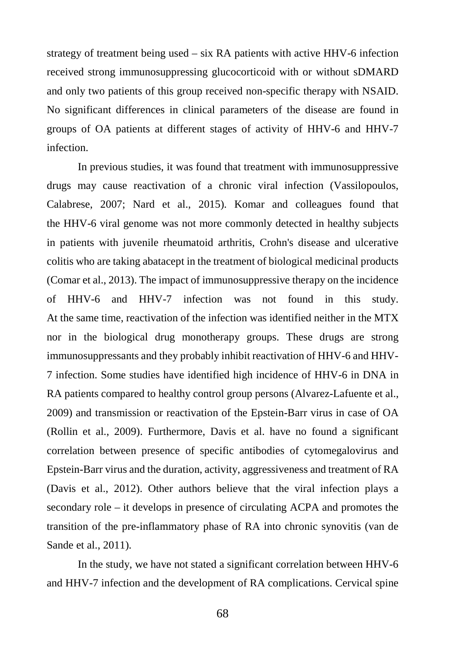strategy of treatment being used – six RA patients with active HHV-6 infection received strong immunosuppressing glucocorticoid with or without sDMARD and only two patients of this group received non-specific therapy with NSAID. No significant differences in clinical parameters of the disease are found in groups of OA patients at different stages of activity of HHV-6 and HHV-7 infection.

In previous studies, it was found that treatment with immunosuppressive drugs may cause reactivation of a chronic viral infection (Vassilopoulos, Calabrese, 2007; Nard et al., 2015). Komar and colleagues found that the HHV-6 viral genome was not more commonly detected in healthy subjects in patients with juvenile rheumatoid arthritis, Crohn's disease and ulcerative colitis who are taking abatacept in the treatment of biological medicinal products (Comar et al., 2013). The impact of immunosuppressive therapy on the incidence of HHV-6 and HHV-7 infection was not found in this study. At the same time, reactivation of the infection was identified neither in the MTX nor in the biological drug monotherapy groups. These drugs are strong immunosuppressants and they probably inhibit reactivation of HHV-6 and HHV-7 infection. Some studies have identified high incidence of HHV-6 in DNA in RA patients compared to healthy control group persons (Alvarez-Lafuente et al., 2009) and transmission or reactivation of the Epstein-Barr virus in case of OA (Rollin et al., 2009). Furthermore, Davis et al. have no found a significant correlation between presence of specific antibodies of cytomegalovirus and Epstein-Barr virus and the duration, activity, aggressiveness and treatment of RA (Davis et al., 2012). Other authors believe that the viral infection plays a secondary role – it develops in presence of circulating ACPA and promotes the transition of the pre-inflammatory phase of RA into chronic synovitis (van de Sande et al., 2011).

In the study, we have not stated a significant correlation between HHV-6 and HHV-7 infection and the development of RA complications. Cervical spine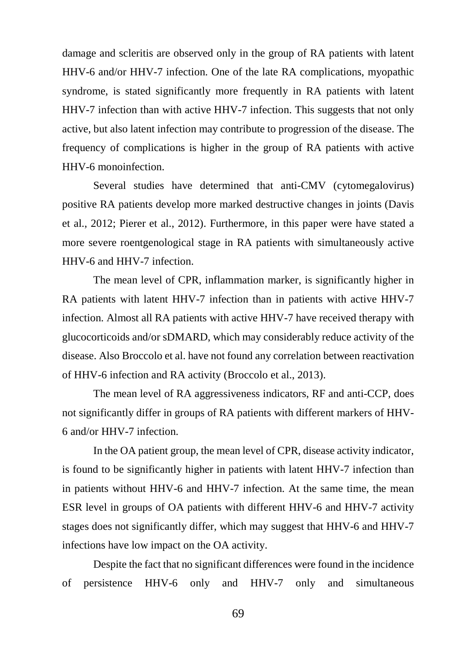damage and scleritis are observed only in the group of RA patients with latent HHV-6 and/or HHV-7 infection. One of the late RA complications, myopathic syndrome, is stated significantly more frequently in RA patients with latent HHV-7 infection than with active HHV-7 infection. This suggests that not only active, but also latent infection may contribute to progression of the disease. The frequency of complications is higher in the group of RA patients with active HHV-6 monoinfection.

Several studies have determined that anti-CMV (cytomegalovirus) positive RA patients develop more marked destructive changes in joints (Davis et al., 2012; Pierer et al., 2012). Furthermore, in this paper were have stated a more severe roentgenological stage in RA patients with simultaneously active HHV-6 and HHV-7 infection.

The mean level of CPR, inflammation marker, is significantly higher in RA patients with latent HHV-7 infection than in patients with active HHV-7 infection. Almost all RA patients with active HHV-7 have received therapy with glucocorticoids and/or sDMARD, which may considerably reduce activity of the disease. Also Broccolo et al. have not found any correlation between reactivation of HHV-6 infection and RA activity (Broccolo et al., 2013).

The mean level of RA aggressiveness indicators, RF and anti-CCP, does not significantly differ in groups of RA patients with different markers of HHV-6 and/or HHV-7 infection.

In the OA patient group, the mean level of CPR, disease activity indicator, is found to be significantly higher in patients with latent HHV-7 infection than in patients without HHV-6 and HHV-7 infection. At the same time, the mean ESR level in groups of OA patients with different HHV-6 and HHV-7 activity stages does not significantly differ, which may suggest that HHV-6 and HHV-7 infections have low impact on the OA activity.

Despite the fact that no significant differences were found in the incidence of persistence HHV-6 only and HHV-7 only and simultaneous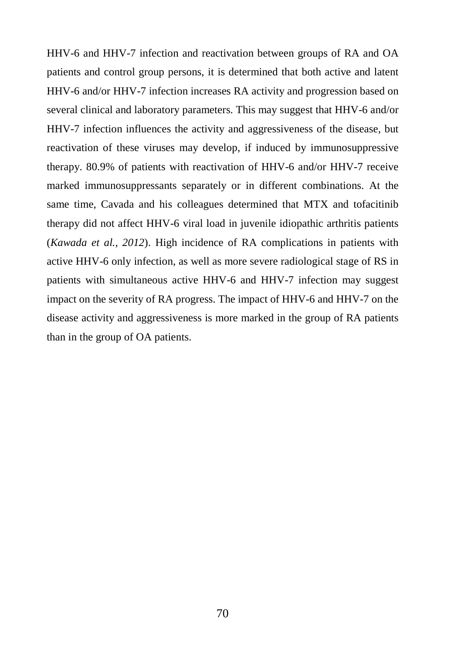HHV-6 and HHV-7 infection and reactivation between groups of RA and OA patients and control group persons, it is determined that both active and latent HHV-6 and/or HHV-7 infection increases RA activity and progression based on several clinical and laboratory parameters. This may suggest that HHV-6 and/or HHV-7 infection influences the activity and aggressiveness of the disease, but reactivation of these viruses may develop, if induced by immunosuppressive therapy. 80.9% of patients with reactivation of HHV-6 and/or HHV-7 receive marked immunosuppressants separately or in different combinations. At the same time, Cavada and his colleagues determined that MTX and tofacitinib therapy did not affect HHV-6 viral load in juvenile idiopathic arthritis patients (*Kawada et al., 2012*). High incidence of RA complications in patients with active HHV-6 only infection, as well as more severe radiological stage of RS in patients with simultaneous active HHV-6 and HHV-7 infection may suggest impact on the severity of RA progress. The impact of HHV-6 and HHV-7 on the disease activity and aggressiveness is more marked in the group of RA patients than in the group of OA patients.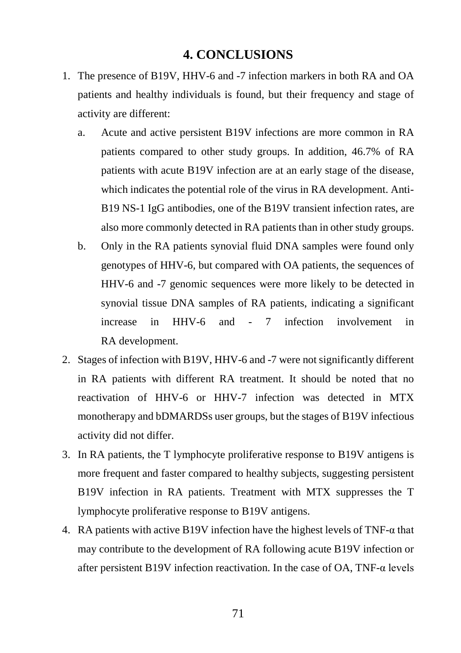## **4. CONCLUSIONS**

- 1. The presence of B19V, HHV-6 and -7 infection markers in both RA and OA patients and healthy individuals is found, but their frequency and stage of activity are different:
	- a. Acute and active persistent B19V infections are more common in RA patients compared to other study groups. In addition, 46.7% of RA patients with acute B19V infection are at an early stage of the disease, which indicates the potential role of the virus in RA development. Anti-B19 NS-1 IgG antibodies, one of the B19V transient infection rates, are also more commonly detected in RA patients than in other study groups.
	- b. Only in the RA patients synovial fluid DNA samples were found only genotypes of HHV-6, but compared with OA patients, the sequences of HHV-6 and -7 genomic sequences were more likely to be detected in synovial tissue DNA samples of RA patients, indicating a significant increase in HHV-6 and - 7 infection involvement in RA development.
- 2. Stages of infection with B19V, HHV-6 and -7 were not significantly different in RA patients with different RA treatment. It should be noted that no reactivation of HHV-6 or HHV-7 infection was detected in MTX monotherapy and bDMARDSs user groups, but the stages of B19V infectious activity did not differ.
- 3. In RA patients, the T lymphocyte proliferative response to B19V antigens is more frequent and faster compared to healthy subjects, suggesting persistent B19V infection in RA patients. Treatment with MTX suppresses the T lymphocyte proliferative response to B19V antigens.
- 4. RA patients with active B19V infection have the highest levels of TNF-α that may contribute to the development of RA following acute B19V infection or after persistent B19V infection reactivation. In the case of OA, TNF- $\alpha$  levels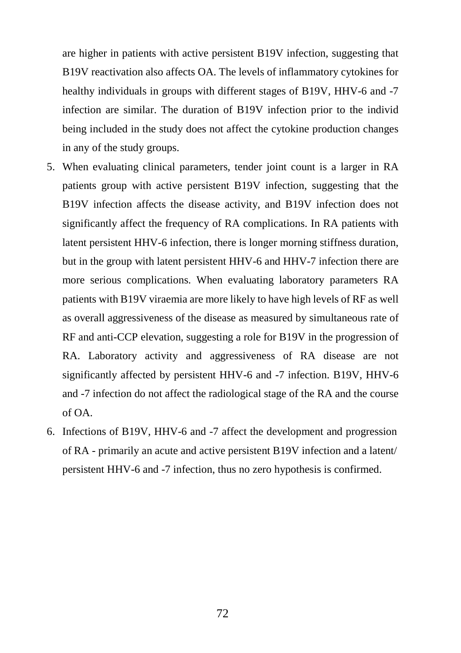are higher in patients with active persistent B19V infection, suggesting that B19V reactivation also affects OA. The levels of inflammatory cytokines for healthy individuals in groups with different stages of B19V, HHV-6 and -7 infection are similar. The duration of B19V infection prior to the individ being included in the study does not affect the cytokine production changes in any of the study groups.

- 5. When evaluating clinical parameters, tender joint count is a larger in RA patients group with active persistent B19V infection, suggesting that the B19V infection affects the disease activity, and B19V infection does not significantly affect the frequency of RA complications. In RA patients with latent persistent HHV-6 infection, there is longer morning stiffness duration, but in the group with latent persistent HHV-6 and HHV-7 infection there are more serious complications. When evaluating laboratory parameters RA patients with B19V viraemia are more likely to have high levels of RF as well as overall aggressiveness of the disease as measured by simultaneous rate of RF and anti-CCP elevation, suggesting a role for B19V in the progression of RA. Laboratory activity and aggressiveness of RA disease are not significantly affected by persistent HHV-6 and -7 infection. B19V, HHV-6 and -7 infection do not affect the radiological stage of the RA and the course of OA.
- 6. Infections of B19V, HHV-6 and -7 affect the development and progression of RA - primarily an acute and active persistent B19V infection and a latent/ persistent HHV-6 and -7 infection, thus no zero hypothesis is confirmed.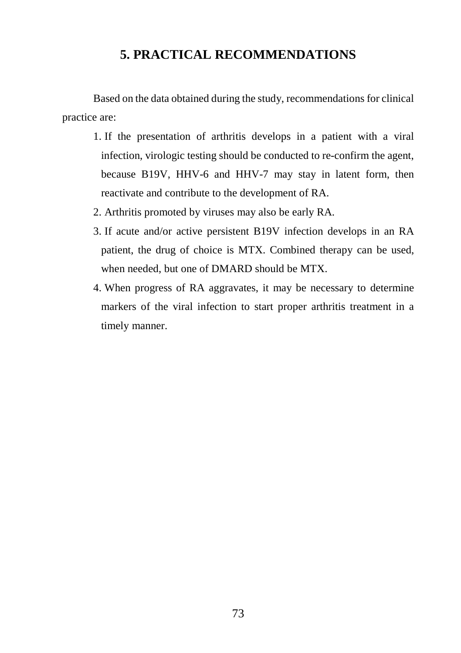# **5. PRACTICAL RECOMMENDATIONS**

Based on the data obtained during the study, recommendations for clinical practice are:

- 1. If the presentation of arthritis develops in a patient with a viral infection, virologic testing should be conducted to re-confirm the agent, because B19V, HHV-6 and HHV-7 may stay in latent form, then reactivate and contribute to the development of RA.
- 2. Arthritis promoted by viruses may also be early RA.
- 3. If acute and/or active persistent B19V infection develops in an RA patient, the drug of choice is MTX. Combined therapy can be used, when needed, but one of DMARD should be MTX.
- 4. When progress of RA aggravates, it may be necessary to determine markers of the viral infection to start proper arthritis treatment in a timely manner.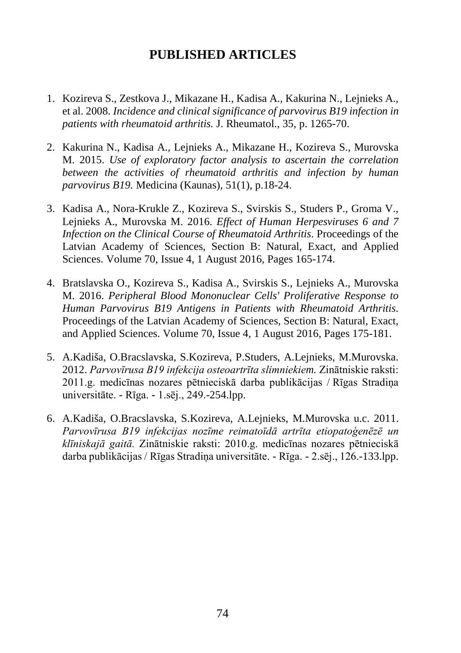# **PUBLISHED ARTICLES**

- 1. Kozireva S., Zestkova J., Mikazane H., Kadisa A., Kakurina N., Lejnieks A., et al. 2008. *Incidence and clinical significance of parvovirus B19 infection in patients with rheumatoid arthritis.* J. Rheumatol., 35, p. 1265-70.
- 2. Kakurina N., Kadisa A., Lejnieks A., Mikazane H., Kozireva S., Murovska M. 2015. *Use of exploratory factor analysis to ascertain the correlation between the activities of rheumatoid arthritis and infection by human parvovirus B19.* Medicina (Kaunas), 51(1), p.18-24.
- 3. Kadisa A., Nora-Krukle Z., Kozireva S., Svirskis S., Studers P., Groma V., Lejnieks A., Murovska M. 2016. *Effect of Human Herpesviruses 6 and 7 Infection on the Clinical Course of Rheumatoid Arthritis*. Proceedings of the Latvian Academy of Sciences, Section B: Natural, Exact, and Applied Sciences. Volume 70, Issue 4, 1 August 2016, Pages 165-174.
- 4. Bratslavska O., Kozireva S., Kadisa A., Svirskis S., Lejnieks A., Murovska M. 2016. *Peripheral Blood Mononuclear Cells' Proliferative Response to Human Parvovirus B19 Antigens in Patients with Rheumatoid Arthritis*. Proceedings of the Latvian Academy of Sciences, Section B: Natural, Exact, and Applied Sciences. Volume 70, Issue 4, 1 August 2016, Pages 175-181.
- 5. [A.Kadiša, O.Bracslavska, S.Kozireva, P.Studers, A.Lejnieks, M.Murovska.](javascript:open_window("https://kopkatalogs.lv/F/FQA7H1A3LMKJ7TUYM93M7MU519PKL2KHV6PLPSL9SGLFEDRKF8-24354?func=service&doc_number=000008982&line_number=0007&service_type=TAG");) 2012. *Parvovīrusa B19 infekcija osteoartrīta slimniekiem.* Zinātniskie raksti: 2011.g. medicīnas nozares pētnieciskā darba publikācijas / Rīgas Stradiņa universitāte. - Rīga. - 1.sēj., 249.-254.lpp.
- 6. A.Kadiša, O.Bracslavska, S.Kozireva, A.Lejnieks, M.Murovska u.c. 2011. *Parvovīrusa B19 infekcijas nozīme reimatoīdā artrīta etiopatoģenēzē un klīniskajā gaitā.* Zinātniskie raksti: 2010.g. medicīnas nozares pētnieciskā darba publikācijas / Rīgas Stradiņa universitāte. - Rīga. - 2.sēj., 126.-133.lpp.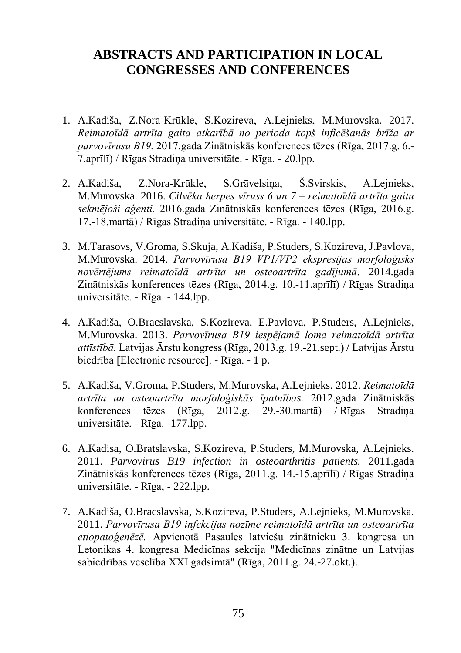## **ABSTRACTS AND PARTICIPATION IN LOCAL CONGRESSES AND CONFERENCES**

- 1. A.Kadiša, Z.Nora-[Krūkle, S.Kozireva, A.Lejnieks, M.](javascript:open_window("https://kopkatalogs.lv/F/FQA7H1A3LMKJ7TUYM93M7MU519PKL2KHV6PLPSL9SGLFEDRKF8-24233?func=service&doc_number=000018095&line_number=0007&service_type=TAG");)Murovska. 2017. *Reimatoīdā artrīta gaita atkarībā no perioda kopš inficēšanās brīža ar parvovīrusu B19.* 2017.gada Zinātniskās konferences tēzes (Rīga, 2017.g. 6.- 7.aprīlī) / Rīgas Stradiņa universitāte. - Rīga. - 20.lpp.
- 2. A.Kadiša, Z.Nora-[Krūkle, S.Grāvelsiņa, Š.Svirskis, A.Lejnieks,](javascript:open_window("https://kopkatalogs.lv/F/FQA7H1A3LMKJ7TUYM93M7MU519PKL2KHV6PLPSL9SGLFEDRKF8-05188?func=service&doc_number=000015721&line_number=0007&service_type=TAG");)  [M.Murovska.](javascript:open_window("https://kopkatalogs.lv/F/FQA7H1A3LMKJ7TUYM93M7MU519PKL2KHV6PLPSL9SGLFEDRKF8-05188?func=service&doc_number=000015721&line_number=0007&service_type=TAG");) 2016. *Cilvēka herpes vīruss 6 un 7 – reimatoīdā artrīta gaitu sekmējoši aģenti.* 2016.gada Zinātniskās konferences tēzes (Rīga, 2016.g. 17.-18.martā) / Rīgas Stradiņa universitāte. - Rīga. - 140.lpp.
- 3. [M.Tarasovs, V.Groma, S.Skuja, A.Kadiša, P.Studers, S.Kozireva, J.Pavlova,](javascript:open_window("https://kopkatalogs.lv/F/FQA7H1A3LMKJ7TUYM93M7MU519PKL2KHV6PLPSL9SGLFEDRKF8-21184?func=service&doc_number=000011945&line_number=0007&service_type=TAG");)  [M.Murovska.](javascript:open_window("https://kopkatalogs.lv/F/FQA7H1A3LMKJ7TUYM93M7MU519PKL2KHV6PLPSL9SGLFEDRKF8-21184?func=service&doc_number=000011945&line_number=0007&service_type=TAG");) 2014. *Parvovīrusa B19 VP1/VP2 ekspresijas morfoloģisks novērtējums reimatoīdā artrīta un osteoartrīta gadījumā*. 2014.gada Zinātniskās konferences tēzes (Rīga, 2014.g. 10.-11.aprīlī) / Rīgas Stradiņa universitāte. - Rīga. - 144.lpp.
- 4. [A.Kadiša, O.Bracslavska, S.Kozireva, E.Pavlova, P.Studers, A.Lejnieks,](javascript:open_window("https://kopkatalogs.lv/F/FQA7H1A3LMKJ7TUYM93M7MU519PKL2KHV6PLPSL9SGLFEDRKF8-23029?func=service&doc_number=000010630&line_number=0007&service_type=TAG");)  [M.Murovska.](javascript:open_window("https://kopkatalogs.lv/F/FQA7H1A3LMKJ7TUYM93M7MU519PKL2KHV6PLPSL9SGLFEDRKF8-23029?func=service&doc_number=000010630&line_number=0007&service_type=TAG");) 2013. *Parvovīrusa B19 iespējamā loma reimatoīdā artrīta attīstībā.* Latvijas Ārstu kongress (Rīga, 2013.g. 19.-21.sept.) / Latvijas Ārstu biedrība [Electronic resource]. - Rīga. - 1 p.
- 5. [A.Kadiša, V.Groma, P.Studers, M.Murovska, A.Lejnieks.](javascript:open_window("https://kopkatalogs.lv/F/FQA7H1A3LMKJ7TUYM93M7MU519PKL2KHV6PLPSL9SGLFEDRKF8-24656?func=service&doc_number=000008707&line_number=0007&service_type=TAG");) 2012. *Reimatoīdā artrīta un osteoartrīta morfoloģiskās īpatnības.* 2012.gada Zinātniskās konferences tēzes (Rīga, 2012.g. 29.-30.martā) / Rīgas Stradiņa universitāte. - Rīga. -177.lpp.
- 6. A.Kadisa, O.Bratslavska, S.Kozireva, P.Studers, M.Murovska, A.Lejnieks. 2011. *Parvovirus B19 infection in osteoarthritis patients.* 2011.gada Zinātniskās konferences tēzes (Rīga, 2011.g. 14.-15.aprīlī) / Rīgas Stradiņa universitāte. - Rīga, - 222.lpp.
- 7. [A.Kadiša, O.Bracslavska, S.Kozireva, P.Studers, A.Lejnieks, M.Murovska.](javascript:open_window("https://kopkatalogs.lv/F/FQA7H1A3LMKJ7TUYM93M7MU519PKL2KHV6PLPSL9SGLFEDRKF8-00643?func=service&doc_number=000007587&line_number=0007&service_type=TAG");) 2011. *Parvovīrusa B19 infekcijas nozīme reimatoīdā artrīta un osteoartrīta etiopatoģenēzē.* Apvienotā Pasaules latviešu zinātnieku 3. kongresa un Letonikas 4. kongresa Medicīnas sekcija "Medicīnas zinātne un Latvijas sabiedrības veselība XXI gadsimtā" (Rīga, 2011.g. 24.-27.okt.).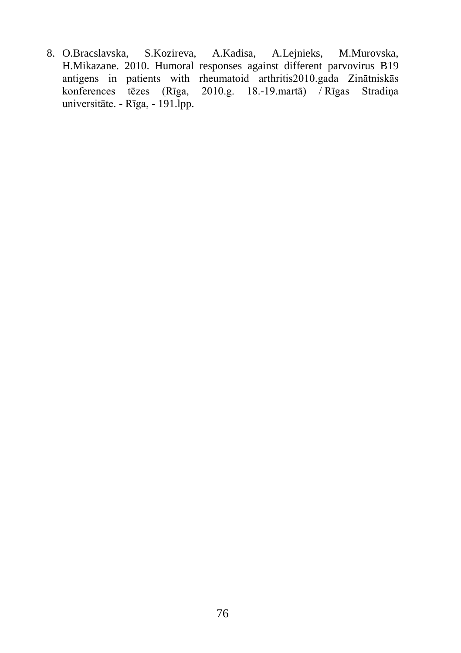8. O.Bracslavska, S.Kozireva, A.Kadisa, A.Lejnieks, M.Murovska, H.Mikazane. 2010. Humoral responses against different parvovirus B19 antigens in patients with rheumatoid arthritis2010.gada Zinātniskās konferences tēzes (Rīga, 2010.g. 18.-19.martā) / Rīgas Stradiņa universitāte. - Rīga, - 191.lpp.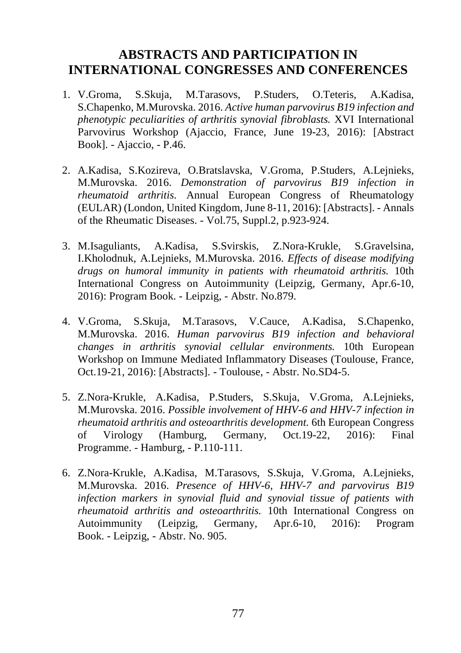### **ABSTRACTS AND PARTICIPATION IN INTERNATIONAL CONGRESSES AND CONFERENCES**

- 1. V.Groma, S.Skuja, M.Tarasovs, P.Studers, O.Teteris, A.Kadisa, S.Chapenko, M.Murovska. 2016. *Active human parvovirus B19 infection and phenotypic peculiarities of arthritis synovial fibroblasts.* XVI International Parvovirus Workshop (Ajaccio, France, June 19-23, 2016): [Abstract Book]. - Ajaccio, - P.46.
- 2. A.Kadisa, S.Kozireva, O.Bratslavska, V.Groma, P.Studers, A.Lejnieks, M.Murovska. 2016. *Demonstration of parvovirus B19 infection in rheumatoid arthritis*. Annual European Congress of Rheumatology (EULAR) (London, United Kingdom, June 8-11, 2016): [Abstracts]. - Annals of the Rheumatic Diseases. - Vol.75, Suppl.2, p.923-924.
- 3. M.Isaguliants, A.Kadisa, S.Svirskis, Z.Nora-Krukle, S.Gravelsina, I.Kholodnuk, A.Lejnieks, M.Murovska. 2016. *Effects of disease modifying drugs on humoral immunity in patients with rheumatoid arthritis.* 10th International Congress on Autoimmunity (Leipzig, Germany, Apr.6-10, 2016): Program Book. - Leipzig, - Abstr. No.879.
- 4. V.Groma, S.Skuja, M.Tarasovs, V.Cauce, A.Kadisa, S.Chapenko, M.Murovska. 2016. *Human parvovirus B19 infection and behavioral changes in arthritis synovial cellular environments.* 10th European Workshop on Immune Mediated Inflammatory Diseases (Toulouse, France, Oct.19-21, 2016): [Abstracts]. - Toulouse, - Abstr. No.SD4-5.
- 5. Z.Nora-Krukle, A.Kadisa, P.Studers, S.Skuja, V.Groma, A.Lejnieks, M.Murovska. 2016. *Possible involvement of HHV-6 and HHV-7 infection in rheumatoid arthritis and osteoarthritis development.* 6th European Congress of Virology (Hamburg, Germany, Oct.19-22, 2016): Final Programme. - Hamburg, - P.110-111.
- 6. Z.Nora-Krukle, A.Kadisa, M.Tarasovs, S.Skuja, V.Groma, A.Lejnieks, M.Murovska. 2016. *Presence of HHV-6, HHV-7 and parvovirus B19 infection markers in synovial fluid and synovial tissue of patients with rheumatoid arthritis and osteoarthritis.* 10th International Congress on Autoimmunity (Leipzig, Germany, Apr.6-10, 2016): Program Book. - Leipzig, - Abstr. No. 905.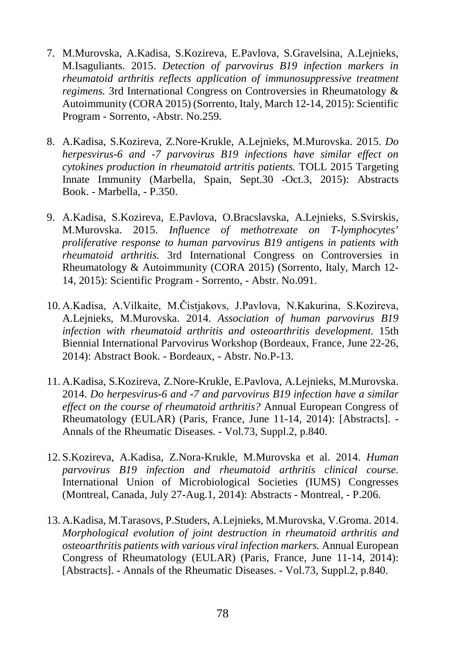- 7. M.Murovska, A.Kadisa, S.Kozireva, E.Pavlova, S.Gravelsina, A.Lejnieks, M.Isaguliants. 2015. *Detection of parvovirus B19 infection markers in rheumatoid arthritis reflects application of immunosuppressive treatment regimens.* 3rd International Congress on Controversies in Rheumatology & Autoimmunity (CORA 2015) (Sorrento, Italy, March 12-14, 2015): Scientific Program - Sorrento, -Abstr. No.259.
- 8. A.Kadisa, S.Kozireva, Z.Nore-Krukle, A.Lejnieks, M.Murovska. 2015. *Do herpesvirus-6 and -7 parvovirus B19 infections have similar effect on cytokines production in rheumatoid artritis patients.* TOLL 2015 Targeting Innate Immunity (Marbella, Spain, Sept.30 -Oct.3, 2015): Abstracts Book. - Marbella, - P.350.
- 9. A.Kadisa, S.Kozireva, E.Pavlova, O.Bracslavska, A.Lejnieks, S.Svirskis, M.Murovska. 2015. *Influence of methotrexate on T-lymphocytes' proliferative response to human parvovirus B19 antigens in patients with rheumatoid arthritis.* 3rd International Congress on Controversies in Rheumatology & Autoimmunity (CORA 2015) (Sorrento, Italy, March 12- 14, 2015): Scientific Program - Sorrento, - Abstr. No.091.
- 10. A.Kadisa, A.Vilkaite, M.Čistjakovs, J.Pavlova, N.Kakurina, S.Kozireva, A.Lejnieks, M.Murovska. 2014. *Association of human parvovirus B19 infection with rheumatoid arthritis and osteoarthritis development.* 15th Biennial International Parvovirus Workshop (Bordeaux, France, June 22-26, 2014): Abstract Book. - Bordeaux, - Abstr. No.P-13.
- 11. A.Kadisa, S.Kozireva, Z.Nore-Krukle, E.Pavlova, A.Lejnieks, M.Murovska. 2014. *Do herpesvirus-6 and -7 and parvovirus B19 infection have a similar effect on the course of rheumatoid arthritis?* Annual European Congress of Rheumatology (EULAR) (Paris, France, June 11-14, 2014): [Abstracts]. - Annals of the Rheumatic Diseases. - Vol.73, Suppl.2, p.840.
- 12. S.Kozireva, A.Kadisa, Z.Nora-Krukle, M.Murovska et al. 2014. *Human parvovirus B19 infection and rheumatoid arthritis clinical course.* International Union of Microbiological Societies (IUMS) Congresses (Montreal, Canada, July 27-Aug.1, 2014): Abstracts - Montreal, - P.206.
- 13. A.Kadisa, M.Tarasovs, P.Studers, A.Lejnieks, M.Murovska, V.Groma. 2014. *Morphological evolution of joint destruction in rheumatoid arthritis and osteoarthritis patients with various viral infection markers.* Annual European Congress of Rheumatology (EULAR) (Paris, France, June 11-14, 2014): [Abstracts]. - Annals of the Rheumatic Diseases. - Vol.73, Suppl.2, p.840.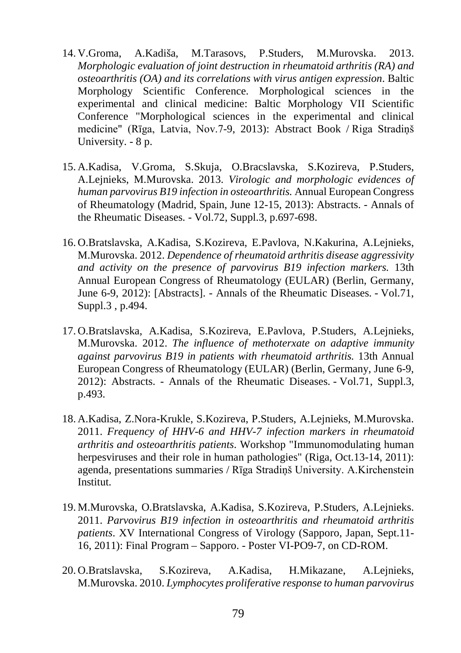- 14. [V.Groma, A.Kadiša, M.Tarasovs, P.Studers, M.Murovska.](javascript:open_window("https://kopkatalogs.lv/F/FQA7H1A3LMKJ7TUYM93M7MU519PKL2KHV6PLPSL9SGLFEDRKF8-22658?func=service&doc_number=000010908&line_number=0007&service_type=TAG");) 2013. *Morphologic evaluation of joint destruction in rheumatoid arthritis (RA) and osteoarthritis (OA) and its correlations with virus antigen expression*. Baltic Morphology Scientific Conference. Morphological sciences in the experimental and clinical medicine: Baltic Morphology VII Scientific Conference "Morphological sciences in the experimental and clinical medicine" (Rīga, Latvia, Nov.7-9, 2013): Abstract Book / Riga Stradiņš University. - 8 p.
- 15. A.Kadisa, V.Groma, S.Skuja, O.Bracslavska, S.Kozireva, P.Studers, A.Lejnieks, M.Murovska. 2013. *Virologic and morphologic evidences of human parvovirus B19 infection in osteoarthritis.* Annual European Congress of Rheumatology (Madrid, Spain, June 12-15, 2013): Abstracts. - Annals of the Rheumatic Diseases. - Vol.72, Suppl.3, p.697-698.
- 16. O.Bratslavska, A.Kadisa, S.Kozireva, E.Pavlova, N.Kakurina, A.Lejnieks, M.Murovska. 2012. *Dependence of rheumatoid arthritis disease aggressivity and activity on the presence of parvovirus B19 infection markers.* 13th Annual European Congress of Rheumatology (EULAR) (Berlin, Germany, June 6-9, 2012): [Abstracts]. - Annals of the Rheumatic Diseases. - Vol.71, Suppl.3 , p.494.
- 17. O.Bratslavska, A.Kadisa, S.Kozireva, E.Pavlova, P.Studers, A.Lejnieks, M.Murovska. 2012. *The influence of methoterxate on adaptive immunity against parvovirus B19 in patients with rheumatoid arthritis.* 13th Annual European Congress of Rheumatology (EULAR) (Berlin, Germany, June 6-9, 2012): Abstracts. - Annals of the Rheumatic Diseases. - Vol.71, Suppl.3, p.493.
- 18. A.Kadisa, Z.Nora-Krukle, S.Kozireva, P.Studers, A.Lejnieks, M.Murovska. 2011. *Frequency of HHV-6 and HHV-7 infection markers in rheumatoid arthritis and osteoarthritis patients*. Workshop "Immunomodulating human herpesviruses and their role in human pathologies" (Riga, Oct.13-14, 2011): agenda, presentations summaries / Rīga Stradiņš University. A.Kirchenstein Institut.
- 19. M.Murovska, O.Bratslavska, A.Kadisa, S.Kozireva, P.Studers, A.Lejnieks. 2011. *Parvovirus B19 infection in osteoarthritis and rheumatoid arthritis patients*. XV International Congress of Virology (Sapporo, Japan, Sept.11- 16, 2011): Final Program – Sapporo. - Poster VI-PO9-7, on CD-ROM.
- 20. O.Bratslavska, S.Kozireva, A.Kadisa, H.Mikazane, A.Lejnieks, M.Murovska. 2010. *Lymphocytes proliferative response to human parvovirus*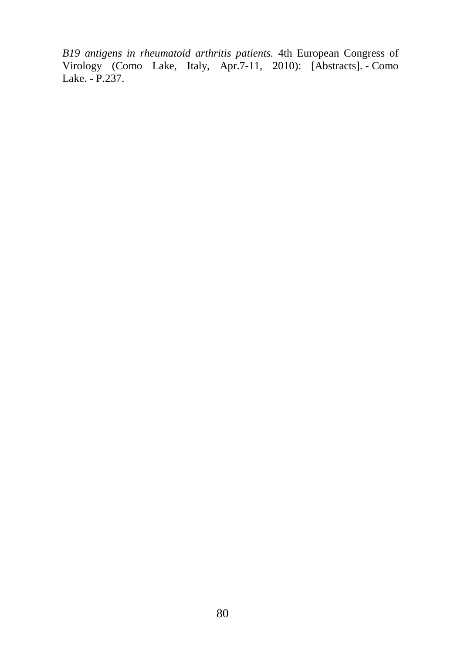*B19 antigens in rheumatoid arthritis patients.* 4th European Congress of Virology (Como Lake, Italy, Apr.7-11, 2010): [Abstracts]. - Como Lake. - P.237.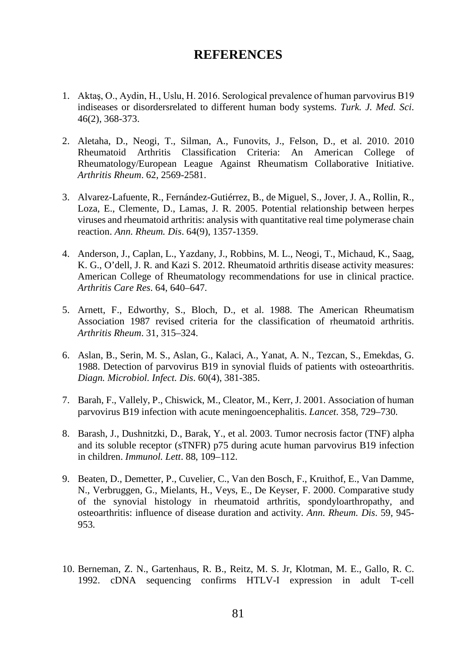#### **REFERENCES**

- 1. Aktaş, O., Aydin, H., Uslu, H. 2016. Serological prevalence of human parvovirus B19 indiseases or disordersrelated to different human body systems. *Turk. J. Med. Sci*. 46(2), 368-373.
- 2. Aletaha, D., Neogi, T., Silman, A., Funovits, J., Felson, D., et al. 2010. 2010 Rheumatoid Arthritis Classification Criteria: An American College of Rheumatology/European League Against Rheumatism Collaborative Initiative. *Arthritis Rheum*. 62, 2569-2581.
- 3. Alvarez-Lafuente, R., Fernández-Gutiérrez, B., de Miguel, S., Jover, J. A., Rollin, R., Loza, E., Clemente, D., Lamas, J. R. 2005. Potential relationship between herpes viruses and rheumatoid arthritis: analysis with quantitative real time polymerase chain reaction. *Ann. Rheum. Dis*. 64(9), 1357-1359.
- 4. Anderson, J., Caplan, L., Yazdany, J., Robbins, M. L., Neogi, T., Michaud, K., Saag, K. G., O'dell, J. R. and Kazi S. 2012. Rheumatoid arthritis disease activity measures: American College of Rheumatology recommendations for use in clinical practice. *Arthritis Care Res*. 64, 640–647.
- 5. Arnett, F., Edworthy, S., Bloch, D., et al. 1988. The American Rheumatism Association 1987 revised criteria for the classification of rheumatoid arthritis. *Arthritis Rheum*. 31, 315–324.
- 6. Aslan, B., Serin, M. S., Aslan, G., Kalaci, A., Yanat, A. N., Tezcan, S., Emekdas, G. 1988. Detection of parvovirus B19 in synovial fluids of patients with osteoarthritis. *Diagn. Microbiol. Infect. Dis*. 60(4), 381-385.
- 7. Barah, F., Vallely, P., Chiswick, M., Cleator, M., Kerr, J. 2001. Association of human parvovirus B19 infection with acute meningoencephalitis. *Lancet*. 358, 729–730.
- 8. Barash, J., Dushnitzki, D., Barak, Y., et al. 2003. Tumor necrosis factor (TNF) alpha and its soluble receptor (sTNFR) p75 during acute human parvovirus B19 infection in children. *Immunol. Lett*. 88, 109–112.
- 9. Beaten, D., Demetter, P., Cuvelier, C., Van den Bosch, F., Kruithof, E., Van Damme, N., Verbruggen, G., Mielants, H., Veys, E., De Keyser, F. 2000. Comparative study of the synovial histology in rheumatoid arthritis, spondyloarthropathy, and osteoarthritis: influence of disease duration and activity. *Ann. Rheum. Dis*. 59, 945- 953.
- 10. Berneman, Z. N., Gartenhaus, R. B., Reitz, M. S. Jr, Klotman, M. E., Gallo, R. C. 1992. cDNA sequencing confirms HTLV-I expression in adult T-cell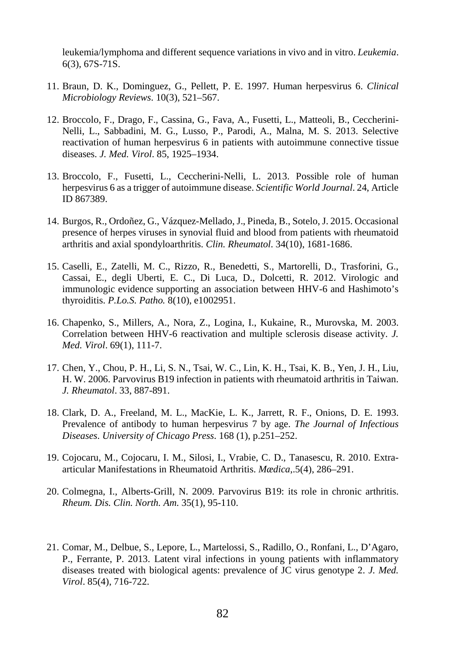leukemia/lymphoma and different sequence variations in vivo and in vitro. *Leukemia*. 6(3), 67S-71S.

- 11. Braun, D. K., Dominguez, G., Pellett, P. E. 1997. Human herpesvirus 6. *Clinical Microbiology Reviews*. 10(3), 521–567.
- 12. Broccolo, F., Drago, F., Cassina, G., Fava, A., Fusetti, L., Matteoli, B., Ceccherini-Nelli, L., Sabbadini, M. G., Lusso, P., Parodi, A., Malna, M. S. 2013. Selective reactivation of human herpesvirus 6 in patients with autoimmune connective tissue diseases. *J. Med. Virol*. 85, 1925–1934.
- 13. Broccolo, F., Fusetti, L., Ceccherini-Nelli, L. 2013. Possible role of human herpesvirus 6 as a trigger of autoimmune disease. *Scientific World Journal*. 24, Article ID 867389.
- 14. Burgos, R., Ordoñez, G., Vázquez-Mellado, J., Pineda, B., Sotelo, J. 2015. Occasional presence of herpes viruses in synovial fluid and blood from patients with rheumatoid arthritis and axial spondyloarthritis. *Clin. Rheumatol*. 34(10), 1681-1686.
- 15. Caselli, E., Zatelli, M. C., Rizzo, R., Benedetti, S., Martorelli, D., Trasforini, G., Cassai, E., degli Uberti, E. C., Di Luca, D., Dolcetti, R. 2012. Virologic and immunologic evidence supporting an association between HHV-6 and Hashimoto's thyroiditis. *P.Lo.S. Patho.* 8(10), e1002951.
- 16. Chapenko, S., Millers, A., Nora, Z., Logina, I., Kukaine, R., Murovska, M. 2003. Correlation between HHV-6 reactivation and multiple sclerosis disease activity. *J. Med. Virol*. 69(1), 111-7.
- 17. Chen, Y., Chou, P. H., Li, S. N., Tsai, W. C., Lin, K. H., Tsai, K. B., Yen, J. H., Liu, H. W. 2006. Parvovirus B19 infection in patients with rheumatoid arthritis in Taiwan. *J. Rheumatol*. 33, 887-891.
- 18. Clark, D. A., Freeland, M. L., MacKie, L. K., Jarrett, R. F., Onions, D. E. 1993. Prevalence of antibody to human herpesvirus 7 by age. *[The Journal of Infectious](https://en.wikipedia.org/wiki/The_Journal_of_Infectious_Diseases)  [Diseases](https://en.wikipedia.org/wiki/The_Journal_of_Infectious_Diseases)*. *[University of Chicago Press](https://en.wikipedia.org/wiki/University_of_Chicago_Press)*. 168 (1), p.251–252.
- 19. Cojocaru, M., Cojocaru, I. M., Silosi, I., Vrabie, C. D., Tanasescu, R. 2010. Extraarticular Manifestations in Rheumatoid Arthritis. *Mædica*,.5(4), 286–291.
- 20. Colmegna, I., Alberts-Grill, N. 2009. Parvovirus B19: its role in chronic arthritis. *Rheum. Dis. Clin. North. Am*. 35(1), 95-110.
- 21. Comar, M., Delbue, S., Lepore, L., Martelossi, S., Radillo, O., Ronfani, L., D'Agaro, P., Ferrante, P. 2013. Latent viral infections in young patients with inflammatory diseases treated with biological agents: prevalence of JC virus genotype 2. *J. Med. Virol*. 85(4), 716-722.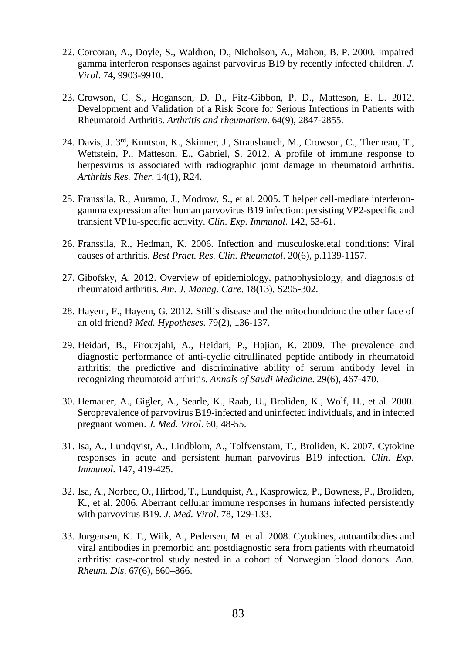- 22. Corcoran, A., Doyle, S., Waldron, D., Nicholson, A., Mahon, B. P. 2000. Impaired gamma interferon responses against parvovirus B19 by recently infected children. *J. Virol*. 74, 9903-9910.
- 23. Crowson, C. S., Hoganson, D. D., Fitz-Gibbon, P. D., Matteson, E. L. 2012. Development and Validation of a Risk Score for Serious Infections in Patients with Rheumatoid Arthritis. *Arthritis and rheumatism*. 64(9), 2847-2855.
- 24. Davis, J. 3rd, Knutson, K., Skinner, J., Strausbauch, M., Crowson, C., Therneau, T., Wettstein, P., Matteson, E., Gabriel, S. 2012. A profile of immune response to herpesvirus is associated with radiographic joint damage in rheumatoid arthritis. *Arthritis Res. Ther*. 14(1), R24.
- 25. Franssila, R., Auramo, J., Modrow, S., et al. 2005. T helper cell-mediate interferongamma expression after human parvovirus B19 infection: persisting VP2-specific and transient VP1u-specific activity. *Clin. Exp. Immunol*. 142, 53-61.
- 26. Franssila, R., Hedman, K. 2006. Infection and musculoskeletal conditions: Viral causes of arthritis. *Best Pract. Res. Clin. Rheumatol*. 20(6), p.1139-1157.
- 27. Gibofsky, A. 2012. Overview of epidemiology, pathophysiology, and diagnosis of rheumatoid arthritis. *Am. J. Manag. Care*. 18(13), S295-302.
- 28. Hayem, F., Hayem, G. 2012. Still's disease and the mitochondrion: the other face of an old friend? *Med. Hypotheses*. 79(2), 136-137.
- 29. Heidari, B., Firouzjahi, A., Heidari, P., Hajian, K. 2009. The prevalence and diagnostic performance of anti-cyclic citrullinated peptide antibody in rheumatoid arthritis: the predictive and discriminative ability of serum antibody level in recognizing rheumatoid arthritis. *Annals of Saudi Medicine*. 29(6), 467-470.
- 30. Hemauer, A., Gigler, A., Searle, K., Raab, U., Broliden, K., Wolf, H., et al. 2000. Seroprevalence of parvovirus B19-infected and uninfected individuals, and in infected pregnant women. *J. Med. Virol*. 60, 48-55.
- 31. Isa, A., Lundqvist, A., Lindblom, A., Tolfvenstam, T., Broliden, K. 2007. Cytokine responses in acute and persistent human parvovirus B19 infection. *Clin. Exp. Immunol*. 147, 419-425.
- 32. Isa, A., Norbec, O., Hirbod, T., Lundquist, A., Kasprowicz, P., Bowness, P., Broliden, K., et al. 2006. Aberrant cellular immune responses in humans infected persistently with parvovirus B19. *J. Med. Virol*. 78, 129-133.
- 33. Jorgensen, K. T., Wiik, A., Pedersen, M. et al. 2008. Cytokines, autoantibodies and viral antibodies in premorbid and postdiagnostic sera from patients with rheumatoid arthritis: case-control study nested in a cohort of Norwegian blood donors. *Ann. Rheum. Dis*. 67(6), 860–866.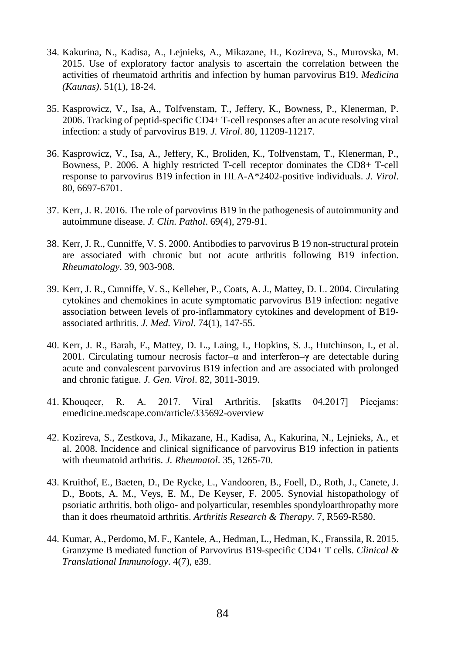- 34. Kakurina, N., Kadisa, A., Lejnieks, A., Mikazane, H., Kozireva, S., Murovska, M. 2015. Use of exploratory factor analysis to ascertain the correlation between the activities of rheumatoid arthritis and infection by human parvovirus B19. *Medicina (Kaunas)*. 51(1), 18-24.
- 35. Kasprowicz, V., Isa, A., Tolfvenstam, T., Jeffery, K., Bowness, P., Klenerman, P. 2006. Tracking of peptid-specific CD4+ T-cell responses after an acute resolving viral infection: a study of parvovirus B19. *J. Virol*. 80, 11209-11217.
- 36. Kasprowicz, V., Isa, A., Jeffery, K., Broliden, K., Tolfvenstam, T., Klenerman, P., Bowness, P. 2006. A highly restricted T-cell receptor dominates the CD8+ T-cell response to parvovirus B19 infection in HLA-A\*2402-positive individuals. *J. Virol*. 80, 6697-6701.
- 37. Kerr, J. R. 2016. The role of parvovirus B19 in the pathogenesis of autoimmunity and autoimmune disease. *J. Clin. Pathol*. 69(4), 279-91.
- 38. Kerr, J. R., Cunniffe, V. S. 2000. Antibodies to parvovirus B 19 non-structural protein are associated with chronic but not acute arthritis following B19 infection. *Rheumatology*. 39, 903-908.
- 39. Kerr, J. R., Cunniffe, V. S., Kelleher, P., Coats, A. J., Mattey, D. L. 2004. Circulating cytokines and chemokines in acute symptomatic parvovirus B19 infection: negative association between levels of pro-inflammatory cytokines and development of B19 associated arthritis. *J. Med. Virol*. 74(1), 147-55.
- 40. Kerr, J. R., Barah, F., Mattey, D. L., Laing, I., Hopkins, S. J., Hutchinson, I., et al. 2001. Circulating tumour necrosis factor–α and interferon**–γ** are detectable during acute and convalescent parvovirus B19 infection and are associated with prolonged and chronic fatigue. *J. Gen. Virol*. 82, 3011-3019.
- 41. Khouqeer, R. A. 2017. Viral Arthritis. [skatīts 04.2017] Pieejams: emedicine.medscape.com/article/335692-overview
- 42. Kozireva, S., Zestkova, J., Mikazane, H., Kadisa, A., Kakurina, N., Lejnieks, A., et al. 2008. Incidence and clinical significance of parvovirus B19 infection in patients with rheumatoid arthritis. *J. Rheumatol*. 35, 1265-70.
- 43. Kruithof, E., Baeten, D., De Rycke, L., Vandooren, B., Foell, D., Roth, J., Canete, J. D., Boots, A. M., Veys, E. M., De Keyser, F. 2005. Synovial histopathology of psoriatic arthritis, both oligo- and polyarticular, resembles spondyloarthropathy more than it does rheumatoid arthritis. *Arthritis Research & Therapy*. 7, R569-R580.
- 44. Kumar, A., Perdomo, M. F., Kantele, A., Hedman, L., Hedman, K., Franssila, R. 2015. Granzyme B mediated function of Parvovirus B19-specific CD4+ T cells. *Clinical & Translational Immunology*. 4(7), e39.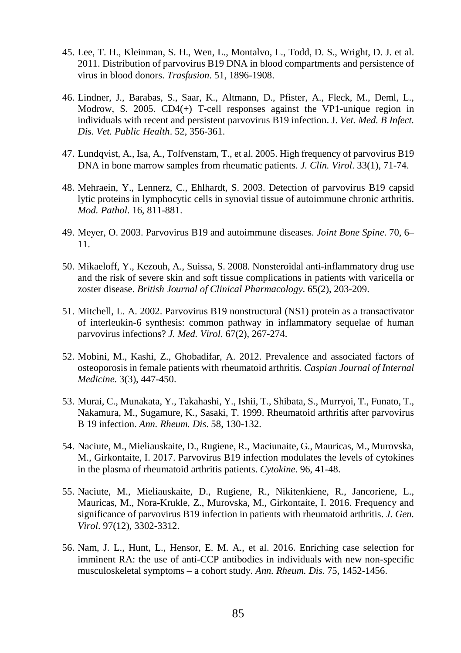- 45. Lee, T. H., Kleinman, S. H., Wen, L., Montalvo, L., Todd, D. S., Wright, D. J. et al. 2011. Distribution of parvovirus B19 DNA in blood compartments and persistence of virus in blood donors. *Trasfusion*. 51, 1896-1908.
- 46. Lindner, J., Barabas, S., Saar, K., Altmann, D., Pfister, A., Fleck, M., Deml, L., Modrow, S. 2005. CD4(+) T-cell responses against the VP1-unique region in individuals with recent and persistent parvovirus B19 infection. J. *Vet. Med. B Infect. Dis. Vet. Public Health*. 52, 356-361.
- 47. Lundqvist, A., Isa, A., Tolfvenstam, T., et al. 2005. High frequency of parvovirus B19 DNA in bone marrow samples from rheumatic patients. *J. Clin. Virol*. 33(1), 71-74.
- 48. Mehraein, Y., Lennerz, C., Ehlhardt, S. 2003. Detection of parvovirus B19 capsid lytic proteins in lymphocytic cells in synovial tissue of autoimmune chronic arthritis. *Mod. Pathol*. 16, 811-881.
- 49. Meyer, O. 2003. Parvovirus B19 and autoimmune diseases. *Joint Bone Spine*. 70, 6– 11.
- 50. Mikaeloff, Y., Kezouh, A., Suissa, S. 2008. Nonsteroidal anti-inflammatory drug use and the risk of severe skin and soft tissue complications in patients with varicella or zoster disease. *British Journal of Clinical Pharmacology*. 65(2), 203-209.
- 51. Mitchell, L. A. 2002. Parvovirus B19 nonstructural (NS1) protein as a transactivator of interleukin-6 synthesis: common pathway in inflammatory sequelae of human parvovirus infections? *J. Med. Virol*. 67(2), 267-274.
- 52. Mobini, M., Kashi, Z., Ghobadifar, A. 2012. Prevalence and associated factors of osteoporosis in female patients with rheumatoid arthritis. *Caspian Journal of Internal Medicine*. 3(3), 447-450.
- 53. Murai, C., Munakata, Y., Takahashi, Y., Ishii, T., Shibata, S., Murryoi, T., Funato, T., Nakamura, M., Sugamure, K., Sasaki, T. 1999. Rheumatoid arthritis after parvovirus B 19 infection. *Ann. Rheum. Dis*. 58, 130-132.
- 54. Naciute, M., Mieliauskaite, D., Rugiene, R., Maciunaite, G., Mauricas, M., Murovska, M., Girkontaite, I. 2017. Parvovirus B19 infection modulates the levels of cytokines in the plasma of rheumatoid arthritis patients. *Cytokine*. 96, 41-48.
- 55. Naciute, M., Mieliauskaite, D., Rugiene, R., Nikitenkiene, R., Jancoriene, L., Mauricas, M., Nora-Krukle, Z., Murovska, M., Girkontaite, I. 2016. Frequency and significance of parvovirus B19 infection in patients with rheumatoid arthritis. *J. Gen. Virol*. 97(12), 3302-3312.
- 56. Nam, J. L., Hunt, L., Hensor, E. M. A., et al. 2016. Enriching case selection for imminent RA: the use of anti-CCP antibodies in individuals with new non-specific musculoskeletal symptoms – a cohort study. *Ann. Rheum. Dis*. 75, 1452-1456.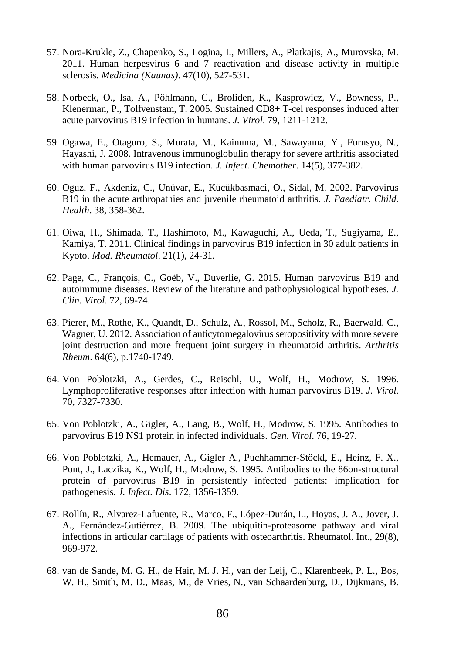- 57. Nora-Krukle, Z., Chapenko, S., Logina, I., Millers, A., Platkajis, A., Murovska, M. 2011. Human herpesvirus 6 and 7 reactivation and disease activity in multiple sclerosis. *Medicina (Kaunas)*. 47(10), 527-531.
- 58. Norbeck, O., Isa, A., Pöhlmann, C., Broliden, K., Kasprowicz, V., Bowness, P., Klenerman, P., Tolfvenstam, T. 2005. Sustained CD8+ T-cel responses induced after acute parvovirus B19 infection in humans. *J. Virol*. 79, 1211-1212.
- 59. Ogawa, E., Otaguro, S., Murata, M., Kainuma, M., Sawayama, Y., Furusyo, N., Hayashi, J. 2008. Intravenous immunoglobulin therapy for severe arthritis associated with human parvovirus B19 infection. *J. Infect. Chemother*. 14(5), 377-382.
- 60. Oguz, F., Akdeniz, C., Unüvar, E., Kücükbasmaci, O., Sidal, M. 2002. Parvovirus B19 in the acute arthropathies and juvenile rheumatoid arthritis. *J. Paediatr. Child. Health*. 38, 358-362.
- 61. Oiwa, H., Shimada, T., Hashimoto, M., Kawaguchi, A., Ueda, T., Sugiyama, E., Kamiya, T. 2011. Clinical findings in parvovirus B19 infection in 30 adult patients in Kyoto. *Mod. Rheumatol*. 21(1), 24-31.
- 62. Page, C., François, C., Goëb, V., Duverlie, G. 2015. Human parvovirus B19 and autoimmune diseases. Review of the literature and pathophysiological hypotheses*. J. Clin. Virol*. 72, 69-74.
- 63. Pierer, M., Rothe, K., Quandt, D., Schulz, A., Rossol, M., Scholz, R., Baerwald, C., Wagner, U. 2012. Association of anticytomegalovirus seropositivity with more severe joint destruction and more frequent joint surgery in rheumatoid arthritis. *Arthritis Rheum*. 64(6), p.1740-1749.
- 64. Von Poblotzki, A., Gerdes, C., Reischl, U., Wolf, H., Modrow, S. 1996. Lymphoproliferative responses after infection with human parvovirus B19. *J. Virol*. 70, 7327-7330.
- 65. Von Poblotzki, A., Gigler, A., Lang, B., Wolf, H., Modrow, S. 1995. Antibodies to parvovirus B19 NS1 protein in infected individuals. *Gen. Virol*. 76, 19-27.
- 66. Von Poblotzki, A., Hemauer, A., Gigler A., Puchhammer-Stöckl, E., Heinz, F. X., Pont, J., Laczika, K., Wolf, H., Modrow, S. 1995. Antibodies to the 86on-structural protein of parvovirus B19 in persistently infected patients: implication for pathogenesis. *J. Infect. Dis*. 172, 1356-1359.
- 67. Rollín, R., Alvarez-Lafuente, R., Marco, F., López-Durán, L., Hoyas, J. A., Jover, J. A., Fernández-Gutiérrez, B. 2009. The ubiquitin-proteasome pathway and viral infections in articular cartilage of patients with osteoarthritis. Rheumatol. Int., 29(8), 969-972.
- 68. van de Sande, M. G. H., de Hair, M. J. H., van der Leij, C., Klarenbeek, P. L., Bos, W. H., Smith, M. D., Maas, M., de Vries, N., van Schaardenburg, D., Dijkmans, B.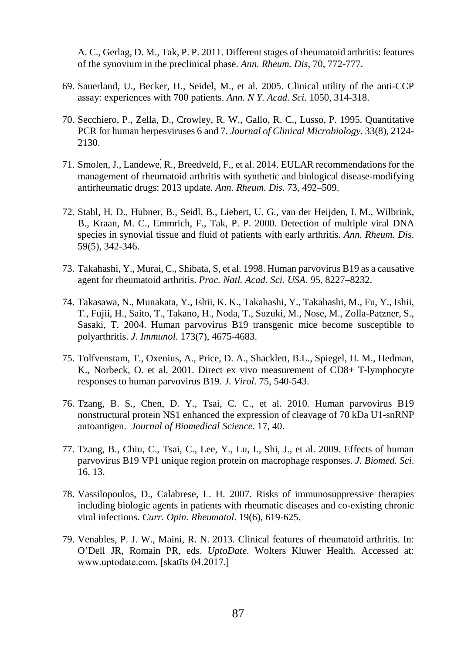A. C., Gerlag, D. M., Tak, P. P. 2011. Different stages of rheumatoid arthritis: features of the synovium in the preclinical phase. *Ann. Rheum. Dis*, 70, 772-777.

- 69. Sauerland, U., Becker, H., Seidel, M., et al. 2005. Clinical utility of the anti-CCP assay: experiences with 700 patients. *Ann. N Y. Acad. Sci*. 1050, 314-318.
- 70. Secchiero, P., Zella, D., Crowley, R. W., Gallo, R. C., Lusso, P. 1995. Quantitative PCR for human herpesviruses 6 and 7. *Journal of Clinical Microbiology*. 33(8), 2124- 2130.
- 71. Smolen, J., Landewe,́R., Breedveld, F., et al. 2014. EULAR recommendations for the management of rheumatoid arthritis with synthetic and biological disease-modifying antirheumatic drugs: 2013 update. *Ann. Rheum. Dis*. 73, 492–509.
- 72. Stahl, H. D., Hubner, B., Seidl, B., Liebert, U. G., van der Heijden, I. M., Wilbrink, B., Kraan, M. C., Emmrich, F., Tak, P. P. 2000. Detection of multiple viral DNA species in synovial tissue and fluid of patients with early arthritis. *Ann. Rheum. Dis*. 59(5), 342-346.
- 73. Takahashi, Y., Murai, C., Shibata, S, et al. 1998. Human parvovirus B19 as a causative agent for rheumatoid arthritis. *Proc. Natl. Acad. Sci. USA*. 95, 8227–8232.
- 74. Takasawa, N., Munakata, Y., Ishii, K. K., Takahashi, Y., Takahashi, M., Fu, Y., Ishii, T., Fujii, H., Saito, T., Takano, H., Noda, T., Suzuki, M., Nose, M., Zolla-Patzner, S., Sasaki, T. 2004. Human parvovirus B19 transgenic mice become susceptible to polyarthritis. *J. Immunol*. 173(7), 4675-4683.
- 75. Tolfvenstam, T., Oxenius, A., Price, D. A., Shacklett, B.L., Spiegel, H. M., Hedman, K., Norbeck, O. et al. 2001. Direct ex vivo measurement of CD8+ T-lymphocyte responses to human parvovirus B19. *J. Virol*. 75, 540-543.
- 76. Tzang, B. S., Chen, D. Y., Tsai, C. C., et al. 2010. Human parvovirus B19 nonstructural protein NS1 enhanced the expression of cleavage of 70 kDa U1-snRNP autoantigen. *Journal of Biomedical Science*. 17, 40.
- 77. Tzang, B., Chiu, C., Tsai, C., Lee, Y., Lu, I., Shi, J., et al. 2009. Effects of human parvovirus B19 VP1 unique region protein on macrophage responses. *J. Biomed. Sci*. 16, 13.
- 78. Vassilopoulos, D., Calabrese, L. H. 2007. Risks of immunosuppressive therapies including biologic agents in patients with rheumatic diseases and co-existing chronic viral infections. *Curr. Opin. Rheumatol*. 19(6), 619-625.
- 79. Venables, P. J. W., Maini, R. N. 2013. Clinical features of rheumatoid arthritis. In: O'Dell JR, Romain PR, eds. *UptoDate*. Wolters Kluwer Health. Accessed at: www.uptodate.com. [skatīts 04.2017.]